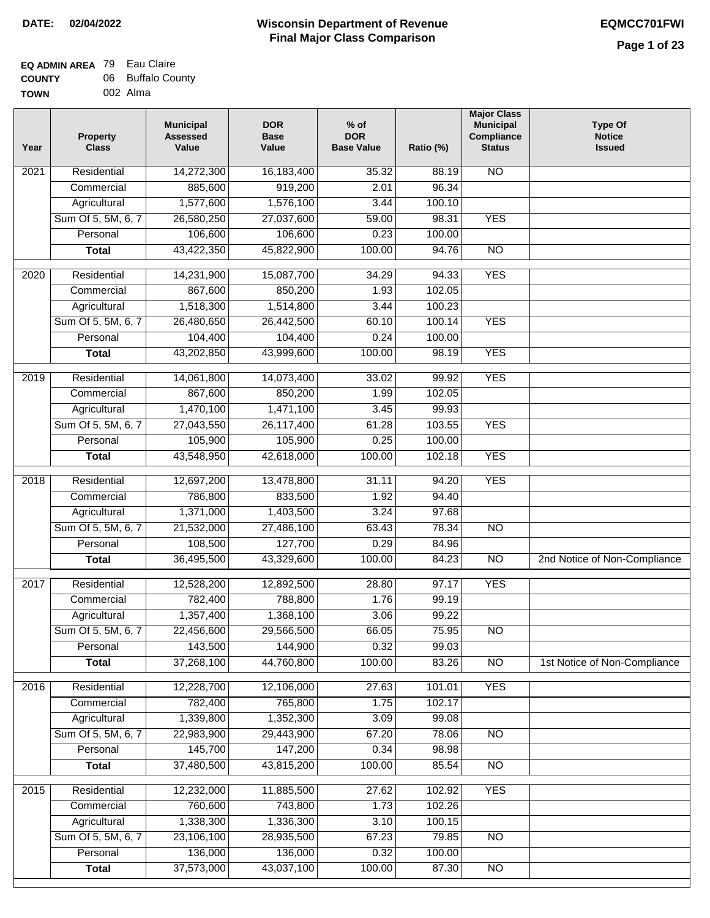## **EQ ADMIN AREA** 79 Eau Claire **COUNTY** 06 Buffalo County

**TOWN** 002 Alma

| Year | <b>Property</b><br><b>Class</b> | <b>Municipal</b><br><b>Assessed</b><br>Value | <b>DOR</b><br><b>Base</b><br>Value | $%$ of<br><b>DOR</b><br><b>Base Value</b> | Ratio (%)        | <b>Major Class</b><br><b>Municipal</b><br>Compliance<br><b>Status</b> | <b>Type Of</b><br><b>Notice</b><br><b>Issued</b> |
|------|---------------------------------|----------------------------------------------|------------------------------------|-------------------------------------------|------------------|-----------------------------------------------------------------------|--------------------------------------------------|
| 2021 | Residential                     | 14,272,300                                   | 16,183,400                         | 35.32                                     | 88.19            | N <sub>O</sub>                                                        |                                                  |
|      | Commercial                      | 885,600                                      | 919,200                            | 2.01                                      | 96.34            |                                                                       |                                                  |
|      | Agricultural                    | 1,577,600                                    | 1,576,100                          | 3.44                                      | 100.10           |                                                                       |                                                  |
|      | Sum Of 5, 5M, 6, 7              | 26,580,250                                   | 27,037,600                         | 59.00                                     | 98.31            | <b>YES</b>                                                            |                                                  |
|      | Personal                        | 106,600                                      | 106,600                            | 0.23                                      | 100.00           |                                                                       |                                                  |
|      | <b>Total</b>                    | 43,422,350                                   | 45,822,900                         | 100.00                                    | 94.76            | $\overline{NO}$                                                       |                                                  |
| 2020 | Residential                     | 14,231,900                                   | 15,087,700                         | 34.29                                     | 94.33            | <b>YES</b>                                                            |                                                  |
|      | Commercial                      | 867,600                                      | 850,200                            | 1.93                                      | 102.05           |                                                                       |                                                  |
|      | Agricultural                    | 1,518,300                                    | 1,514,800                          | 3.44                                      | 100.23           |                                                                       |                                                  |
|      | Sum Of 5, 5M, 6, 7              | 26,480,650                                   | 26,442,500                         | 60.10                                     | 100.14           | <b>YES</b>                                                            |                                                  |
|      | Personal                        | 104,400                                      | 104,400                            | 0.24                                      | 100.00           |                                                                       |                                                  |
|      | <b>Total</b>                    | 43,202,850                                   | 43,999,600                         | 100.00                                    | 98.19            | <b>YES</b>                                                            |                                                  |
| 2019 | Residential                     | 14,061,800                                   | 14,073,400                         | 33.02                                     | 99.92            | <b>YES</b>                                                            |                                                  |
|      | Commercial                      | 867,600                                      | 850,200                            | 1.99                                      | 102.05           |                                                                       |                                                  |
|      | Agricultural                    | 1,470,100                                    | 1,471,100                          | 3.45                                      | 99.93            |                                                                       |                                                  |
|      | Sum Of 5, 5M, 6, 7              | 27,043,550                                   | 26,117,400                         | 61.28                                     | 103.55           | <b>YES</b>                                                            |                                                  |
|      | Personal                        | 105,900                                      | 105,900                            | 0.25                                      | 100.00           |                                                                       |                                                  |
|      | <b>Total</b>                    | 43,548,950                                   | 42,618,000                         | 100.00                                    | 102.18           | <b>YES</b>                                                            |                                                  |
| 2018 | Residential                     | 12,697,200                                   | 13,478,800                         | 31.11                                     | 94.20            | <b>YES</b>                                                            |                                                  |
|      | Commercial                      | 786,800                                      | 833,500                            | 1.92                                      | 94.40            |                                                                       |                                                  |
|      | Agricultural                    | 1,371,000                                    | 1,403,500                          | 3.24                                      | 97.68            |                                                                       |                                                  |
|      | Sum Of 5, 5M, 6, 7              | 21,532,000                                   | 27,486,100                         | 63.43                                     | 78.34            | $\overline{10}$                                                       |                                                  |
|      | Personal                        | 108,500                                      | 127,700                            | 0.29                                      | 84.96            |                                                                       |                                                  |
|      | <b>Total</b>                    | 36,495,500                                   | 43,329,600                         | 100.00                                    | 84.23            | <b>NO</b>                                                             | 2nd Notice of Non-Compliance                     |
| 2017 | Residential                     | 12,528,200                                   | 12,892,500                         | 28.80                                     | 97.17            | <b>YES</b>                                                            |                                                  |
|      | Commercial                      | 782,400                                      | 788,800                            | 1.76                                      | 99.19            |                                                                       |                                                  |
|      | Agricultural                    | 1,357,400                                    | 1,368,100                          | 3.06                                      | 99.22            |                                                                       |                                                  |
|      | Sum Of 5, 5M, 6, 7              | 22,456,600                                   | 29,566,500                         | 66.05                                     | 75.95            | N <sub>O</sub>                                                        |                                                  |
|      | Personal                        | 143,500                                      | 144,900                            | 0.32                                      | 99.03            |                                                                       |                                                  |
|      | <b>Total</b>                    | 37,268,100                                   | 44,760,800                         | 100.00                                    | 83.26            | $\overline{NO}$                                                       | 1st Notice of Non-Compliance                     |
|      |                                 |                                              |                                    |                                           |                  |                                                                       |                                                  |
| 2016 | Residential<br>Commercial       | 12,228,700<br>782,400                        | 12,106,000<br>765,800              | 27.63<br>1.75                             | 101.01<br>102.17 | <b>YES</b>                                                            |                                                  |
|      | Agricultural                    | 1,339,800                                    | 1,352,300                          | 3.09                                      | 99.08            |                                                                       |                                                  |
|      | Sum Of 5, 5M, 6, 7              | 22,983,900                                   | 29,443,900                         | 67.20                                     | 78.06            | $\overline{NO}$                                                       |                                                  |
|      | Personal                        | 145,700                                      | 147,200                            | 0.34                                      | 98.98            |                                                                       |                                                  |
|      | <b>Total</b>                    | 37,480,500                                   | 43,815,200                         | 100.00                                    | 85.54            | $\overline{NO}$                                                       |                                                  |
| 2015 | Residential                     | 12,232,000                                   | 11,885,500                         | 27.62                                     | 102.92           | <b>YES</b>                                                            |                                                  |
|      | Commercial                      | 760,600                                      | 743,800                            | 1.73                                      | 102.26           |                                                                       |                                                  |
|      | Agricultural                    | 1,338,300                                    | 1,336,300                          | 3.10                                      | 100.15           |                                                                       |                                                  |
|      | Sum Of 5, 5M, 6, 7              | 23,106,100                                   | 28,935,500                         | 67.23                                     | 79.85            | $\overline{NO}$                                                       |                                                  |
|      | Personal                        | 136,000                                      | 136,000                            | 0.32                                      | 100.00           |                                                                       |                                                  |
|      | <b>Total</b>                    | 37,573,000                                   | 43,037,100                         | 100.00                                    | 87.30            | NO                                                                    |                                                  |
|      |                                 |                                              |                                    |                                           |                  |                                                                       |                                                  |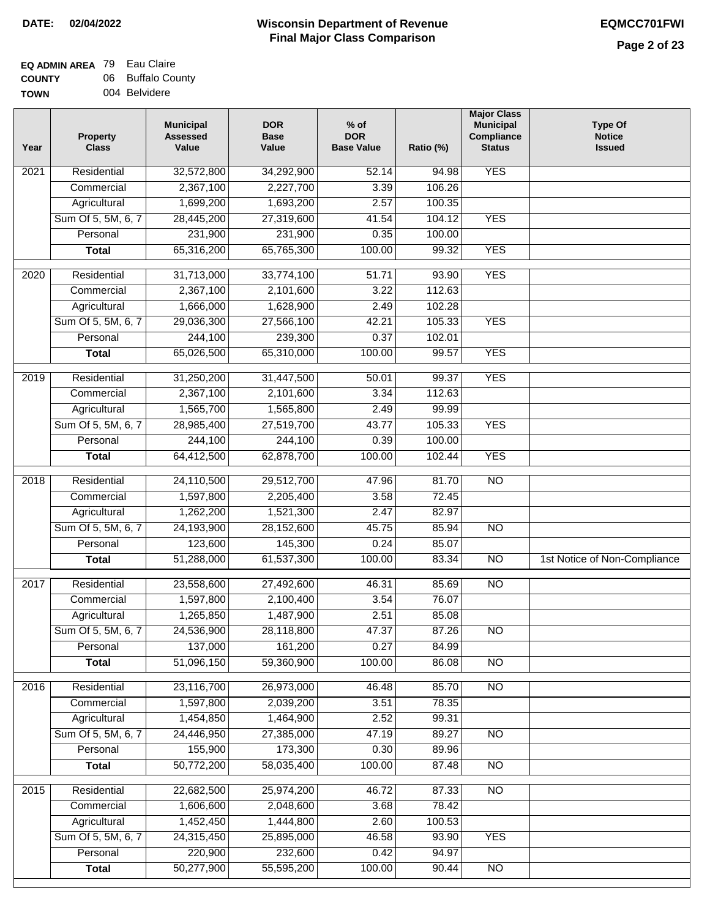| <b>TOWN</b> | 004 Belvidere |
|-------------|---------------|

| <b>YES</b><br>Residential<br>32,572,800<br>2021<br>34,292,900<br>52.14<br>94.98<br>2,367,100<br>2,227,700<br>106.26<br>Commercial<br>3.39<br>1,699,200<br>Agricultural<br>1,693,200<br>2.57<br>100.35<br>Sum Of 5, 5M, 6, 7<br>28,445,200<br>27,319,600<br>41.54<br>104.12<br><b>YES</b><br>231,900<br>231,900<br>Personal<br>0.35<br>100.00<br>65,316,200<br>65,765,300<br>100.00<br>99.32<br><b>YES</b><br><b>Total</b><br><b>YES</b><br>2020<br>Residential<br>31,713,000<br>33,774,100<br>51.71<br>93.90<br>2,367,100<br>112.63<br>2,101,600<br>3.22<br>Commercial<br>1,666,000<br>1,628,900<br>2.49<br>102.28<br>Agricultural<br>Sum Of 5, 5M, 6, 7<br>29,036,300<br>105.33<br>27,566,100<br>42.21<br><b>YES</b><br>244,100<br>239,300<br>0.37<br>102.01<br>Personal<br>65,026,500<br>65,310,000<br><b>YES</b><br>100.00<br>99.57<br><b>Total</b><br><b>YES</b><br>2019<br>Residential<br>31,250,200<br>31,447,500<br>50.01<br>99.37<br>2,367,100<br>3.34<br>112.63<br>Commercial<br>2,101,600<br>1,565,700<br>1,565,800<br>2.49<br>99.99<br>Agricultural<br>43.77<br>105.33<br><b>YES</b><br>Sum Of 5, 5M, 6, 7<br>28,985,400<br>27,519,700<br>244,100<br>244,100<br>Personal<br>0.39<br>100.00<br>64,412,500<br>62,878,700<br>100.00<br>102.44<br><b>YES</b><br><b>Total</b><br>Residential<br>24,110,500<br>29,512,700<br>81.70<br>$\overline{10}$<br>2018<br>47.96<br>1,597,800<br>Commercial<br>2,205,400<br>3.58<br>72.45<br>1,262,200<br>1,521,300<br>2.47<br>82.97<br>Agricultural<br>Sum Of 5, 5M, 6, 7<br>24,193,900<br>28,152,600<br>45.75<br>85.94<br>$\overline{3}$<br>Personal<br>123,600<br>145,300<br>0.24<br>85.07 |  |
|------------------------------------------------------------------------------------------------------------------------------------------------------------------------------------------------------------------------------------------------------------------------------------------------------------------------------------------------------------------------------------------------------------------------------------------------------------------------------------------------------------------------------------------------------------------------------------------------------------------------------------------------------------------------------------------------------------------------------------------------------------------------------------------------------------------------------------------------------------------------------------------------------------------------------------------------------------------------------------------------------------------------------------------------------------------------------------------------------------------------------------------------------------------------------------------------------------------------------------------------------------------------------------------------------------------------------------------------------------------------------------------------------------------------------------------------------------------------------------------------------------------------------------------------------------------------------------------------------------------------------------------|--|
|                                                                                                                                                                                                                                                                                                                                                                                                                                                                                                                                                                                                                                                                                                                                                                                                                                                                                                                                                                                                                                                                                                                                                                                                                                                                                                                                                                                                                                                                                                                                                                                                                                          |  |
|                                                                                                                                                                                                                                                                                                                                                                                                                                                                                                                                                                                                                                                                                                                                                                                                                                                                                                                                                                                                                                                                                                                                                                                                                                                                                                                                                                                                                                                                                                                                                                                                                                          |  |
|                                                                                                                                                                                                                                                                                                                                                                                                                                                                                                                                                                                                                                                                                                                                                                                                                                                                                                                                                                                                                                                                                                                                                                                                                                                                                                                                                                                                                                                                                                                                                                                                                                          |  |
|                                                                                                                                                                                                                                                                                                                                                                                                                                                                                                                                                                                                                                                                                                                                                                                                                                                                                                                                                                                                                                                                                                                                                                                                                                                                                                                                                                                                                                                                                                                                                                                                                                          |  |
|                                                                                                                                                                                                                                                                                                                                                                                                                                                                                                                                                                                                                                                                                                                                                                                                                                                                                                                                                                                                                                                                                                                                                                                                                                                                                                                                                                                                                                                                                                                                                                                                                                          |  |
|                                                                                                                                                                                                                                                                                                                                                                                                                                                                                                                                                                                                                                                                                                                                                                                                                                                                                                                                                                                                                                                                                                                                                                                                                                                                                                                                                                                                                                                                                                                                                                                                                                          |  |
|                                                                                                                                                                                                                                                                                                                                                                                                                                                                                                                                                                                                                                                                                                                                                                                                                                                                                                                                                                                                                                                                                                                                                                                                                                                                                                                                                                                                                                                                                                                                                                                                                                          |  |
|                                                                                                                                                                                                                                                                                                                                                                                                                                                                                                                                                                                                                                                                                                                                                                                                                                                                                                                                                                                                                                                                                                                                                                                                                                                                                                                                                                                                                                                                                                                                                                                                                                          |  |
|                                                                                                                                                                                                                                                                                                                                                                                                                                                                                                                                                                                                                                                                                                                                                                                                                                                                                                                                                                                                                                                                                                                                                                                                                                                                                                                                                                                                                                                                                                                                                                                                                                          |  |
|                                                                                                                                                                                                                                                                                                                                                                                                                                                                                                                                                                                                                                                                                                                                                                                                                                                                                                                                                                                                                                                                                                                                                                                                                                                                                                                                                                                                                                                                                                                                                                                                                                          |  |
|                                                                                                                                                                                                                                                                                                                                                                                                                                                                                                                                                                                                                                                                                                                                                                                                                                                                                                                                                                                                                                                                                                                                                                                                                                                                                                                                                                                                                                                                                                                                                                                                                                          |  |
|                                                                                                                                                                                                                                                                                                                                                                                                                                                                                                                                                                                                                                                                                                                                                                                                                                                                                                                                                                                                                                                                                                                                                                                                                                                                                                                                                                                                                                                                                                                                                                                                                                          |  |
|                                                                                                                                                                                                                                                                                                                                                                                                                                                                                                                                                                                                                                                                                                                                                                                                                                                                                                                                                                                                                                                                                                                                                                                                                                                                                                                                                                                                                                                                                                                                                                                                                                          |  |
|                                                                                                                                                                                                                                                                                                                                                                                                                                                                                                                                                                                                                                                                                                                                                                                                                                                                                                                                                                                                                                                                                                                                                                                                                                                                                                                                                                                                                                                                                                                                                                                                                                          |  |
|                                                                                                                                                                                                                                                                                                                                                                                                                                                                                                                                                                                                                                                                                                                                                                                                                                                                                                                                                                                                                                                                                                                                                                                                                                                                                                                                                                                                                                                                                                                                                                                                                                          |  |
|                                                                                                                                                                                                                                                                                                                                                                                                                                                                                                                                                                                                                                                                                                                                                                                                                                                                                                                                                                                                                                                                                                                                                                                                                                                                                                                                                                                                                                                                                                                                                                                                                                          |  |
|                                                                                                                                                                                                                                                                                                                                                                                                                                                                                                                                                                                                                                                                                                                                                                                                                                                                                                                                                                                                                                                                                                                                                                                                                                                                                                                                                                                                                                                                                                                                                                                                                                          |  |
|                                                                                                                                                                                                                                                                                                                                                                                                                                                                                                                                                                                                                                                                                                                                                                                                                                                                                                                                                                                                                                                                                                                                                                                                                                                                                                                                                                                                                                                                                                                                                                                                                                          |  |
|                                                                                                                                                                                                                                                                                                                                                                                                                                                                                                                                                                                                                                                                                                                                                                                                                                                                                                                                                                                                                                                                                                                                                                                                                                                                                                                                                                                                                                                                                                                                                                                                                                          |  |
|                                                                                                                                                                                                                                                                                                                                                                                                                                                                                                                                                                                                                                                                                                                                                                                                                                                                                                                                                                                                                                                                                                                                                                                                                                                                                                                                                                                                                                                                                                                                                                                                                                          |  |
|                                                                                                                                                                                                                                                                                                                                                                                                                                                                                                                                                                                                                                                                                                                                                                                                                                                                                                                                                                                                                                                                                                                                                                                                                                                                                                                                                                                                                                                                                                                                                                                                                                          |  |
|                                                                                                                                                                                                                                                                                                                                                                                                                                                                                                                                                                                                                                                                                                                                                                                                                                                                                                                                                                                                                                                                                                                                                                                                                                                                                                                                                                                                                                                                                                                                                                                                                                          |  |
|                                                                                                                                                                                                                                                                                                                                                                                                                                                                                                                                                                                                                                                                                                                                                                                                                                                                                                                                                                                                                                                                                                                                                                                                                                                                                                                                                                                                                                                                                                                                                                                                                                          |  |
| 51,288,000<br>61,537,300<br>100.00<br>83.34<br><b>NO</b><br>1st Notice of Non-Compliance<br><b>Total</b>                                                                                                                                                                                                                                                                                                                                                                                                                                                                                                                                                                                                                                                                                                                                                                                                                                                                                                                                                                                                                                                                                                                                                                                                                                                                                                                                                                                                                                                                                                                                 |  |
| 2017<br>Residential<br>23,558,600<br>27,492,600<br>$\overline{NO}$<br>46.31<br>85.69                                                                                                                                                                                                                                                                                                                                                                                                                                                                                                                                                                                                                                                                                                                                                                                                                                                                                                                                                                                                                                                                                                                                                                                                                                                                                                                                                                                                                                                                                                                                                     |  |
| Commercial<br>1,597,800<br>2,100,400<br>3.54<br>76.07                                                                                                                                                                                                                                                                                                                                                                                                                                                                                                                                                                                                                                                                                                                                                                                                                                                                                                                                                                                                                                                                                                                                                                                                                                                                                                                                                                                                                                                                                                                                                                                    |  |
| 1,265,850<br>1,487,900<br>2.51<br>85.08<br>Agricultural                                                                                                                                                                                                                                                                                                                                                                                                                                                                                                                                                                                                                                                                                                                                                                                                                                                                                                                                                                                                                                                                                                                                                                                                                                                                                                                                                                                                                                                                                                                                                                                  |  |
| 47.37<br>87.26<br>Sum Of 5, 5M, 6, 7<br>24,536,900<br>28,118,800<br>N <sub>O</sub>                                                                                                                                                                                                                                                                                                                                                                                                                                                                                                                                                                                                                                                                                                                                                                                                                                                                                                                                                                                                                                                                                                                                                                                                                                                                                                                                                                                                                                                                                                                                                       |  |
| 137,000<br>0.27<br>161,200<br>84.99<br>Personal                                                                                                                                                                                                                                                                                                                                                                                                                                                                                                                                                                                                                                                                                                                                                                                                                                                                                                                                                                                                                                                                                                                                                                                                                                                                                                                                                                                                                                                                                                                                                                                          |  |
| 51,096,150<br>59,360,900<br>100.00<br>86.08<br><b>Total</b><br><b>NO</b>                                                                                                                                                                                                                                                                                                                                                                                                                                                                                                                                                                                                                                                                                                                                                                                                                                                                                                                                                                                                                                                                                                                                                                                                                                                                                                                                                                                                                                                                                                                                                                 |  |
| Residential<br>23,116,700<br>26,973,000<br>85.70<br>N <sub>O</sub><br>2016<br>46.48                                                                                                                                                                                                                                                                                                                                                                                                                                                                                                                                                                                                                                                                                                                                                                                                                                                                                                                                                                                                                                                                                                                                                                                                                                                                                                                                                                                                                                                                                                                                                      |  |
| 1,597,800<br>3.51<br>78.35<br>Commercial<br>2,039,200                                                                                                                                                                                                                                                                                                                                                                                                                                                                                                                                                                                                                                                                                                                                                                                                                                                                                                                                                                                                                                                                                                                                                                                                                                                                                                                                                                                                                                                                                                                                                                                    |  |
| 2.52<br>1,454,850<br>1,464,900<br>99.31<br>Agricultural                                                                                                                                                                                                                                                                                                                                                                                                                                                                                                                                                                                                                                                                                                                                                                                                                                                                                                                                                                                                                                                                                                                                                                                                                                                                                                                                                                                                                                                                                                                                                                                  |  |
| Sum Of 5, 5M, 6, 7<br>47.19<br>24,446,950<br>27,385,000<br>89.27<br>N <sub>O</sub>                                                                                                                                                                                                                                                                                                                                                                                                                                                                                                                                                                                                                                                                                                                                                                                                                                                                                                                                                                                                                                                                                                                                                                                                                                                                                                                                                                                                                                                                                                                                                       |  |
| 155,900<br>173,300<br>89.96<br>Personal<br>0.30                                                                                                                                                                                                                                                                                                                                                                                                                                                                                                                                                                                                                                                                                                                                                                                                                                                                                                                                                                                                                                                                                                                                                                                                                                                                                                                                                                                                                                                                                                                                                                                          |  |
| 100.00<br>50,772,200<br>58,035,400<br>87.48<br>N <sub>O</sub><br><b>Total</b>                                                                                                                                                                                                                                                                                                                                                                                                                                                                                                                                                                                                                                                                                                                                                                                                                                                                                                                                                                                                                                                                                                                                                                                                                                                                                                                                                                                                                                                                                                                                                            |  |
| Residential<br>22,682,500<br>25,974,200<br>46.72<br>87.33<br>N <sub>O</sub><br>2015                                                                                                                                                                                                                                                                                                                                                                                                                                                                                                                                                                                                                                                                                                                                                                                                                                                                                                                                                                                                                                                                                                                                                                                                                                                                                                                                                                                                                                                                                                                                                      |  |
| 1,606,600<br>2,048,600<br>3.68<br>78.42<br>Commercial                                                                                                                                                                                                                                                                                                                                                                                                                                                                                                                                                                                                                                                                                                                                                                                                                                                                                                                                                                                                                                                                                                                                                                                                                                                                                                                                                                                                                                                                                                                                                                                    |  |
| 1,452,450<br>1,444,800<br>2.60<br>100.53<br>Agricultural                                                                                                                                                                                                                                                                                                                                                                                                                                                                                                                                                                                                                                                                                                                                                                                                                                                                                                                                                                                                                                                                                                                                                                                                                                                                                                                                                                                                                                                                                                                                                                                 |  |
| Sum Of 5, 5M, 6, 7<br>24,315,450<br>25,895,000<br>46.58<br>93.90<br><b>YES</b>                                                                                                                                                                                                                                                                                                                                                                                                                                                                                                                                                                                                                                                                                                                                                                                                                                                                                                                                                                                                                                                                                                                                                                                                                                                                                                                                                                                                                                                                                                                                                           |  |
| 220,900<br>232,600<br>0.42<br>94.97<br>Personal                                                                                                                                                                                                                                                                                                                                                                                                                                                                                                                                                                                                                                                                                                                                                                                                                                                                                                                                                                                                                                                                                                                                                                                                                                                                                                                                                                                                                                                                                                                                                                                          |  |
| 50,277,900<br>55,595,200<br>100.00<br><b>Total</b><br>90.44<br>N <sub>O</sub>                                                                                                                                                                                                                                                                                                                                                                                                                                                                                                                                                                                                                                                                                                                                                                                                                                                                                                                                                                                                                                                                                                                                                                                                                                                                                                                                                                                                                                                                                                                                                            |  |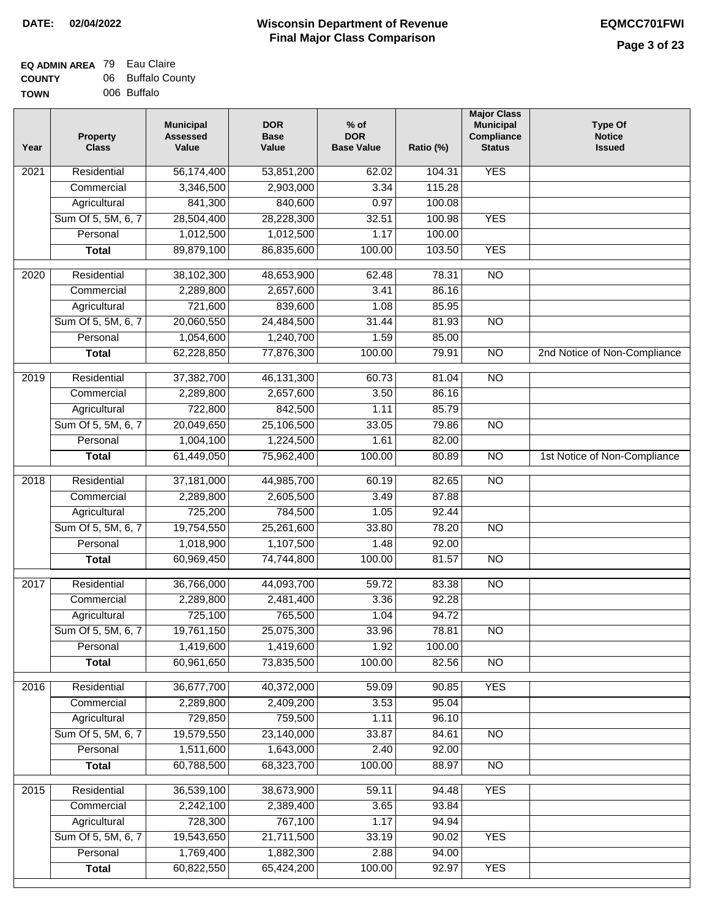#### **EQ ADMIN AREA** 79 Eau Claire **COUNTY TOWN** 06 Buffalo County 006 Buffalo

| Year              | <b>Property</b><br><b>Class</b> | <b>Municipal</b><br><b>Assessed</b><br>Value | <b>DOR</b><br><b>Base</b><br>Value | % of<br><b>DOR</b><br><b>Base Value</b> | Ratio (%) | <b>Major Class</b><br><b>Municipal</b><br>Compliance<br><b>Status</b> | <b>Type Of</b><br><b>Notice</b><br><b>Issued</b> |
|-------------------|---------------------------------|----------------------------------------------|------------------------------------|-----------------------------------------|-----------|-----------------------------------------------------------------------|--------------------------------------------------|
| $\overline{202}1$ | Residential                     | 56,174,400                                   | 53,851,200                         | 62.02                                   | 104.31    | <b>YES</b>                                                            |                                                  |
|                   | Commercial                      | 3,346,500                                    | 2,903,000                          | 3.34                                    | 115.28    |                                                                       |                                                  |
|                   | Agricultural                    | 841,300                                      | 840,600                            | 0.97                                    | 100.08    |                                                                       |                                                  |
|                   | Sum Of 5, 5M, 6, 7              | 28,504,400                                   | 28,228,300                         | 32.51                                   | 100.98    | <b>YES</b>                                                            |                                                  |
|                   | Personal                        | 1,012,500                                    | 1,012,500                          | 1.17                                    | 100.00    |                                                                       |                                                  |
|                   | <b>Total</b>                    | 89,879,100                                   | 86,835,600                         | 100.00                                  | 103.50    | <b>YES</b>                                                            |                                                  |
| $\overline{2020}$ | Residential                     | 38,102,300                                   | 48,653,900                         | 62.48                                   | 78.31     | $\overline{NO}$                                                       |                                                  |
|                   | Commercial                      | 2,289,800                                    | 2,657,600                          | 3.41                                    | 86.16     |                                                                       |                                                  |
|                   | Agricultural                    | 721,600                                      | 839,600                            | 1.08                                    | 85.95     |                                                                       |                                                  |
|                   | Sum Of 5, 5M, 6, 7              | 20,060,550                                   | 24,484,500                         | 31.44                                   | 81.93     | $\overline{NO}$                                                       |                                                  |
|                   | Personal                        | 1,054,600                                    | 1,240,700                          | 1.59                                    | 85.00     |                                                                       |                                                  |
|                   | <b>Total</b>                    | 62,228,850                                   | 77,876,300                         | 100.00                                  | 79.91     | $\overline{NO}$                                                       | 2nd Notice of Non-Compliance                     |
| 2019              | Residential                     | 37,382,700                                   | 46,131,300                         | 60.73                                   | 81.04     | $\overline{3}$                                                        |                                                  |
|                   | Commercial                      | 2,289,800                                    | 2,657,600                          | 3.50                                    | 86.16     |                                                                       |                                                  |
|                   | Agricultural                    | 722,800                                      | 842,500                            | 1.11                                    | 85.79     |                                                                       |                                                  |
|                   | Sum Of 5, 5M, 6, 7              | 20,049,650                                   | 25,106,500                         | 33.05                                   | 79.86     | $\overline{NO}$                                                       |                                                  |
|                   | Personal                        | 1,004,100                                    | 1,224,500                          | 1.61                                    | 82.00     |                                                                       |                                                  |
|                   | <b>Total</b>                    | 61,449,050                                   | 75,962,400                         | 100.00                                  | 80.89     | $\overline{NO}$                                                       | 1st Notice of Non-Compliance                     |
| 2018              | Residential                     | 37,181,000                                   | 44,985,700                         | 60.19                                   | 82.65     | $\overline{10}$                                                       |                                                  |
|                   | Commercial                      | 2,289,800                                    | 2,605,500                          | 3.49                                    | 87.88     |                                                                       |                                                  |
|                   | Agricultural                    | 725,200                                      | 784,500                            | 1.05                                    | 92.44     |                                                                       |                                                  |
|                   | Sum Of 5, 5M, 6, 7              | 19,754,550                                   | 25,261,600                         | 33.80                                   | 78.20     | $\overline{3}$                                                        |                                                  |
|                   | Personal                        | 1,018,900                                    | 1,107,500                          | 1.48                                    | 92.00     |                                                                       |                                                  |
|                   | <b>Total</b>                    | 60,969,450                                   | 74,744,800                         | 100.00                                  | 81.57     | <b>NO</b>                                                             |                                                  |
| $\overline{2017}$ | Residential                     | 36,766,000                                   | 44,093,700                         | 59.72                                   | 83.38     | <b>NO</b>                                                             |                                                  |
|                   | Commercial                      | 2,289,800                                    | 2,481,400                          | 3.36                                    | 92.28     |                                                                       |                                                  |
|                   | Agricultural                    | 725,100                                      | 765,500                            | 1.04                                    | 94.72     |                                                                       |                                                  |
|                   | Sum Of 5, 5M, 6, 7              | 19,761,150                                   | 25,075,300                         | 33.96                                   | 78.81     | N <sub>O</sub>                                                        |                                                  |
|                   | Personal                        | 1,419,600                                    | 1,419,600                          | 1.92                                    | 100.00    |                                                                       |                                                  |
|                   | <b>Total</b>                    | 60,961,650                                   | 73,835,500                         | 100.00                                  | 82.56     | <b>NO</b>                                                             |                                                  |
| 2016              | Residential                     | 36,677,700                                   | 40,372,000                         | 59.09                                   | 90.85     | <b>YES</b>                                                            |                                                  |
|                   | Commercial                      | 2,289,800                                    | 2,409,200                          | 3.53                                    | 95.04     |                                                                       |                                                  |
|                   | Agricultural                    | 729,850                                      | 759,500                            | 1.11                                    | 96.10     |                                                                       |                                                  |
|                   | Sum Of 5, 5M, 6, 7              | 19,579,550                                   | 23,140,000                         | 33.87                                   | 84.61     | N <sub>O</sub>                                                        |                                                  |
|                   | Personal                        | 1,511,600                                    | 1,643,000                          | 2.40                                    | 92.00     |                                                                       |                                                  |
|                   | <b>Total</b>                    | 60,788,500                                   | 68,323,700                         | 100.00                                  | 88.97     | N <sub>O</sub>                                                        |                                                  |
| 2015              | Residential                     | 36,539,100                                   | 38,673,900                         | 59.11                                   | 94.48     | <b>YES</b>                                                            |                                                  |
|                   | Commercial                      | 2,242,100                                    | 2,389,400                          | 3.65                                    | 93.84     |                                                                       |                                                  |
|                   | Agricultural                    | 728,300                                      | 767,100                            | 1.17                                    | 94.94     |                                                                       |                                                  |
|                   | Sum Of 5, 5M, 6, 7              | 19,543,650                                   | 21,711,500                         | 33.19                                   | 90.02     | <b>YES</b>                                                            |                                                  |
|                   | Personal                        | 1,769,400                                    | 1,882,300                          | 2.88                                    | 94.00     |                                                                       |                                                  |
|                   | <b>Total</b>                    | 60,822,550                                   | 65,424,200                         | 100.00                                  | 92.97     | <b>YES</b>                                                            |                                                  |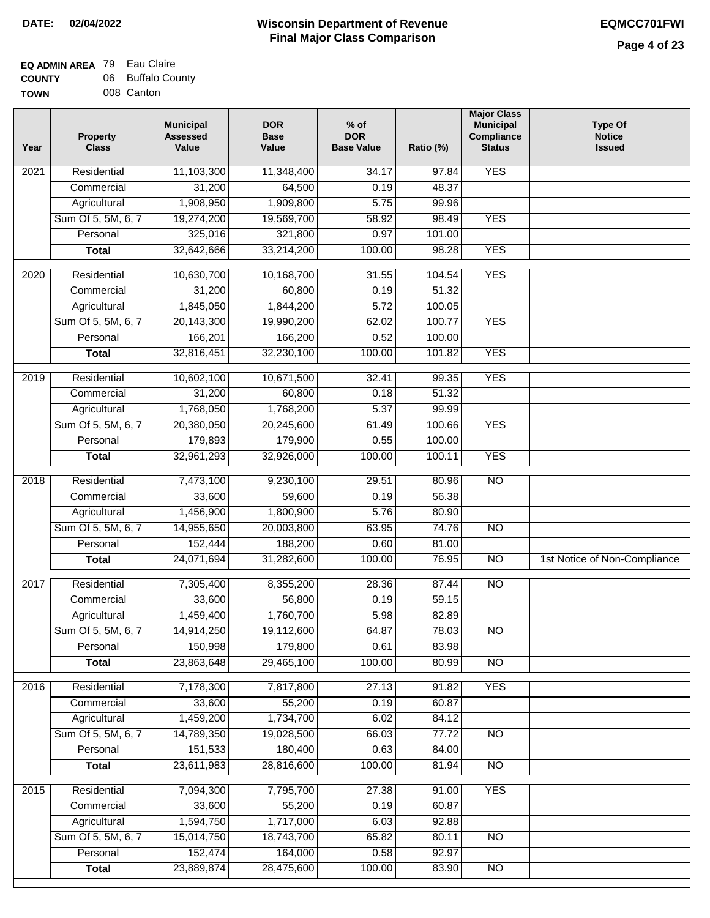## **EQ ADMIN AREA** 79 Eau Claire **COUNTY** 06 Buffalo County

**TOWN** 008 Canton

| Year              | <b>Property</b><br><b>Class</b> | <b>Municipal</b><br><b>Assessed</b><br>Value | <b>DOR</b><br><b>Base</b><br>Value | $%$ of<br><b>DOR</b><br><b>Base Value</b> | Ratio (%) | <b>Major Class</b><br><b>Municipal</b><br>Compliance<br><b>Status</b> | <b>Type Of</b><br><b>Notice</b><br><b>Issued</b> |
|-------------------|---------------------------------|----------------------------------------------|------------------------------------|-------------------------------------------|-----------|-----------------------------------------------------------------------|--------------------------------------------------|
| 2021              | Residential                     | 11,103,300                                   | 11,348,400                         | 34.17                                     | 97.84     | <b>YES</b>                                                            |                                                  |
|                   | Commercial                      | 31,200                                       | 64,500                             | 0.19                                      | 48.37     |                                                                       |                                                  |
|                   | Agricultural                    | 1,908,950                                    | 1,909,800                          | 5.75                                      | 99.96     |                                                                       |                                                  |
|                   | Sum Of 5, 5M, 6, 7              | 19,274,200                                   | 19,569,700                         | 58.92                                     | 98.49     | <b>YES</b>                                                            |                                                  |
|                   | Personal                        | 325,016                                      | 321,800                            | 0.97                                      | 101.00    |                                                                       |                                                  |
|                   | <b>Total</b>                    | 32,642,666                                   | 33,214,200                         | 100.00                                    | 98.28     | <b>YES</b>                                                            |                                                  |
|                   |                                 |                                              |                                    |                                           |           |                                                                       |                                                  |
| $\overline{2020}$ | Residential                     | 10,630,700                                   | 10,168,700                         | 31.55                                     | 104.54    | <b>YES</b>                                                            |                                                  |
|                   | Commercial                      | 31,200                                       | 60,800                             | 0.19                                      | 51.32     |                                                                       |                                                  |
|                   | Agricultural                    | 1,845,050                                    | 1,844,200                          | 5.72                                      | 100.05    |                                                                       |                                                  |
|                   | Sum Of 5, 5M, 6, 7              | 20,143,300                                   | 19,990,200                         | 62.02                                     | 100.77    | <b>YES</b>                                                            |                                                  |
|                   | Personal                        | 166,201                                      | 166,200                            | 0.52                                      | 100.00    |                                                                       |                                                  |
|                   | <b>Total</b>                    | 32,816,451                                   | 32,230,100                         | 100.00                                    | 101.82    | <b>YES</b>                                                            |                                                  |
| 2019              | Residential                     | 10,602,100                                   | 10,671,500                         | 32.41                                     | 99.35     | <b>YES</b>                                                            |                                                  |
|                   | Commercial                      | 31,200                                       | 60,800                             | 0.18                                      | 51.32     |                                                                       |                                                  |
|                   | Agricultural                    | 1,768,050                                    | 1,768,200                          | 5.37                                      | 99.99     |                                                                       |                                                  |
|                   | Sum Of 5, 5M, 6, 7              | 20,380,050                                   | 20,245,600                         | 61.49                                     | 100.66    | <b>YES</b>                                                            |                                                  |
|                   | Personal                        | 179,893                                      | 179,900                            | 0.55                                      | 100.00    |                                                                       |                                                  |
|                   | <b>Total</b>                    | 32,961,293                                   | 32,926,000                         | 100.00                                    | 100.11    | <b>YES</b>                                                            |                                                  |
| 2018              | Residential                     | 7,473,100                                    | 9,230,100                          | 29.51                                     | 80.96     | $\overline{NO}$                                                       |                                                  |
|                   | Commercial                      | 33,600                                       | 59,600                             | 0.19                                      | 56.38     |                                                                       |                                                  |
|                   | Agricultural                    | 1,456,900                                    | 1,800,900                          | 5.76                                      | 80.90     |                                                                       |                                                  |
|                   | Sum Of 5, 5M, 6, 7              | 14,955,650                                   | 20,003,800                         | 63.95                                     | 74.76     | $\overline{NO}$                                                       |                                                  |
|                   | Personal                        | 152,444                                      | 188,200                            | 0.60                                      | 81.00     |                                                                       |                                                  |
|                   | <b>Total</b>                    | 24,071,694                                   | 31,282,600                         | 100.00                                    | 76.95     | <b>NO</b>                                                             | 1st Notice of Non-Compliance                     |
| 2017              | Residential                     | 7,305,400                                    | 8,355,200                          | 28.36                                     | 87.44     | $\overline{NO}$                                                       |                                                  |
|                   | Commercial                      | 33,600                                       | 56,800                             | 0.19                                      | 59.15     |                                                                       |                                                  |
|                   | Agricultural                    | 1,459,400                                    | 1,760,700                          | 5.98                                      | 82.89     |                                                                       |                                                  |
|                   | Sum Of 5, 5M, 6, 7              | 14,914,250                                   | 19,112,600                         | 64.87                                     | 78.03     | N <sub>O</sub>                                                        |                                                  |
|                   | Personal                        | 150,998                                      | 179,800                            | 0.61                                      | 83.98     |                                                                       |                                                  |
|                   | <b>Total</b>                    | 23,863,648                                   | 29,465,100                         | 100.00                                    | 80.99     | $\overline{NO}$                                                       |                                                  |
|                   |                                 |                                              |                                    |                                           |           |                                                                       |                                                  |
| 2016              | Residential                     | 7,178,300                                    | 7,817,800                          | 27.13                                     | 91.82     | <b>YES</b>                                                            |                                                  |
|                   | Commercial                      | 33,600                                       | 55,200                             | 0.19                                      | 60.87     |                                                                       |                                                  |
|                   | Agricultural                    | 1,459,200                                    | 1,734,700                          | 6.02                                      | 84.12     |                                                                       |                                                  |
|                   | Sum Of 5, 5M, 6, 7              | 14,789,350                                   | 19,028,500                         | 66.03                                     | 77.72     | N <sub>O</sub>                                                        |                                                  |
|                   | Personal                        | 151,533                                      | 180,400                            | 0.63                                      | 84.00     |                                                                       |                                                  |
|                   | <b>Total</b>                    | 23,611,983                                   | 28,816,600                         | 100.00                                    | 81.94     | <b>NO</b>                                                             |                                                  |
| 2015              | Residential                     | 7,094,300                                    | 7,795,700                          | 27.38                                     | 91.00     | <b>YES</b>                                                            |                                                  |
|                   | Commercial                      | 33,600                                       | 55,200                             | 0.19                                      | 60.87     |                                                                       |                                                  |
|                   | Agricultural                    | 1,594,750                                    | 1,717,000                          | 6.03                                      | 92.88     |                                                                       |                                                  |
|                   | Sum Of 5, 5M, 6, 7              | 15,014,750                                   | 18,743,700                         | 65.82                                     | 80.11     | $\overline{NO}$                                                       |                                                  |
|                   | Personal                        | 152,474                                      | 164,000                            | 0.58                                      | 92.97     |                                                                       |                                                  |
|                   | <b>Total</b>                    | 23,889,874                                   | 28,475,600                         | 100.00                                    | 83.90     | NO                                                                    |                                                  |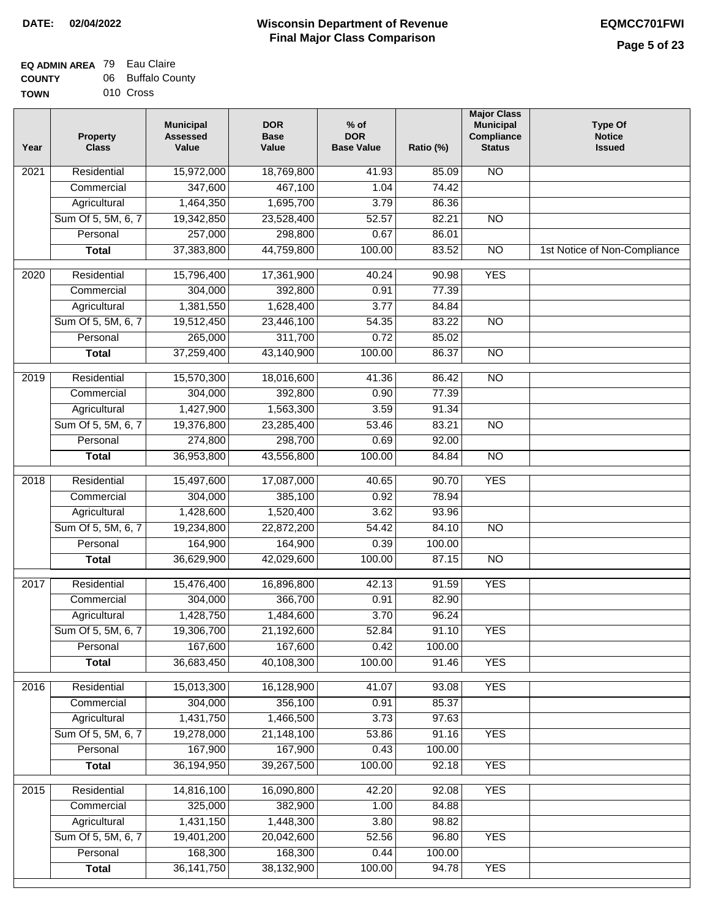## **EQ ADMIN AREA** 79 Eau Claire **COUNTY** 06 Buffalo County

**TOWN** 010 Cross

| Year | <b>Property</b><br><b>Class</b> | <b>Municipal</b><br><b>Assessed</b><br>Value | <b>DOR</b><br><b>Base</b><br>Value | $%$ of<br><b>DOR</b><br><b>Base Value</b> | Ratio (%) | <b>Major Class</b><br><b>Municipal</b><br>Compliance<br><b>Status</b> | <b>Type Of</b><br><b>Notice</b><br><b>Issued</b> |
|------|---------------------------------|----------------------------------------------|------------------------------------|-------------------------------------------|-----------|-----------------------------------------------------------------------|--------------------------------------------------|
| 2021 | Residential                     | 15,972,000                                   | 18,769,800                         | 41.93                                     | 85.09     | N <sub>O</sub>                                                        |                                                  |
|      | Commercial                      | 347,600                                      | 467,100                            | 1.04                                      | 74.42     |                                                                       |                                                  |
|      | Agricultural                    | 1,464,350                                    | 1,695,700                          | 3.79                                      | 86.36     |                                                                       |                                                  |
|      | Sum Of 5, 5M, 6, 7              | 19,342,850                                   | 23,528,400                         | 52.57                                     | 82.21     | $\overline{NO}$                                                       |                                                  |
|      | Personal                        | 257,000                                      | 298,800                            | 0.67                                      | 86.01     |                                                                       |                                                  |
|      | <b>Total</b>                    | 37,383,800                                   | 44,759,800                         | 100.00                                    | 83.52     | $\overline{NO}$                                                       | 1st Notice of Non-Compliance                     |
| 2020 | Residential                     | 15,796,400                                   | 17,361,900                         | 40.24                                     | 90.98     | <b>YES</b>                                                            |                                                  |
|      | Commercial                      | 304,000                                      | 392,800                            | 0.91                                      | 77.39     |                                                                       |                                                  |
|      | Agricultural                    | 1,381,550                                    | 1,628,400                          | 3.77                                      | 84.84     |                                                                       |                                                  |
|      | Sum Of 5, 5M, 6, 7              | 19,512,450                                   | 23,446,100                         | 54.35                                     | 83.22     | <b>NO</b>                                                             |                                                  |
|      | Personal                        | 265,000                                      | 311,700                            | 0.72                                      | 85.02     |                                                                       |                                                  |
|      | <b>Total</b>                    | 37,259,400                                   | 43,140,900                         | 100.00                                    | 86.37     | <b>NO</b>                                                             |                                                  |
| 2019 | Residential                     | 15,570,300                                   | 18,016,600                         | 41.36                                     | 86.42     | $\overline{NO}$                                                       |                                                  |
|      | Commercial                      | 304,000                                      | 392,800                            | 0.90                                      | 77.39     |                                                                       |                                                  |
|      | Agricultural                    | 1,427,900                                    | 1,563,300                          | 3.59                                      | 91.34     |                                                                       |                                                  |
|      | Sum Of 5, 5M, 6, 7              | 19,376,800                                   | 23,285,400                         | 53.46                                     | 83.21     | <b>NO</b>                                                             |                                                  |
|      | Personal                        | 274,800                                      | 298,700                            | 0.69                                      | 92.00     |                                                                       |                                                  |
|      | <b>Total</b>                    | 36,953,800                                   | 43,556,800                         | 100.00                                    | 84.84     | $\overline{NO}$                                                       |                                                  |
| 2018 | Residential                     | 15,497,600                                   | 17,087,000                         | 40.65                                     | 90.70     | <b>YES</b>                                                            |                                                  |
|      | Commercial                      | 304,000                                      | 385,100                            | 0.92                                      | 78.94     |                                                                       |                                                  |
|      | Agricultural                    | 1,428,600                                    | 1,520,400                          | 3.62                                      | 93.96     |                                                                       |                                                  |
|      | Sum Of 5, 5M, 6, 7              | 19,234,800                                   | 22,872,200                         | 54.42                                     | 84.10     | $\overline{NO}$                                                       |                                                  |
|      | Personal                        | 164,900                                      | 164,900                            | 0.39                                      | 100.00    |                                                                       |                                                  |
|      | <b>Total</b>                    | 36,629,900                                   | 42,029,600                         | 100.00                                    | 87.15     | <b>NO</b>                                                             |                                                  |
| 2017 | Residential                     | 15,476,400                                   | 16,896,800                         | 42.13                                     | 91.59     | <b>YES</b>                                                            |                                                  |
|      | Commercial                      | 304,000                                      | 366,700                            | 0.91                                      | 82.90     |                                                                       |                                                  |
|      | Agricultural                    | 1,428,750                                    | 1,484,600                          | 3.70                                      | 96.24     |                                                                       |                                                  |
|      | Sum Of 5, 5M, 6, 7              | 19,306,700                                   | 21,192,600                         | 52.84                                     | 91.10     | <b>YES</b>                                                            |                                                  |
|      | Personal                        | 167,600                                      | 167,600                            | 0.42                                      | 100.00    |                                                                       |                                                  |
|      | <b>Total</b>                    | 36,683,450                                   | 40,108,300                         | 100.00                                    | 91.46     | <b>YES</b>                                                            |                                                  |
| 2016 | Residential                     | 15,013,300                                   | 16,128,900                         | 41.07                                     | 93.08     | <b>YES</b>                                                            |                                                  |
|      | Commercial                      | 304,000                                      | 356,100                            | 0.91                                      | 85.37     |                                                                       |                                                  |
|      | Agricultural                    | 1,431,750                                    | 1,466,500                          | 3.73                                      | 97.63     |                                                                       |                                                  |
|      | Sum Of 5, 5M, 6, 7              | 19,278,000                                   | 21,148,100                         | 53.86                                     | 91.16     | <b>YES</b>                                                            |                                                  |
|      | Personal                        | 167,900                                      | 167,900                            | 0.43                                      | 100.00    |                                                                       |                                                  |
|      | <b>Total</b>                    | 36,194,950                                   | 39,267,500                         | 100.00                                    | 92.18     | <b>YES</b>                                                            |                                                  |
| 2015 | Residential                     | 14,816,100                                   | 16,090,800                         | 42.20                                     | 92.08     | <b>YES</b>                                                            |                                                  |
|      | Commercial                      | 325,000                                      | 382,900                            | 1.00                                      | 84.88     |                                                                       |                                                  |
|      | Agricultural                    | 1,431,150                                    | 1,448,300                          | 3.80                                      | 98.82     |                                                                       |                                                  |
|      | Sum Of 5, 5M, 6, 7              | 19,401,200                                   | 20,042,600                         | 52.56                                     | 96.80     | <b>YES</b>                                                            |                                                  |
|      | Personal                        | 168,300                                      | 168,300                            | 0.44                                      | 100.00    |                                                                       |                                                  |
|      | <b>Total</b>                    | 36, 141, 750                                 | 38,132,900                         | 100.00                                    | 94.78     | <b>YES</b>                                                            |                                                  |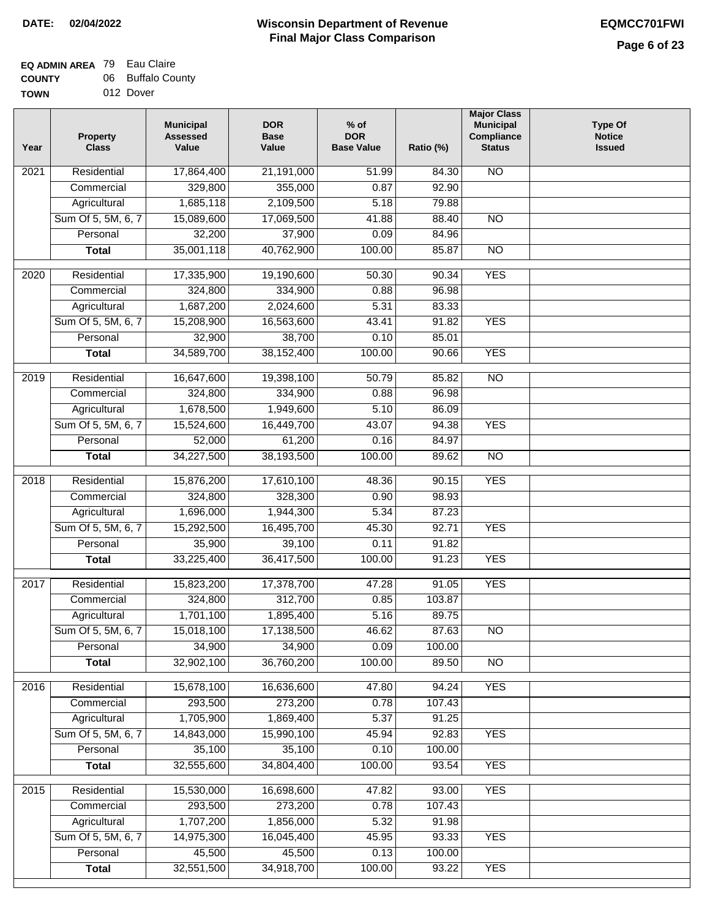## **Wisconsin Department of Revenue Final Major Class Comparison DATE: 02/04/2022 EQMCC701FWI**

٦

| --------    | --- | _ _ _ _ _ _ _ |  |
|-------------|-----|---------------|--|
| <b>TOWN</b> |     | 012 Dover     |  |

| Year              | <b>Property</b><br><b>Class</b> | <b>Municipal</b><br><b>Assessed</b><br>Value | <b>DOR</b><br><b>Base</b><br>Value | $%$ of<br><b>DOR</b><br><b>Base Value</b> | Ratio (%) | <b>Major Class</b><br><b>Municipal</b><br>Compliance<br><b>Status</b> | <b>Type Of</b><br><b>Notice</b><br><b>Issued</b> |
|-------------------|---------------------------------|----------------------------------------------|------------------------------------|-------------------------------------------|-----------|-----------------------------------------------------------------------|--------------------------------------------------|
| 2021              | Residential                     | 17,864,400                                   | 21,191,000                         | 51.99                                     | 84.30     | <b>NO</b>                                                             |                                                  |
|                   | Commercial                      | 329,800                                      | 355,000                            | 0.87                                      | 92.90     |                                                                       |                                                  |
|                   | Agricultural                    | 1,685,118                                    | 2,109,500                          | 5.18                                      | 79.88     |                                                                       |                                                  |
|                   | Sum Of 5, 5M, 6, 7              | 15,089,600                                   | 17,069,500                         | 41.88                                     | 88.40     | $\overline{NO}$                                                       |                                                  |
|                   | Personal                        | 32,200                                       | 37,900                             | 0.09                                      | 84.96     |                                                                       |                                                  |
|                   | <b>Total</b>                    | 35,001,118                                   | 40,762,900                         | 100.00                                    | 85.87     | $\overline{NO}$                                                       |                                                  |
| 2020              | Residential                     | 17,335,900                                   | 19,190,600                         | 50.30                                     | 90.34     | <b>YES</b>                                                            |                                                  |
|                   | Commercial                      | 324,800                                      | 334,900                            | 0.88                                      | 96.98     |                                                                       |                                                  |
|                   | Agricultural                    | 1,687,200                                    | 2,024,600                          | 5.31                                      | 83.33     |                                                                       |                                                  |
|                   | Sum Of 5, 5M, 6, 7              | 15,208,900                                   | 16,563,600                         | 43.41                                     | 91.82     | <b>YES</b>                                                            |                                                  |
|                   | Personal                        | 32,900                                       | 38,700                             | 0.10                                      | 85.01     |                                                                       |                                                  |
|                   | <b>Total</b>                    | 34,589,700                                   | 38, 152, 400                       | 100.00                                    | 90.66     | <b>YES</b>                                                            |                                                  |
|                   |                                 |                                              |                                    |                                           |           |                                                                       |                                                  |
| 2019              | Residential                     | 16,647,600                                   | 19,398,100                         | 50.79                                     | 85.82     | $\overline{10}$                                                       |                                                  |
|                   | Commercial                      | 324,800                                      | 334,900                            | 0.88                                      | 96.98     |                                                                       |                                                  |
|                   | Agricultural                    | 1,678,500                                    | 1,949,600                          | 5.10                                      | 86.09     |                                                                       |                                                  |
|                   | Sum Of 5, 5M, 6, 7              | 15,524,600                                   | 16,449,700                         | 43.07                                     | 94.38     | <b>YES</b>                                                            |                                                  |
|                   | Personal                        | 52,000                                       | 61,200                             | 0.16                                      | 84.97     |                                                                       |                                                  |
|                   | <b>Total</b>                    | 34,227,500                                   | 38,193,500                         | 100.00                                    | 89.62     | $\overline{NO}$                                                       |                                                  |
| $\overline{2018}$ | Residential                     | 15,876,200                                   | 17,610,100                         | 48.36                                     | 90.15     | <b>YES</b>                                                            |                                                  |
|                   | Commercial                      | 324,800                                      | 328,300                            | 0.90                                      | 98.93     |                                                                       |                                                  |
|                   | Agricultural                    | 1,696,000                                    | 1,944,300                          | 5.34                                      | 87.23     |                                                                       |                                                  |
|                   | Sum Of 5, 5M, 6, 7              | 15,292,500                                   | 16,495,700                         | 45.30                                     | 92.71     | <b>YES</b>                                                            |                                                  |
|                   | Personal                        | 35,900                                       | 39,100                             | 0.11                                      | 91.82     |                                                                       |                                                  |
|                   | <b>Total</b>                    | 33,225,400                                   | 36,417,500                         | 100.00                                    | 91.23     | <b>YES</b>                                                            |                                                  |
| 2017              | Residential                     | 15,823,200                                   | 17,378,700                         | 47.28                                     | 91.05     | <b>YES</b>                                                            |                                                  |
|                   | Commercial                      | 324,800                                      | 312,700                            | 0.85                                      | 103.87    |                                                                       |                                                  |
|                   | Agricultural                    | 1,701,100                                    | 1,895,400                          | 5.16                                      | 89.75     |                                                                       |                                                  |
|                   | Sum Of 5, 5M, 6, 7              | 15,018,100                                   | 17,138,500                         | 46.62                                     | 87.63     | <b>NO</b>                                                             |                                                  |
|                   | Personal                        | 34,900                                       | 34,900                             | 0.09                                      | 100.00    |                                                                       |                                                  |
|                   | <b>Total</b>                    | 32,902,100                                   | 36,760,200                         | 100.00                                    | 89.50     | $\overline{NO}$                                                       |                                                  |
| 2016              | Residential                     | 15,678,100                                   | 16,636,600                         | 47.80                                     | 94.24     | <b>YES</b>                                                            |                                                  |
|                   | Commercial                      | 293,500                                      | 273,200                            | 0.78                                      | 107.43    |                                                                       |                                                  |
|                   | Agricultural                    | 1,705,900                                    | 1,869,400                          | 5.37                                      | 91.25     |                                                                       |                                                  |
|                   | Sum Of 5, 5M, 6, 7              | 14,843,000                                   | 15,990,100                         | 45.94                                     | 92.83     | <b>YES</b>                                                            |                                                  |
|                   | Personal                        | 35,100                                       | 35,100                             | 0.10                                      | 100.00    |                                                                       |                                                  |
|                   | <b>Total</b>                    | 32,555,600                                   | 34,804,400                         | 100.00                                    | 93.54     | <b>YES</b>                                                            |                                                  |
|                   |                                 |                                              |                                    |                                           |           |                                                                       |                                                  |
| 2015              | Residential                     | 15,530,000                                   | 16,698,600                         | 47.82                                     | 93.00     | <b>YES</b>                                                            |                                                  |
|                   | Commercial                      | 293,500                                      | 273,200                            | 0.78                                      | 107.43    |                                                                       |                                                  |
|                   | Agricultural                    | 1,707,200                                    | 1,856,000                          | 5.32                                      | 91.98     |                                                                       |                                                  |
|                   | Sum Of 5, 5M, 6, 7              | 14,975,300                                   | 16,045,400                         | 45.95                                     | 93.33     | <b>YES</b>                                                            |                                                  |
|                   | Personal                        | 45,500                                       | 45,500                             | 0.13                                      | 100.00    |                                                                       |                                                  |
|                   | <b>Total</b>                    | 32,551,500                                   | 34,918,700                         | 100.00                                    | 93.22     | <b>YES</b>                                                            |                                                  |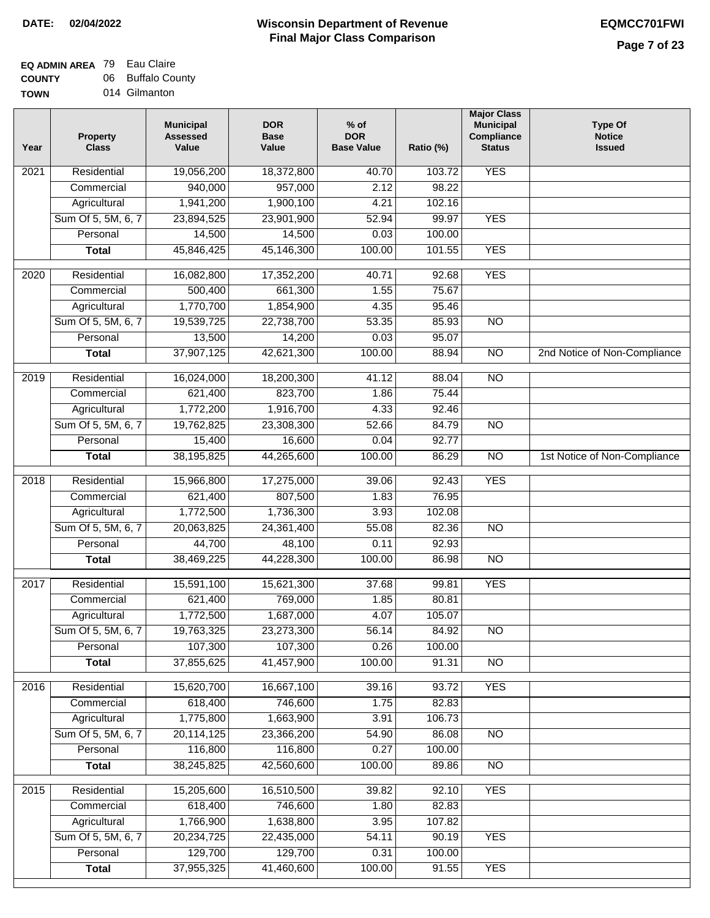#### **EQ ADMIN AREA** 79 Eau Claire **COUNTY** 06 Buffalo County

**TOWN** 014 Gilmanton

| Year              | <b>Property</b><br><b>Class</b> | <b>Municipal</b><br><b>Assessed</b><br>Value | <b>DOR</b><br><b>Base</b><br>Value | % of<br><b>DOR</b><br><b>Base Value</b> | Ratio (%) | <b>Major Class</b><br><b>Municipal</b><br>Compliance<br><b>Status</b> | <b>Type Of</b><br><b>Notice</b><br><b>Issued</b> |
|-------------------|---------------------------------|----------------------------------------------|------------------------------------|-----------------------------------------|-----------|-----------------------------------------------------------------------|--------------------------------------------------|
| $\overline{202}1$ | Residential                     | 19,056,200                                   | 18,372,800                         | 40.70                                   | 103.72    | <b>YES</b>                                                            |                                                  |
|                   | Commercial                      | 940,000                                      | 957,000                            | 2.12                                    | 98.22     |                                                                       |                                                  |
|                   | Agricultural                    | 1,941,200                                    | 1,900,100                          | 4.21                                    | 102.16    |                                                                       |                                                  |
|                   | Sum Of 5, 5M, 6, 7              | 23,894,525                                   | 23,901,900                         | 52.94                                   | 99.97     | <b>YES</b>                                                            |                                                  |
|                   | Personal                        | 14,500                                       | 14,500                             | 0.03                                    | 100.00    |                                                                       |                                                  |
|                   | <b>Total</b>                    | 45,846,425                                   | 45,146,300                         | 100.00                                  | 101.55    | <b>YES</b>                                                            |                                                  |
| $\overline{2020}$ | Residential                     | 16,082,800                                   | 17,352,200                         | 40.71                                   | 92.68     | <b>YES</b>                                                            |                                                  |
|                   | Commercial                      | 500,400                                      | 661,300                            | 1.55                                    | 75.67     |                                                                       |                                                  |
|                   | Agricultural                    | 1,770,700                                    | 1,854,900                          | 4.35                                    | 95.46     |                                                                       |                                                  |
|                   | Sum Of 5, 5M, 6, 7              | 19,539,725                                   | 22,738,700                         | 53.35                                   | 85.93     | $\overline{NO}$                                                       |                                                  |
|                   | Personal                        | 13,500                                       | 14,200                             | 0.03                                    | 95.07     |                                                                       |                                                  |
|                   | <b>Total</b>                    | 37,907,125                                   | 42,621,300                         | 100.00                                  | 88.94     | $\overline{NO}$                                                       | 2nd Notice of Non-Compliance                     |
| 2019              | Residential                     | 16,024,000                                   | 18,200,300                         | 41.12                                   | 88.04     | $\overline{3}$                                                        |                                                  |
|                   | Commercial                      | 621,400                                      | 823,700                            | 1.86                                    | 75.44     |                                                                       |                                                  |
|                   | Agricultural                    | 1,772,200                                    | 1,916,700                          | 4.33                                    | 92.46     |                                                                       |                                                  |
|                   | Sum Of 5, 5M, 6, 7              | 19,762,825                                   | 23,308,300                         | 52.66                                   | 84.79     | $\overline{NO}$                                                       |                                                  |
|                   | Personal                        | 15,400                                       | 16,600                             | 0.04                                    | 92.77     |                                                                       |                                                  |
|                   | <b>Total</b>                    | 38,195,825                                   | 44,265,600                         | 100.00                                  | 86.29     | $\overline{NO}$                                                       | 1st Notice of Non-Compliance                     |
|                   |                                 |                                              |                                    |                                         |           |                                                                       |                                                  |
| 2018              | Residential                     | 15,966,800                                   | 17,275,000                         | 39.06                                   | 92.43     | <b>YES</b>                                                            |                                                  |
|                   | Commercial                      | 621,400                                      | 807,500                            | 1.83                                    | 76.95     |                                                                       |                                                  |
|                   | Agricultural                    | 1,772,500                                    | 1,736,300                          | 3.93                                    | 102.08    |                                                                       |                                                  |
|                   | Sum Of 5, 5M, 6, 7              | 20,063,825                                   | 24,361,400                         | 55.08                                   | 82.36     | $\overline{3}$                                                        |                                                  |
|                   | Personal                        | 44,700                                       | 48,100                             | 0.11                                    | 92.93     |                                                                       |                                                  |
|                   | <b>Total</b>                    | 38,469,225                                   | 44,228,300                         | 100.00                                  | 86.98     | <b>NO</b>                                                             |                                                  |
| 2017              | Residential                     | 15,591,100                                   | 15,621,300                         | 37.68                                   | 99.81     | <b>YES</b>                                                            |                                                  |
|                   | Commercial                      | 621,400                                      | 769,000                            | 1.85                                    | 80.81     |                                                                       |                                                  |
|                   | Agricultural                    | 1,772,500                                    | 1,687,000                          | 4.07                                    | 105.07    |                                                                       |                                                  |
|                   | Sum Of 5, 5M, 6, 7              | 19,763,325                                   | 23,273,300                         | 56.14                                   | 84.92     | N <sub>O</sub>                                                        |                                                  |
|                   | Personal                        | 107,300                                      | 107,300                            | 0.26                                    | 100.00    |                                                                       |                                                  |
|                   | <b>Total</b>                    | 37,855,625                                   | 41,457,900                         | 100.00                                  | 91.31     | <b>NO</b>                                                             |                                                  |
| 2016              | Residential                     | 15,620,700                                   | 16,667,100                         | 39.16                                   | 93.72     | <b>YES</b>                                                            |                                                  |
|                   | Commercial                      | 618,400                                      | 746,600                            | 1.75                                    | 82.83     |                                                                       |                                                  |
|                   | Agricultural                    | 1,775,800                                    | 1,663,900                          | 3.91                                    | 106.73    |                                                                       |                                                  |
|                   | Sum Of 5, 5M, 6, 7              | 20,114,125                                   | 23,366,200                         | 54.90                                   | 86.08     | N <sub>O</sub>                                                        |                                                  |
|                   | Personal                        | 116,800                                      | 116,800                            | 0.27                                    | 100.00    |                                                                       |                                                  |
|                   | <b>Total</b>                    | 38,245,825                                   | 42,560,600                         | 100.00                                  | 89.86     | N <sub>O</sub>                                                        |                                                  |
|                   |                                 |                                              |                                    |                                         |           |                                                                       |                                                  |
| 2015              | Residential                     | 15,205,600                                   | 16,510,500                         | 39.82                                   | 92.10     | <b>YES</b>                                                            |                                                  |
|                   | Commercial                      | 618,400                                      | 746,600                            | 1.80                                    | 82.83     |                                                                       |                                                  |
|                   | Agricultural                    | 1,766,900                                    | 1,638,800                          | 3.95                                    | 107.82    |                                                                       |                                                  |
|                   | Sum Of 5, 5M, 6, 7              | 20,234,725                                   | 22,435,000                         | 54.11                                   | 90.19     | <b>YES</b>                                                            |                                                  |
|                   | Personal                        | 129,700                                      | 129,700                            | 0.31                                    | 100.00    |                                                                       |                                                  |
|                   | <b>Total</b>                    | 37,955,325                                   | 41,460,600                         | 100.00                                  | 91.55     | <b>YES</b>                                                            |                                                  |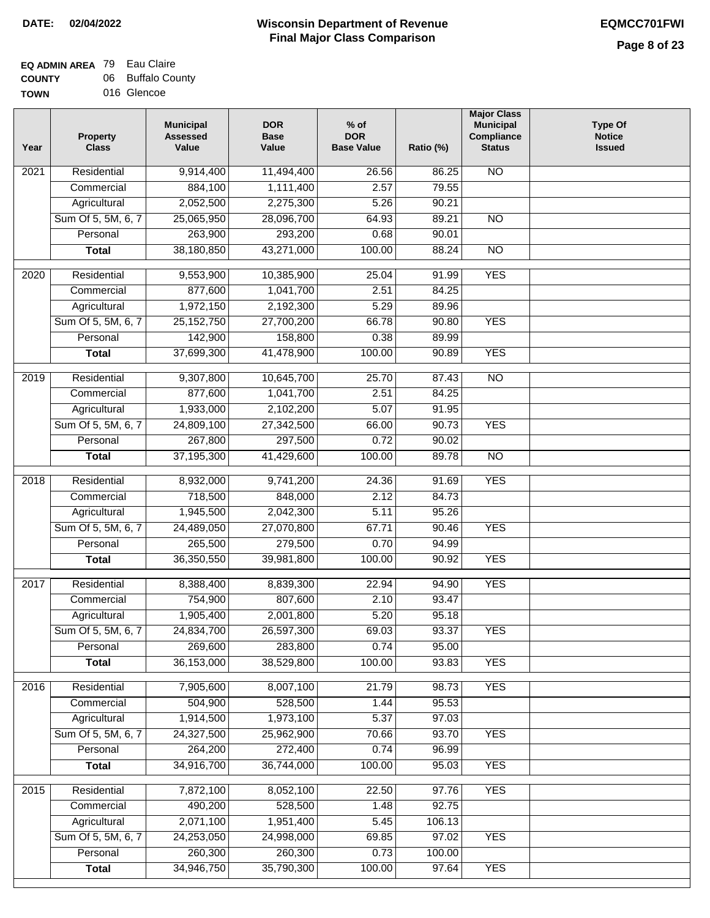## **Wisconsin Department of Revenue Final Major Class Comparison DATE: 02/04/2022 EQMCC701FWI**

#### **EQ ADMIN AREA** 79 Eau Claire **COUNTY** 06 Buffalo County

| -------     |             |  |
|-------------|-------------|--|
| <b>TOWN</b> | 016 Glencoe |  |

| Year              | <b>Property</b><br><b>Class</b> | <b>Municipal</b><br><b>Assessed</b><br>Value | <b>DOR</b><br><b>Base</b><br>Value | $%$ of<br><b>DOR</b><br><b>Base Value</b> | Ratio (%) | <b>Major Class</b><br><b>Municipal</b><br>Compliance<br><b>Status</b> | <b>Type Of</b><br><b>Notice</b><br><b>Issued</b> |
|-------------------|---------------------------------|----------------------------------------------|------------------------------------|-------------------------------------------|-----------|-----------------------------------------------------------------------|--------------------------------------------------|
| 2021              | Residential                     | 9,914,400                                    | 11,494,400                         | 26.56                                     | 86.25     | $\overline{NO}$                                                       |                                                  |
|                   | Commercial                      | 884,100                                      | 1,111,400                          | 2.57                                      | 79.55     |                                                                       |                                                  |
|                   | Agricultural                    | 2,052,500                                    | 2,275,300                          | 5.26                                      | 90.21     |                                                                       |                                                  |
|                   | Sum Of 5, 5M, 6, 7              | 25,065,950                                   | 28,096,700                         | 64.93                                     | 89.21     | $\overline{NO}$                                                       |                                                  |
|                   | Personal                        | 263,900                                      | 293,200                            | 0.68                                      | 90.01     |                                                                       |                                                  |
|                   | <b>Total</b>                    | 38,180,850                                   | 43,271,000                         | 100.00                                    | 88.24     | $\overline{NO}$                                                       |                                                  |
| 2020              | Residential                     | 9,553,900                                    | 10,385,900                         | 25.04                                     | 91.99     | <b>YES</b>                                                            |                                                  |
|                   | Commercial                      | 877,600                                      | 1,041,700                          | 2.51                                      | 84.25     |                                                                       |                                                  |
|                   | Agricultural                    | 1,972,150                                    | 2,192,300                          | 5.29                                      | 89.96     |                                                                       |                                                  |
|                   | Sum Of 5, 5M, 6, 7              | 25, 152, 750                                 | 27,700,200                         | 66.78                                     | 90.80     | <b>YES</b>                                                            |                                                  |
|                   | Personal                        | 142,900                                      | 158,800                            | 0.38                                      | 89.99     |                                                                       |                                                  |
|                   | <b>Total</b>                    | 37,699,300                                   | 41,478,900                         | 100.00                                    | 90.89     | <b>YES</b>                                                            |                                                  |
|                   |                                 |                                              |                                    |                                           |           |                                                                       |                                                  |
| 2019              | Residential                     | 9,307,800                                    | 10,645,700                         | 25.70                                     | 87.43     | $\overline{NO}$                                                       |                                                  |
|                   | Commercial                      | 877,600                                      | 1,041,700                          | 2.51                                      | 84.25     |                                                                       |                                                  |
|                   | Agricultural                    | 1,933,000                                    | 2,102,200                          | 5.07                                      | 91.95     |                                                                       |                                                  |
|                   | Sum Of 5, 5M, 6, 7              | 24,809,100                                   | 27,342,500                         | 66.00                                     | 90.73     | <b>YES</b>                                                            |                                                  |
|                   | Personal                        | 267,800                                      | 297,500                            | 0.72                                      | 90.02     |                                                                       |                                                  |
|                   | <b>Total</b>                    | 37,195,300                                   | 41,429,600                         | 100.00                                    | 89.78     | $\overline{NO}$                                                       |                                                  |
| $\overline{2018}$ | Residential                     | 8,932,000                                    | 9,741,200                          | 24.36                                     | 91.69     | <b>YES</b>                                                            |                                                  |
|                   | Commercial                      | 718,500                                      | 848,000                            | 2.12                                      | 84.73     |                                                                       |                                                  |
|                   | Agricultural                    | 1,945,500                                    | 2,042,300                          | 5.11                                      | 95.26     |                                                                       |                                                  |
|                   | Sum Of 5, 5M, 6, 7              | 24,489,050                                   | 27,070,800                         | 67.71                                     | 90.46     | <b>YES</b>                                                            |                                                  |
|                   | Personal                        | 265,500                                      | 279,500                            | 0.70                                      | 94.99     |                                                                       |                                                  |
|                   | <b>Total</b>                    | 36,350,550                                   | 39,981,800                         | 100.00                                    | 90.92     | <b>YES</b>                                                            |                                                  |
| 2017              | Residential                     | 8,388,400                                    | 8,839,300                          | 22.94                                     | 94.90     | <b>YES</b>                                                            |                                                  |
|                   | Commercial                      | 754,900                                      | 807,600                            | 2.10                                      | 93.47     |                                                                       |                                                  |
|                   | Agricultural                    | 1,905,400                                    | 2,001,800                          | 5.20                                      | 95.18     |                                                                       |                                                  |
|                   | Sum Of 5, 5M, 6, 7              | 24,834,700                                   | 26,597,300                         | 69.03                                     | 93.37     | <b>YES</b>                                                            |                                                  |
|                   | Personal                        | 269,600                                      | 283,800                            | 0.74                                      | 95.00     |                                                                       |                                                  |
|                   | <b>Total</b>                    | 36,153,000                                   | 38,529,800                         | 100.00                                    | 93.83     | <b>YES</b>                                                            |                                                  |
|                   |                                 |                                              |                                    |                                           |           |                                                                       |                                                  |
| 2016              | Residential                     | 7,905,600                                    | 8,007,100                          | 21.79                                     | 98.73     | <b>YES</b>                                                            |                                                  |
|                   | Commercial                      | 504,900                                      | 528,500                            | 1.44                                      | 95.53     |                                                                       |                                                  |
|                   | Agricultural                    | 1,914,500                                    | 1,973,100                          | 5.37                                      | 97.03     |                                                                       |                                                  |
|                   | Sum Of 5, 5M, 6, 7              | 24,327,500                                   | 25,962,900                         | 70.66                                     | 93.70     | <b>YES</b>                                                            |                                                  |
|                   | Personal                        | 264,200                                      | 272,400                            | 0.74                                      | 96.99     |                                                                       |                                                  |
|                   | <b>Total</b>                    | 34,916,700                                   | 36,744,000                         | 100.00                                    | 95.03     | <b>YES</b>                                                            |                                                  |
| 2015              | Residential                     | 7,872,100                                    | 8,052,100                          | 22.50                                     | 97.76     | <b>YES</b>                                                            |                                                  |
|                   | Commercial                      | 490,200                                      | 528,500                            | 1.48                                      | 92.75     |                                                                       |                                                  |
|                   | Agricultural                    | 2,071,100                                    | 1,951,400                          | 5.45                                      | 106.13    |                                                                       |                                                  |
|                   | Sum Of 5, 5M, 6, 7              | 24,253,050                                   | 24,998,000                         | 69.85                                     | 97.02     | <b>YES</b>                                                            |                                                  |
|                   | Personal                        | 260,300                                      | 260,300                            | 0.73                                      | 100.00    |                                                                       |                                                  |
|                   | <b>Total</b>                    | 34,946,750                                   | 35,790,300                         | 100.00                                    | 97.64     | <b>YES</b>                                                            |                                                  |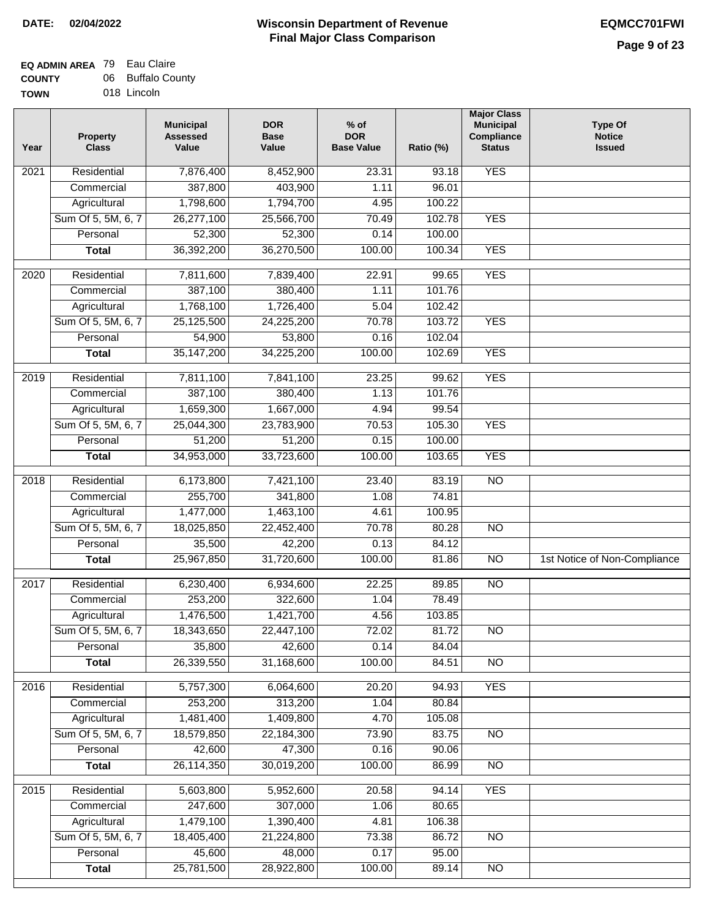#### **EQ ADMIN AREA** 79 Eau Claire **COUNTY** 06 Buffalo County

**TOWN** 018 Lincoln

| Year | <b>Property</b><br><b>Class</b> | <b>Municipal</b><br><b>Assessed</b><br>Value | <b>DOR</b><br><b>Base</b><br>Value | $%$ of<br><b>DOR</b><br><b>Base Value</b> | Ratio (%) | <b>Major Class</b><br><b>Municipal</b><br>Compliance<br><b>Status</b> | <b>Type Of</b><br><b>Notice</b><br><b>Issued</b> |
|------|---------------------------------|----------------------------------------------|------------------------------------|-------------------------------------------|-----------|-----------------------------------------------------------------------|--------------------------------------------------|
| 2021 | Residential                     | 7,876,400                                    | 8,452,900                          | 23.31                                     | 93.18     | <b>YES</b>                                                            |                                                  |
|      | Commercial                      | 387,800                                      | 403,900                            | 1.11                                      | 96.01     |                                                                       |                                                  |
|      | Agricultural                    | 1,798,600                                    | 1,794,700                          | 4.95                                      | 100.22    |                                                                       |                                                  |
|      | Sum Of 5, 5M, 6, 7              | 26,277,100                                   | 25,566,700                         | 70.49                                     | 102.78    | <b>YES</b>                                                            |                                                  |
|      | Personal                        | 52,300                                       | 52,300                             | 0.14                                      | 100.00    |                                                                       |                                                  |
|      | <b>Total</b>                    | 36,392,200                                   | 36,270,500                         | 100.00                                    | 100.34    | <b>YES</b>                                                            |                                                  |
| 2020 | Residential                     | 7,811,600                                    | 7,839,400                          | 22.91                                     | 99.65     | <b>YES</b>                                                            |                                                  |
|      | Commercial                      | 387,100                                      | 380,400                            | 1.11                                      | 101.76    |                                                                       |                                                  |
|      | Agricultural                    | 1,768,100                                    | 1,726,400                          | 5.04                                      | 102.42    |                                                                       |                                                  |
|      | Sum Of 5, 5M, 6, 7              | 25,125,500                                   | 24,225,200                         | 70.78                                     | 103.72    | <b>YES</b>                                                            |                                                  |
|      | Personal                        | 54,900                                       | 53,800                             | 0.16                                      | 102.04    |                                                                       |                                                  |
|      | <b>Total</b>                    | 35, 147, 200                                 | 34,225,200                         | 100.00                                    | 102.69    | <b>YES</b>                                                            |                                                  |
| 2019 | Residential                     | 7,811,100                                    | 7,841,100                          | 23.25                                     | 99.62     | <b>YES</b>                                                            |                                                  |
|      | Commercial                      | 387,100                                      | 380,400                            | 1.13                                      | 101.76    |                                                                       |                                                  |
|      | Agricultural                    | 1,659,300                                    | 1,667,000                          | 4.94                                      | 99.54     |                                                                       |                                                  |
|      | Sum Of 5, 5M, 6, 7              | 25,044,300                                   | 23,783,900                         | 70.53                                     | 105.30    | <b>YES</b>                                                            |                                                  |
|      | Personal                        | 51,200                                       | 51,200                             | 0.15                                      | 100.00    |                                                                       |                                                  |
|      | <b>Total</b>                    | 34,953,000                                   | 33,723,600                         | 100.00                                    | 103.65    | <b>YES</b>                                                            |                                                  |
| 2018 | Residential                     | 6,173,800                                    | 7,421,100                          | 23.40                                     | 83.19     | $\overline{N}$                                                        |                                                  |
|      | Commercial                      | 255,700                                      | 341,800                            | 1.08                                      | 74.81     |                                                                       |                                                  |
|      | Agricultural                    | 1,477,000                                    | 1,463,100                          | 4.61                                      | 100.95    |                                                                       |                                                  |
|      | Sum Of 5, 5M, 6, 7              | 18,025,850                                   | 22,452,400                         | 70.78                                     | 80.28     | $\overline{N}$                                                        |                                                  |
|      | Personal                        | 35,500                                       | 42,200                             | 0.13                                      | 84.12     |                                                                       |                                                  |
|      | <b>Total</b>                    | 25,967,850                                   | 31,720,600                         | 100.00                                    | 81.86     | <b>NO</b>                                                             | 1st Notice of Non-Compliance                     |
| 2017 | Residential                     | 6,230,400                                    | 6,934,600                          | 22.25                                     | 89.85     | $\overline{NO}$                                                       |                                                  |
|      | Commercial                      | 253,200                                      | 322,600                            | 1.04                                      | 78.49     |                                                                       |                                                  |
|      | Agricultural                    | 1,476,500                                    | 1,421,700                          | 4.56                                      | 103.85    |                                                                       |                                                  |
|      | Sum Of 5, 5M, 6, 7              | 18,343,650                                   | 22,447,100                         | 72.02                                     | 81.72     | <b>NO</b>                                                             |                                                  |
|      | Personal                        | 35,800                                       | 42,600                             | 0.14                                      | 84.04     |                                                                       |                                                  |
|      | <b>Total</b>                    | 26,339,550                                   | 31,168,600                         | 100.00                                    | 84.51     | <b>NO</b>                                                             |                                                  |
| 2016 | Residential                     | 5,757,300                                    | 6,064,600                          | 20.20                                     | 94.93     | <b>YES</b>                                                            |                                                  |
|      | Commercial                      | 253,200                                      | 313,200                            | 1.04                                      | 80.84     |                                                                       |                                                  |
|      | Agricultural                    | 1,481,400                                    | 1,409,800                          | 4.70                                      | 105.08    |                                                                       |                                                  |
|      | Sum Of 5, 5M, 6, 7              | 18,579,850                                   | 22,184,300                         | 73.90                                     | 83.75     | $\overline{NO}$                                                       |                                                  |
|      | Personal                        | 42,600                                       | 47,300                             | 0.16                                      | 90.06     |                                                                       |                                                  |
|      | <b>Total</b>                    | 26,114,350                                   | 30,019,200                         | 100.00                                    | 86.99     | $\overline{NO}$                                                       |                                                  |
| 2015 | Residential                     | 5,603,800                                    | 5,952,600                          | 20.58                                     | 94.14     | <b>YES</b>                                                            |                                                  |
|      | Commercial                      | 247,600                                      | 307,000                            | 1.06                                      | 80.65     |                                                                       |                                                  |
|      | Agricultural                    | 1,479,100                                    | 1,390,400                          | 4.81                                      | 106.38    |                                                                       |                                                  |
|      | Sum Of 5, 5M, 6, 7              | 18,405,400                                   | 21,224,800                         | 73.38                                     | 86.72     | <b>NO</b>                                                             |                                                  |
|      | Personal                        | 45,600                                       | 48,000                             | 0.17                                      | 95.00     |                                                                       |                                                  |
|      | <b>Total</b>                    | 25,781,500                                   | 28,922,800                         | 100.00                                    | 89.14     | N <sub>O</sub>                                                        |                                                  |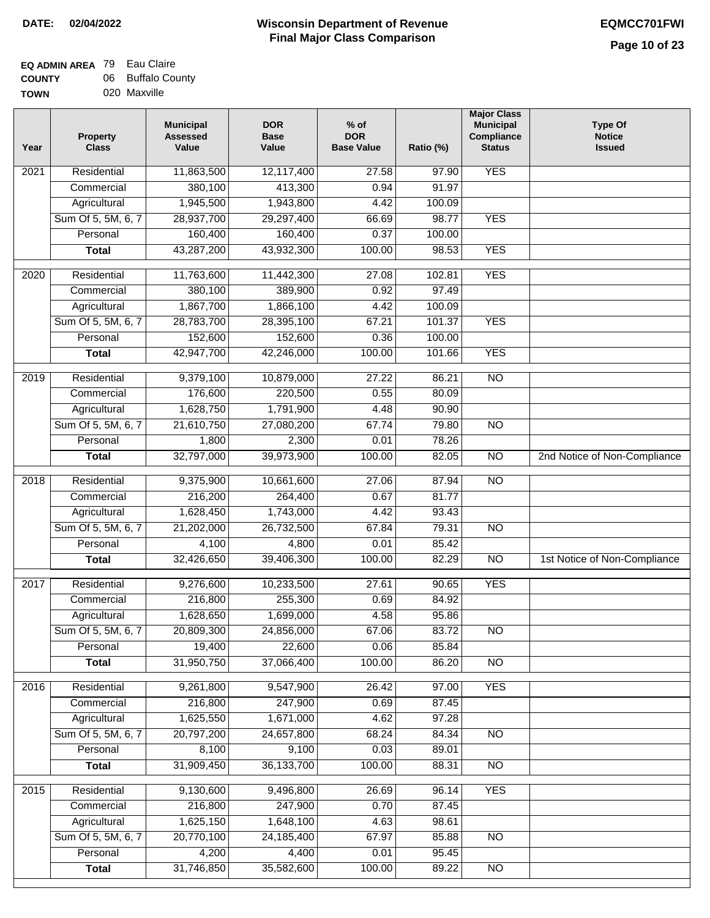٦

#### **EQ ADMIN AREA** 79 Eau Claire **COUNTY** 06 Buffalo County

| -------     |              |  |  |
|-------------|--------------|--|--|
| <b>TOWN</b> | 020 Maxville |  |  |

| Year | <b>Property</b><br><b>Class</b> | <b>Municipal</b><br><b>Assessed</b><br>Value | <b>DOR</b><br><b>Base</b><br>Value | $%$ of<br><b>DOR</b><br><b>Base Value</b> | Ratio (%) | <b>Major Class</b><br><b>Municipal</b><br>Compliance<br><b>Status</b> | <b>Type Of</b><br><b>Notice</b><br><b>Issued</b> |
|------|---------------------------------|----------------------------------------------|------------------------------------|-------------------------------------------|-----------|-----------------------------------------------------------------------|--------------------------------------------------|
| 2021 | Residential                     | 11,863,500                                   | 12,117,400                         | 27.58                                     | 97.90     | <b>YES</b>                                                            |                                                  |
|      | Commercial                      | 380,100                                      | 413,300                            | 0.94                                      | 91.97     |                                                                       |                                                  |
|      | Agricultural                    | 1,945,500                                    | 1,943,800                          | 4.42                                      | 100.09    |                                                                       |                                                  |
|      | Sum Of 5, 5M, 6, 7              | 28,937,700                                   | 29,297,400                         | 66.69                                     | 98.77     | <b>YES</b>                                                            |                                                  |
|      | Personal                        | 160,400                                      | 160,400                            | 0.37                                      | 100.00    |                                                                       |                                                  |
|      | <b>Total</b>                    | 43,287,200                                   | 43,932,300                         | 100.00                                    | 98.53     | <b>YES</b>                                                            |                                                  |
| 2020 | Residential                     | 11,763,600                                   | 11,442,300                         | 27.08                                     | 102.81    | <b>YES</b>                                                            |                                                  |
|      | Commercial                      | 380,100                                      | 389,900                            | 0.92                                      | 97.49     |                                                                       |                                                  |
|      | Agricultural                    | 1,867,700                                    | 1,866,100                          | 4.42                                      | 100.09    |                                                                       |                                                  |
|      | Sum Of 5, 5M, 6, 7              | 28,783,700                                   | 28,395,100                         | 67.21                                     | 101.37    | <b>YES</b>                                                            |                                                  |
|      | Personal                        | 152,600                                      | 152,600                            | 0.36                                      | 100.00    |                                                                       |                                                  |
|      | <b>Total</b>                    | 42,947,700                                   | 42,246,000                         | 100.00                                    | 101.66    | <b>YES</b>                                                            |                                                  |
| 2019 | Residential                     | 9,379,100                                    | 10,879,000                         | 27.22                                     | 86.21     | <b>NO</b>                                                             |                                                  |
|      | Commercial                      | 176,600                                      | 220,500                            | 0.55                                      | 80.09     |                                                                       |                                                  |
|      | Agricultural                    | 1,628,750                                    | 1,791,900                          | 4.48                                      | 90.90     |                                                                       |                                                  |
|      | Sum Of 5, 5M, 6, 7              | 21,610,750                                   | 27,080,200                         | 67.74                                     | 79.80     | $\overline{NO}$                                                       |                                                  |
|      | Personal                        | 1,800                                        | 2,300                              | 0.01                                      | 78.26     |                                                                       |                                                  |
|      | <b>Total</b>                    | 32,797,000                                   | 39,973,900                         | 100.00                                    | 82.05     | $\overline{NO}$                                                       | 2nd Notice of Non-Compliance                     |
| 2018 | Residential                     | 9,375,900                                    | 10,661,600                         | 27.06                                     | 87.94     | <b>NO</b>                                                             |                                                  |
|      | Commercial                      | 216,200                                      | 264,400                            | 0.67                                      | 81.77     |                                                                       |                                                  |
|      | Agricultural                    | 1,628,450                                    | 1,743,000                          | 4.42                                      | 93.43     |                                                                       |                                                  |
|      | Sum Of 5, 5M, 6, 7              | 21,202,000                                   | 26,732,500                         | 67.84                                     | 79.31     | <b>NO</b>                                                             |                                                  |
|      | Personal                        | 4,100                                        | 4,800                              | 0.01                                      | 85.42     |                                                                       |                                                  |
|      | <b>Total</b>                    | 32,426,650                                   | 39,406,300                         | 100.00                                    | 82.29     | $\overline{NO}$                                                       | 1st Notice of Non-Compliance                     |
| 2017 | Residential                     | 9,276,600                                    | 10,233,500                         | 27.61                                     | 90.65     | <b>YES</b>                                                            |                                                  |
|      | Commercial                      | 216,800                                      | 255,300                            | 0.69                                      | 84.92     |                                                                       |                                                  |
|      | Agricultural                    | 1,628,650                                    | 1,699,000                          | 4.58                                      | 95.86     |                                                                       |                                                  |
|      | Sum Of 5, 5M, 6, 7              | 20,809,300                                   | 24,856,000                         | 67.06                                     | 83.72     | <b>NO</b>                                                             |                                                  |
|      | Personal                        | 19,400                                       | 22,600                             | 0.06                                      | 85.84     |                                                                       |                                                  |
|      | <b>Total</b>                    | 31,950,750                                   | 37,066,400                         | 100.00                                    | 86.20     | $\overline{NO}$                                                       |                                                  |
| 2016 | Residential                     | 9,261,800                                    | 9,547,900                          | 26.42                                     | 97.00     | <b>YES</b>                                                            |                                                  |
|      | Commercial                      | 216,800                                      | 247,900                            | 0.69                                      | 87.45     |                                                                       |                                                  |
|      | Agricultural                    | 1,625,550                                    | 1,671,000                          | 4.62                                      | 97.28     |                                                                       |                                                  |
|      | Sum Of 5, 5M, 6, 7              | 20,797,200                                   | 24,657,800                         | 68.24                                     | 84.34     | <b>NO</b>                                                             |                                                  |
|      | Personal                        | 8,100                                        | 9,100                              | 0.03                                      | 89.01     |                                                                       |                                                  |
|      | <b>Total</b>                    | 31,909,450                                   | 36, 133, 700                       | 100.00                                    | 88.31     | $\overline{NO}$                                                       |                                                  |
| 2015 | Residential                     | 9,130,600                                    | 9,496,800                          | 26.69                                     | 96.14     | <b>YES</b>                                                            |                                                  |
|      | Commercial                      | 216,800                                      | 247,900                            | 0.70                                      | 87.45     |                                                                       |                                                  |
|      | Agricultural                    | 1,625,150                                    | 1,648,100                          | 4.63                                      | 98.61     |                                                                       |                                                  |
|      | Sum Of 5, 5M, 6, 7              | 20,770,100                                   | 24, 185, 400                       | 67.97                                     | 85.88     | <b>NO</b>                                                             |                                                  |
|      | Personal                        | 4,200                                        | 4,400                              | 0.01                                      | 95.45     |                                                                       |                                                  |
|      | <b>Total</b>                    | 31,746,850                                   | 35,582,600                         | 100.00                                    | 89.22     | $\overline{NO}$                                                       |                                                  |
|      |                                 |                                              |                                    |                                           |           |                                                                       |                                                  |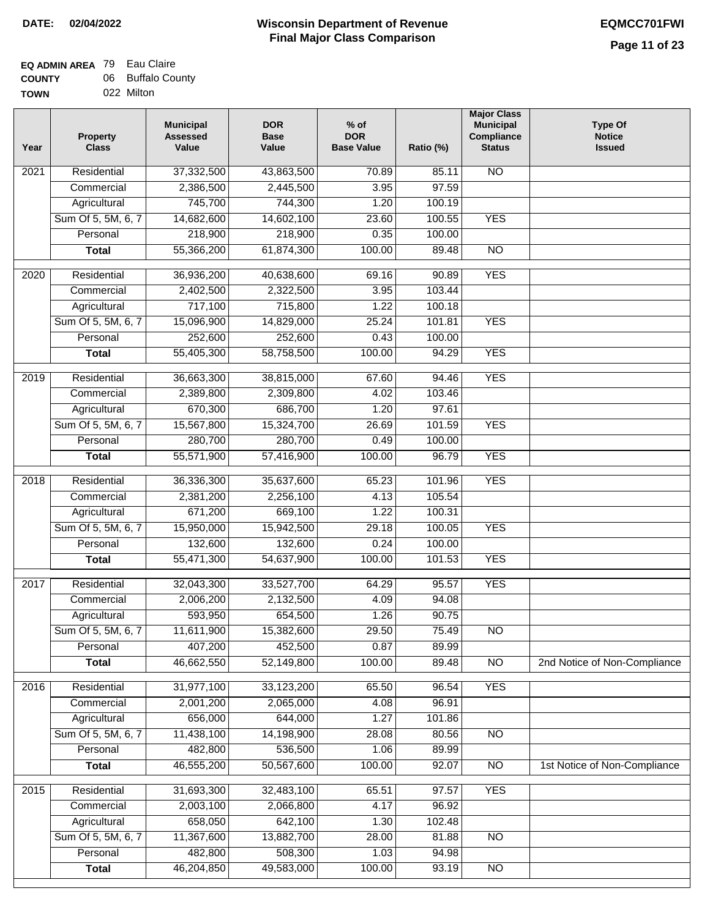#### **EQ ADMIN AREA** 79 Eau Claire **COUNTY TOWN** 06 Buffalo County 022 Milton

| Year | <b>Property</b><br><b>Class</b> | <b>Municipal</b><br><b>Assessed</b><br>Value | <b>DOR</b><br><b>Base</b><br>Value | $%$ of<br><b>DOR</b><br><b>Base Value</b> | Ratio (%) | <b>Major Class</b><br><b>Municipal</b><br>Compliance<br><b>Status</b> | <b>Type Of</b><br><b>Notice</b><br><b>Issued</b> |
|------|---------------------------------|----------------------------------------------|------------------------------------|-------------------------------------------|-----------|-----------------------------------------------------------------------|--------------------------------------------------|
| 2021 | Residential                     | 37,332,500                                   | 43,863,500                         | 70.89                                     | 85.11     | N <sub>O</sub>                                                        |                                                  |
|      | Commercial                      | 2,386,500                                    | 2,445,500                          | 3.95                                      | 97.59     |                                                                       |                                                  |
|      | Agricultural                    | 745,700                                      | 744,300                            | 1.20                                      | 100.19    |                                                                       |                                                  |
|      | Sum Of 5, 5M, 6, 7              | 14,682,600                                   | 14,602,100                         | 23.60                                     | 100.55    | <b>YES</b>                                                            |                                                  |
|      | Personal                        | 218,900                                      | 218,900                            | 0.35                                      | 100.00    |                                                                       |                                                  |
|      | <b>Total</b>                    | 55,366,200                                   | 61,874,300                         | 100.00                                    | 89.48     | $\overline{NO}$                                                       |                                                  |
| 2020 | Residential                     | 36,936,200                                   | 40,638,600                         | 69.16                                     | 90.89     | <b>YES</b>                                                            |                                                  |
|      | Commercial                      | 2,402,500                                    | 2,322,500                          | 3.95                                      | 103.44    |                                                                       |                                                  |
|      | Agricultural                    | 717,100                                      | 715,800                            | 1.22                                      | 100.18    |                                                                       |                                                  |
|      | Sum Of 5, 5M, 6, 7              | 15,096,900                                   | 14,829,000                         | 25.24                                     | 101.81    | <b>YES</b>                                                            |                                                  |
|      | Personal                        | 252,600                                      | 252,600                            | 0.43                                      | 100.00    |                                                                       |                                                  |
|      | <b>Total</b>                    | 55,405,300                                   | 58,758,500                         | 100.00                                    | 94.29     | <b>YES</b>                                                            |                                                  |
|      |                                 |                                              |                                    |                                           |           |                                                                       |                                                  |
| 2019 | Residential                     | 36,663,300                                   | 38,815,000                         | 67.60                                     | 94.46     | <b>YES</b>                                                            |                                                  |
|      | Commercial                      | 2,389,800                                    | 2,309,800                          | 4.02                                      | 103.46    |                                                                       |                                                  |
|      | Agricultural                    | 670,300                                      | 686,700                            | 1.20                                      | 97.61     |                                                                       |                                                  |
|      | Sum Of 5, 5M, 6, 7              | 15,567,800                                   | 15,324,700                         | 26.69                                     | 101.59    | <b>YES</b>                                                            |                                                  |
|      | Personal                        | 280,700                                      | 280,700                            | 0.49                                      | 100.00    |                                                                       |                                                  |
|      | <b>Total</b>                    | 55,571,900                                   | 57,416,900                         | 100.00                                    | 96.79     | <b>YES</b>                                                            |                                                  |
| 2018 | Residential                     | 36,336,300                                   | 35,637,600                         | 65.23                                     | 101.96    | <b>YES</b>                                                            |                                                  |
|      | Commercial                      | 2,381,200                                    | 2,256,100                          | 4.13                                      | 105.54    |                                                                       |                                                  |
|      | Agricultural                    | 671,200                                      | 669,100                            | 1.22                                      | 100.31    |                                                                       |                                                  |
|      | Sum Of 5, 5M, 6, 7              | 15,950,000                                   | 15,942,500                         | 29.18                                     | 100.05    | <b>YES</b>                                                            |                                                  |
|      | Personal                        | 132,600                                      | 132,600                            | 0.24                                      | 100.00    |                                                                       |                                                  |
|      | <b>Total</b>                    | 55,471,300                                   | 54,637,900                         | 100.00                                    | 101.53    | <b>YES</b>                                                            |                                                  |
| 2017 | Residential                     | 32,043,300                                   | 33,527,700                         | 64.29                                     | 95.57     | <b>YES</b>                                                            |                                                  |
|      | Commercial                      | 2,006,200                                    | 2,132,500                          | 4.09                                      | 94.08     |                                                                       |                                                  |
|      | Agricultural                    | 593,950                                      | 654,500                            | 1.26                                      | 90.75     |                                                                       |                                                  |
|      | Sum Of 5, 5M, 6, 7              | 11,611,900                                   | 15,382,600                         | 29.50                                     | 75.49     | N <sub>O</sub>                                                        |                                                  |
|      | Personal                        | 407,200                                      | 452,500                            | 0.87                                      | 89.99     |                                                                       |                                                  |
|      | <b>Total</b>                    | 46,662,550                                   | 52,149,800                         | 100.00                                    | 89.48     | <b>NO</b>                                                             | 2nd Notice of Non-Compliance                     |
| 2016 | Residential                     | 31,977,100                                   | 33,123,200                         | 65.50                                     | 96.54     | <b>YES</b>                                                            |                                                  |
|      | Commercial                      | 2,001,200                                    | 2,065,000                          | 4.08                                      | 96.91     |                                                                       |                                                  |
|      | Agricultural                    | 656,000                                      | 644,000                            | 1.27                                      | 101.86    |                                                                       |                                                  |
|      | Sum Of 5, 5M, 6, 7              | 11,438,100                                   | 14,198,900                         | 28.08                                     | 80.56     | N <sub>O</sub>                                                        |                                                  |
|      | Personal                        | 482,800                                      | 536,500                            | 1.06                                      | 89.99     |                                                                       |                                                  |
|      | <b>Total</b>                    | 46,555,200                                   | 50,567,600                         | 100.00                                    | 92.07     | $\overline{NO}$                                                       | 1st Notice of Non-Compliance                     |
| 2015 | Residential                     | 31,693,300                                   | 32,483,100                         | 65.51                                     | 97.57     | <b>YES</b>                                                            |                                                  |
|      | Commercial                      | 2,003,100                                    | 2,066,800                          | 4.17                                      | 96.92     |                                                                       |                                                  |
|      | Agricultural                    | 658,050                                      | 642,100                            | 1.30                                      | 102.48    |                                                                       |                                                  |
|      | Sum Of 5, 5M, 6, 7              | 11,367,600                                   | 13,882,700                         | 28.00                                     | 81.88     | <b>NO</b>                                                             |                                                  |
|      | Personal                        | 482,800                                      | 508,300                            | 1.03                                      | 94.98     |                                                                       |                                                  |
|      | <b>Total</b>                    | 46,204,850                                   | 49,583,000                         | 100.00                                    | 93.19     | $\overline{NO}$                                                       |                                                  |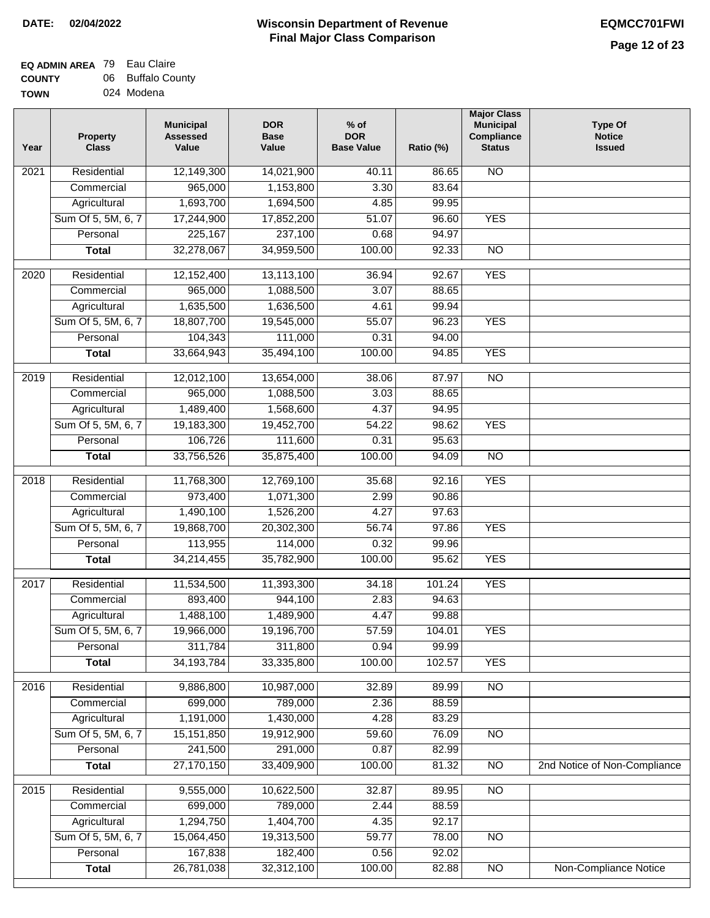| - - - - - - - |            |
|---------------|------------|
| <b>TOWN</b>   | 024 Modena |

| Year              | <b>Property</b><br><b>Class</b> | <b>Municipal</b><br><b>Assessed</b><br>Value | <b>DOR</b><br><b>Base</b><br>Value | % of<br><b>DOR</b><br><b>Base Value</b> | Ratio (%) | <b>Major Class</b><br><b>Municipal</b><br>Compliance<br><b>Status</b> | <b>Type Of</b><br><b>Notice</b><br><b>Issued</b> |
|-------------------|---------------------------------|----------------------------------------------|------------------------------------|-----------------------------------------|-----------|-----------------------------------------------------------------------|--------------------------------------------------|
| $\overline{202}1$ | Residential                     | 12,149,300                                   | 14,021,900                         | 40.11                                   | 86.65     | <b>NO</b>                                                             |                                                  |
|                   | Commercial                      | 965,000                                      | 1,153,800                          | 3.30                                    | 83.64     |                                                                       |                                                  |
|                   | Agricultural                    | 1,693,700                                    | 1,694,500                          | 4.85                                    | 99.95     |                                                                       |                                                  |
|                   | Sum Of 5, 5M, 6, 7              | 17,244,900                                   | 17,852,200                         | 51.07                                   | 96.60     | <b>YES</b>                                                            |                                                  |
|                   | Personal                        | 225,167                                      | 237,100                            | 0.68                                    | 94.97     |                                                                       |                                                  |
|                   | <b>Total</b>                    | 32,278,067                                   | 34,959,500                         | 100.00                                  | 92.33     | $\overline{NO}$                                                       |                                                  |
| $\overline{2020}$ | Residential                     | 12,152,400                                   | 13,113,100                         | 36.94                                   | 92.67     | <b>YES</b>                                                            |                                                  |
|                   | Commercial                      | 965,000                                      | 1,088,500                          | 3.07                                    | 88.65     |                                                                       |                                                  |
|                   | Agricultural                    | 1,635,500                                    | 1,636,500                          | 4.61                                    | 99.94     |                                                                       |                                                  |
|                   | Sum Of 5, 5M, 6, 7              | 18,807,700                                   | 19,545,000                         | 55.07                                   | 96.23     | <b>YES</b>                                                            |                                                  |
|                   | Personal                        | 104,343                                      | 111,000                            | 0.31                                    | 94.00     |                                                                       |                                                  |
|                   | <b>Total</b>                    | 33,664,943                                   | 35,494,100                         | 100.00                                  | 94.85     | <b>YES</b>                                                            |                                                  |
|                   |                                 |                                              |                                    |                                         |           |                                                                       |                                                  |
| $\frac{1}{2019}$  | Residential                     | 12,012,100                                   | 13,654,000                         | 38.06                                   | 87.97     | $\overline{3}$                                                        |                                                  |
|                   | Commercial                      | 965,000                                      | 1,088,500                          | 3.03                                    | 88.65     |                                                                       |                                                  |
|                   | Agricultural                    | 1,489,400                                    | 1,568,600                          | 4.37                                    | 94.95     |                                                                       |                                                  |
|                   | Sum Of 5, 5M, 6, 7              | 19,183,300                                   | 19,452,700                         | 54.22                                   | 98.62     | <b>YES</b>                                                            |                                                  |
|                   | Personal                        | 106,726                                      | 111,600                            | 0.31                                    | 95.63     |                                                                       |                                                  |
|                   | <b>Total</b>                    | 33,756,526                                   | 35,875,400                         | 100.00                                  | 94.09     | $\overline{NO}$                                                       |                                                  |
| 2018              | Residential                     | 11,768,300                                   | 12,769,100                         | 35.68                                   | 92.16     | <b>YES</b>                                                            |                                                  |
|                   | Commercial                      | 973,400                                      | 1,071,300                          | 2.99                                    | 90.86     |                                                                       |                                                  |
|                   | Agricultural                    | 1,490,100                                    | 1,526,200                          | 4.27                                    | 97.63     |                                                                       |                                                  |
|                   | Sum Of 5, 5M, 6, 7              | 19,868,700                                   | 20,302,300                         | 56.74                                   | 97.86     | <b>YES</b>                                                            |                                                  |
|                   | Personal                        | 113,955                                      | 114,000                            | 0.32                                    | 99.96     |                                                                       |                                                  |
|                   | <b>Total</b>                    | 34,214,455                                   | 35,782,900                         | 100.00                                  | 95.62     | <b>YES</b>                                                            |                                                  |
| 2017              | Residential                     | 11,534,500                                   | 11,393,300                         | 34.18                                   | 101.24    | <b>YES</b>                                                            |                                                  |
|                   | Commercial                      | 893,400                                      | 944,100                            | 2.83                                    | 94.63     |                                                                       |                                                  |
|                   | Agricultural                    | 1,488,100                                    | 1,489,900                          | 4.47                                    | 99.88     |                                                                       |                                                  |
|                   | Sum Of 5, 5M, 6, 7              | 19,966,000                                   | 19,196,700                         | 57.59                                   | 104.01    | <b>YES</b>                                                            |                                                  |
|                   | Personal                        | 311,784                                      | 311,800                            | 0.94                                    | 99.99     |                                                                       |                                                  |
|                   | <b>Total</b>                    | 34, 193, 784                                 | 33,335,800                         | 100.00                                  | 102.57    | <b>YES</b>                                                            |                                                  |
| 2016              | Residential                     | 9,886,800                                    | 10,987,000                         | 32.89                                   | 89.99     | N <sub>O</sub>                                                        |                                                  |
|                   | Commercial                      | 699,000                                      | 789,000                            | 2.36                                    | 88.59     |                                                                       |                                                  |
|                   | Agricultural                    | 1,191,000                                    | 1,430,000                          | 4.28                                    | 83.29     |                                                                       |                                                  |
|                   | Sum Of 5, 5M, 6, 7              | 15, 151, 850                                 | 19,912,900                         | 59.60                                   | 76.09     | $\overline{NO}$                                                       |                                                  |
|                   | Personal                        | 241,500                                      | 291,000                            | 0.87                                    | 82.99     |                                                                       |                                                  |
|                   | <b>Total</b>                    | 27,170,150                                   | 33,409,900                         | 100.00                                  | 81.32     | $\overline{NO}$                                                       | 2nd Notice of Non-Compliance                     |
| 2015              | Residential                     | 9,555,000                                    | 10,622,500                         | 32.87                                   | 89.95     | N <sub>O</sub>                                                        |                                                  |
|                   | Commercial                      | 699,000                                      | 789,000                            | 2.44                                    | 88.59     |                                                                       |                                                  |
|                   | Agricultural                    | 1,294,750                                    | 1,404,700                          | 4.35                                    | 92.17     |                                                                       |                                                  |
|                   | Sum Of 5, 5M, 6, 7              | 15,064,450                                   | 19,313,500                         | 59.77                                   | 78.00     | <b>NO</b>                                                             |                                                  |
|                   | Personal                        | 167,838                                      | 182,400                            | 0.56                                    | 92.02     |                                                                       |                                                  |
|                   | <b>Total</b>                    | 26,781,038                                   | 32,312,100                         | 100.00                                  | 82.88     | N <sub>O</sub>                                                        | <b>Non-Compliance Notice</b>                     |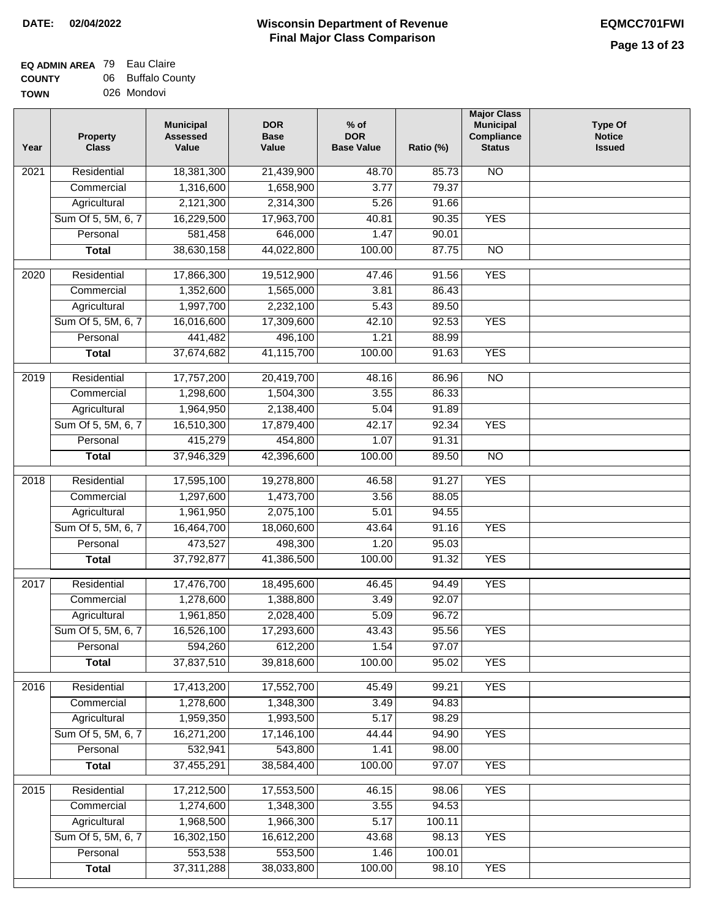| Year              | <b>Property</b><br><b>Class</b> | <b>Municipal</b><br><b>Assessed</b><br>Value | <b>DOR</b><br><b>Base</b><br>Value | $%$ of<br><b>DOR</b><br><b>Base Value</b> | Ratio (%) | <b>Major Class</b><br><b>Municipal</b><br>Compliance<br><b>Status</b> | <b>Type Of</b><br><b>Notice</b><br><b>Issued</b> |
|-------------------|---------------------------------|----------------------------------------------|------------------------------------|-------------------------------------------|-----------|-----------------------------------------------------------------------|--------------------------------------------------|
| $\overline{202}1$ | Residential                     | 18,381,300                                   | 21,439,900                         | 48.70                                     | 85.73     | <b>NO</b>                                                             |                                                  |
|                   | Commercial                      | 1,316,600                                    | 1,658,900                          | 3.77                                      | 79.37     |                                                                       |                                                  |
|                   | Agricultural                    | 2,121,300                                    | 2,314,300                          | 5.26                                      | 91.66     |                                                                       |                                                  |
|                   | Sum Of 5, 5M, 6, 7              | 16,229,500                                   | 17,963,700                         | 40.81                                     | 90.35     | <b>YES</b>                                                            |                                                  |
|                   | Personal                        | 581,458                                      | 646,000                            | 1.47                                      | 90.01     |                                                                       |                                                  |
|                   | <b>Total</b>                    | 38,630,158                                   | 44,022,800                         | 100.00                                    | 87.75     | $\overline{NO}$                                                       |                                                  |
| $\overline{2020}$ | Residential                     | 17,866,300                                   | 19,512,900                         | 47.46                                     | 91.56     | <b>YES</b>                                                            |                                                  |
|                   | Commercial                      | 1,352,600                                    | 1,565,000                          | 3.81                                      | 86.43     |                                                                       |                                                  |
|                   | Agricultural                    | 1,997,700                                    | 2,232,100                          | 5.43                                      | 89.50     |                                                                       |                                                  |
|                   | Sum Of 5, 5M, 6, 7              | 16,016,600                                   | 17,309,600                         | 42.10                                     | 92.53     | <b>YES</b>                                                            |                                                  |
|                   | Personal                        | 441,482                                      | 496,100                            | 1.21                                      | 88.99     |                                                                       |                                                  |
|                   | <b>Total</b>                    | 37,674,682                                   | 41,115,700                         | 100.00                                    | 91.63     | <b>YES</b>                                                            |                                                  |
| 2019              | Residential                     | 17,757,200                                   | 20,419,700                         | 48.16                                     | 86.96     | $\overline{NO}$                                                       |                                                  |
|                   | Commercial                      | 1,298,600                                    | 1,504,300                          | 3.55                                      | 86.33     |                                                                       |                                                  |
|                   | Agricultural                    | 1,964,950                                    | 2,138,400                          | 5.04                                      | 91.89     |                                                                       |                                                  |
|                   | Sum Of 5, 5M, 6, 7              | 16,510,300                                   | 17,879,400                         | 42.17                                     | 92.34     | <b>YES</b>                                                            |                                                  |
|                   | Personal                        | 415,279                                      | 454,800                            | 1.07                                      | 91.31     |                                                                       |                                                  |
|                   | <b>Total</b>                    | 37,946,329                                   | 42,396,600                         | 100.00                                    | 89.50     | $\overline{NO}$                                                       |                                                  |
|                   |                                 |                                              |                                    |                                           |           |                                                                       |                                                  |
| 2018              | Residential                     | 17,595,100                                   | 19,278,800                         | 46.58                                     | 91.27     | <b>YES</b>                                                            |                                                  |
|                   | Commercial                      | 1,297,600                                    | 1,473,700                          | 3.56                                      | 88.05     |                                                                       |                                                  |
|                   | Agricultural                    | 1,961,950                                    | 2,075,100                          | 5.01                                      | 94.55     |                                                                       |                                                  |
|                   | Sum Of 5, 5M, 6, 7              | 16,464,700                                   | 18,060,600                         | 43.64                                     | 91.16     | <b>YES</b>                                                            |                                                  |
|                   | Personal                        | 473,527                                      | 498,300                            | 1.20                                      | 95.03     |                                                                       |                                                  |
|                   | <b>Total</b>                    | 37,792,877                                   | 41,386,500                         | 100.00                                    | 91.32     | <b>YES</b>                                                            |                                                  |
| 2017              | Residential                     | 17,476,700                                   | 18,495,600                         | 46.45                                     | 94.49     | <b>YES</b>                                                            |                                                  |
|                   | Commercial                      | 1,278,600                                    | 1,388,800                          | 3.49                                      | 92.07     |                                                                       |                                                  |
|                   | Agricultural                    | 1,961,850                                    | 2,028,400                          | 5.09                                      | 96.72     |                                                                       |                                                  |
|                   | Sum Of 5, 5M, 6, 7              | 16,526,100                                   | 17,293,600                         | 43.43                                     | 95.56     | <b>YES</b>                                                            |                                                  |
|                   | Personal                        | 594,260                                      | 612,200                            | 1.54                                      | 97.07     |                                                                       |                                                  |
|                   | <b>Total</b>                    | 37,837,510                                   | 39,818,600                         | 100.00                                    | 95.02     | <b>YES</b>                                                            |                                                  |
| 2016              | Residential                     | 17,413,200                                   | 17,552,700                         | 45.49                                     | 99.21     | <b>YES</b>                                                            |                                                  |
|                   | Commercial                      | 1,278,600                                    | 1,348,300                          | 3.49                                      | 94.83     |                                                                       |                                                  |
|                   | Agricultural                    | 1,959,350                                    | 1,993,500                          | 5.17                                      | 98.29     |                                                                       |                                                  |
|                   | Sum Of 5, 5M, 6, 7              | 16,271,200                                   | 17,146,100                         | 44.44                                     | 94.90     | <b>YES</b>                                                            |                                                  |
|                   | Personal                        | 532,941                                      | 543,800                            | 1.41                                      | 98.00     |                                                                       |                                                  |
|                   | <b>Total</b>                    | 37,455,291                                   | 38,584,400                         | 100.00                                    | 97.07     | <b>YES</b>                                                            |                                                  |
| 2015              | Residential                     | 17,212,500                                   | 17,553,500                         | 46.15                                     | 98.06     | <b>YES</b>                                                            |                                                  |
|                   | Commercial                      | 1,274,600                                    | 1,348,300                          | 3.55                                      | 94.53     |                                                                       |                                                  |
|                   | Agricultural                    | 1,968,500                                    | 1,966,300                          | 5.17                                      | 100.11    |                                                                       |                                                  |
|                   | Sum Of 5, 5M, 6, 7              | 16,302,150                                   | 16,612,200                         | 43.68                                     | 98.13     | <b>YES</b>                                                            |                                                  |
|                   | Personal                        | 553,538                                      | 553,500                            | 1.46                                      | 100.01    |                                                                       |                                                  |
|                   | <b>Total</b>                    | 37,311,288                                   | 38,033,800                         | 100.00                                    | 98.10     | <b>YES</b>                                                            |                                                  |
|                   |                                 |                                              |                                    |                                           |           |                                                                       |                                                  |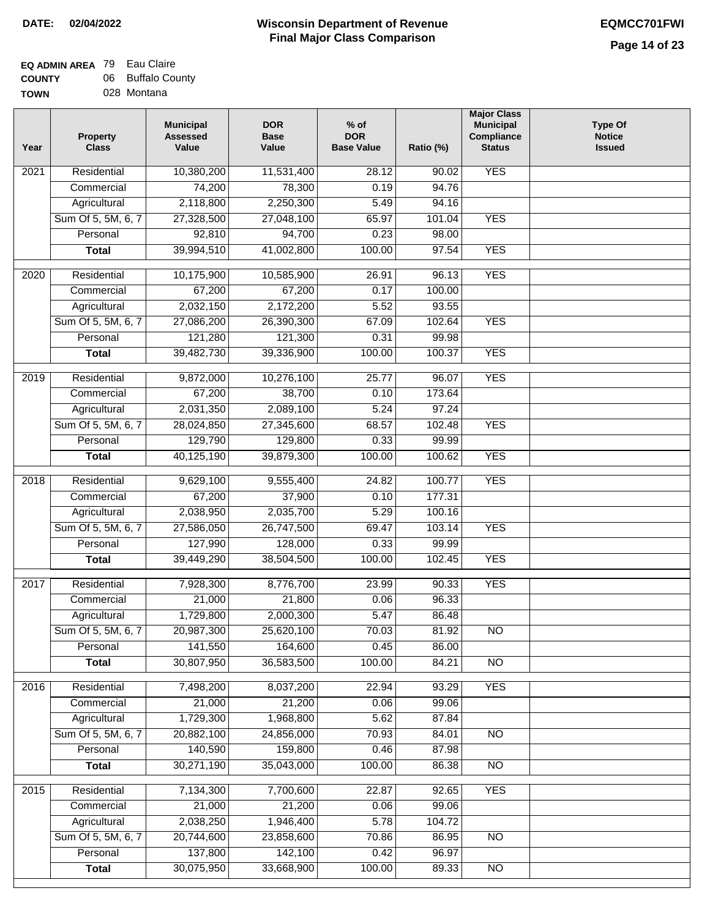| .           | --- | _ _ _ _ _ _ _ |
|-------------|-----|---------------|
| <b>TOWN</b> |     | 028 Montana   |

| Year              | <b>Property</b><br><b>Class</b> | <b>Municipal</b><br><b>Assessed</b><br>Value | <b>DOR</b><br><b>Base</b><br>Value | $%$ of<br><b>DOR</b><br><b>Base Value</b> | Ratio (%) | <b>Major Class</b><br><b>Municipal</b><br>Compliance<br><b>Status</b> | <b>Type Of</b><br><b>Notice</b><br><b>Issued</b> |
|-------------------|---------------------------------|----------------------------------------------|------------------------------------|-------------------------------------------|-----------|-----------------------------------------------------------------------|--------------------------------------------------|
| $\overline{202}1$ | Residential                     | 10,380,200                                   | 11,531,400                         | 28.12                                     | 90.02     | <b>YES</b>                                                            |                                                  |
|                   | Commercial                      | 74,200                                       | 78,300                             | 0.19                                      | 94.76     |                                                                       |                                                  |
|                   | Agricultural                    | 2,118,800                                    | 2,250,300                          | 5.49                                      | 94.16     |                                                                       |                                                  |
|                   | Sum Of 5, 5M, 6, 7              | 27,328,500                                   | 27,048,100                         | 65.97                                     | 101.04    | <b>YES</b>                                                            |                                                  |
|                   | Personal                        | 92,810                                       | 94,700                             | 0.23                                      | 98.00     |                                                                       |                                                  |
|                   | <b>Total</b>                    | 39,994,510                                   | 41,002,800                         | 100.00                                    | 97.54     | <b>YES</b>                                                            |                                                  |
| $\overline{2020}$ | Residential                     | 10,175,900                                   | 10,585,900                         | 26.91                                     | 96.13     | <b>YES</b>                                                            |                                                  |
|                   | Commercial                      | 67,200                                       | 67,200                             | 0.17                                      | 100.00    |                                                                       |                                                  |
|                   | Agricultural                    | 2,032,150                                    | 2,172,200                          | 5.52                                      | 93.55     |                                                                       |                                                  |
|                   | Sum Of 5, 5M, 6, 7              | 27,086,200                                   | 26,390,300                         | 67.09                                     | 102.64    | <b>YES</b>                                                            |                                                  |
|                   | Personal                        | 121,280                                      | 121,300                            | 0.31                                      | 99.98     |                                                                       |                                                  |
|                   | <b>Total</b>                    | 39,482,730                                   | 39,336,900                         | 100.00                                    | 100.37    | <b>YES</b>                                                            |                                                  |
| 2019              | Residential                     | 9,872,000                                    | 10,276,100                         | 25.77                                     | 96.07     | <b>YES</b>                                                            |                                                  |
|                   | Commercial                      | 67,200                                       | 38,700                             | 0.10                                      | 173.64    |                                                                       |                                                  |
|                   | Agricultural                    | 2,031,350                                    | 2,089,100                          | 5.24                                      | 97.24     |                                                                       |                                                  |
|                   | Sum Of 5, 5M, 6, 7              | 28,024,850                                   | 27,345,600                         | 68.57                                     | 102.48    | <b>YES</b>                                                            |                                                  |
|                   | Personal                        | 129,790                                      | 129,800                            | 0.33                                      | 99.99     |                                                                       |                                                  |
|                   | <b>Total</b>                    | 40,125,190                                   | 39,879,300                         | 100.00                                    | 100.62    | <b>YES</b>                                                            |                                                  |
|                   |                                 |                                              |                                    |                                           |           |                                                                       |                                                  |
| 2018              | Residential                     | 9,629,100                                    | 9,555,400                          | 24.82                                     | 100.77    | <b>YES</b>                                                            |                                                  |
|                   | Commercial                      | 67,200                                       | 37,900                             | 0.10                                      | 177.31    |                                                                       |                                                  |
|                   | Agricultural                    | 2,038,950                                    | 2,035,700                          | 5.29                                      | 100.16    |                                                                       |                                                  |
|                   | Sum Of 5, 5M, 6, 7              | 27,586,050                                   | 26,747,500                         | 69.47                                     | 103.14    | <b>YES</b>                                                            |                                                  |
|                   | Personal                        | 127,990                                      | 128,000                            | 0.33                                      | 99.99     |                                                                       |                                                  |
|                   | <b>Total</b>                    | 39,449,290                                   | 38,504,500                         | 100.00                                    | 102.45    | <b>YES</b>                                                            |                                                  |
| $\overline{20}17$ | Residential                     | 7,928,300                                    | 8,776,700                          | 23.99                                     | 90.33     | <b>YES</b>                                                            |                                                  |
|                   | Commercial                      | 21,000                                       | 21,800                             | 0.06                                      | 96.33     |                                                                       |                                                  |
|                   | Agricultural                    | 1,729,800                                    | 2,000,300                          | 5.47                                      | 86.48     |                                                                       |                                                  |
|                   | Sum Of 5, 5M, 6, 7              | 20,987,300                                   | 25,620,100                         | 70.03                                     | 81.92     | <b>NO</b>                                                             |                                                  |
|                   | Personal                        | 141,550                                      | 164,600                            | 0.45                                      | 86.00     |                                                                       |                                                  |
|                   | <b>Total</b>                    | 30,807,950                                   | 36,583,500                         | 100.00                                    | 84.21     | <b>NO</b>                                                             |                                                  |
| 2016              | Residential                     | 7,498,200                                    | 8,037,200                          | 22.94                                     | 93.29     | <b>YES</b>                                                            |                                                  |
|                   | Commercial                      | 21,000                                       | 21,200                             | 0.06                                      | 99.06     |                                                                       |                                                  |
|                   | Agricultural                    | 1,729,300                                    | 1,968,800                          | 5.62                                      | 87.84     |                                                                       |                                                  |
|                   | Sum Of 5, 5M, 6, 7              | 20,882,100                                   | 24,856,000                         | 70.93                                     | 84.01     | $\overline{NO}$                                                       |                                                  |
|                   | Personal                        | 140,590                                      | 159,800                            | 0.46                                      | 87.98     |                                                                       |                                                  |
|                   | <b>Total</b>                    | 30,271,190                                   | 35,043,000                         | 100.00                                    | 86.38     | $\overline{NO}$                                                       |                                                  |
| 2015              | Residential                     | 7,134,300                                    | 7,700,600                          | 22.87                                     | 92.65     | <b>YES</b>                                                            |                                                  |
|                   | Commercial                      | 21,000                                       | 21,200                             | 0.06                                      | 99.06     |                                                                       |                                                  |
|                   | Agricultural                    | 2,038,250                                    | 1,946,400                          | 5.78                                      | 104.72    |                                                                       |                                                  |
|                   | Sum Of 5, 5M, 6, 7              | 20,744,600                                   | 23,858,600                         | 70.86                                     | 86.95     | <b>NO</b>                                                             |                                                  |
|                   | Personal                        | 137,800                                      | 142,100                            | 0.42                                      | 96.97     |                                                                       |                                                  |
|                   | <b>Total</b>                    | 30,075,950                                   | 33,668,900                         | 100.00                                    | 89.33     | <b>NO</b>                                                             |                                                  |
|                   |                                 |                                              |                                    |                                           |           |                                                                       |                                                  |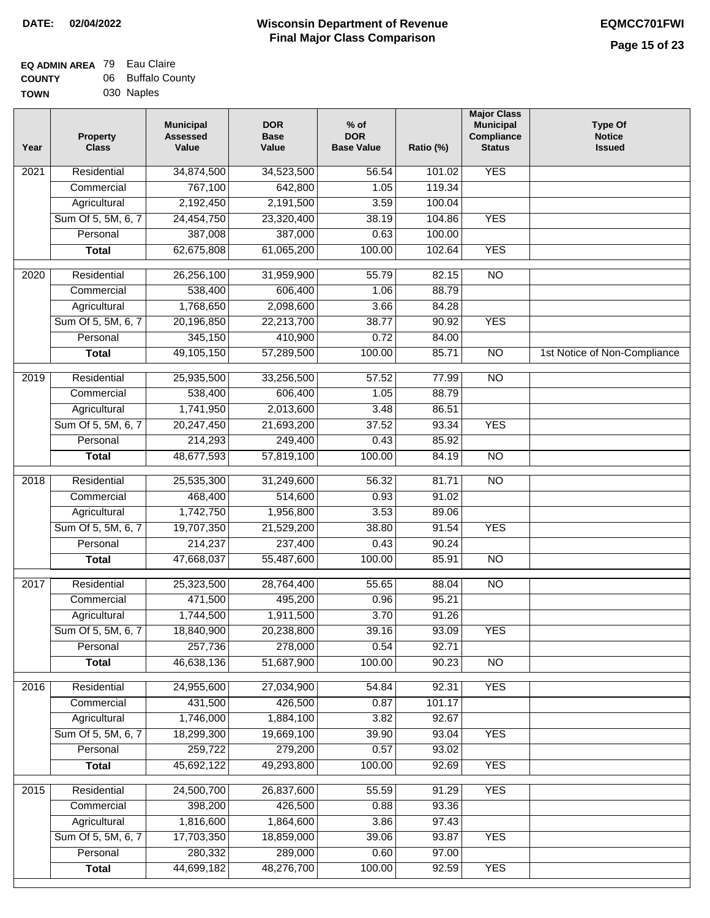| ٧Ν | 030 Naples |
|----|------------|
|    |            |

| Year              | <b>Property</b><br><b>Class</b> | <b>Municipal</b><br><b>Assessed</b><br>Value | <b>DOR</b><br><b>Base</b><br>Value | % of<br><b>DOR</b><br><b>Base Value</b> | Ratio (%) | <b>Major Class</b><br><b>Municipal</b><br>Compliance<br><b>Status</b> | <b>Type Of</b><br><b>Notice</b><br><b>Issued</b> |
|-------------------|---------------------------------|----------------------------------------------|------------------------------------|-----------------------------------------|-----------|-----------------------------------------------------------------------|--------------------------------------------------|
| $\overline{202}1$ | Residential                     | 34,874,500                                   | 34,523,500                         | 56.54                                   | 101.02    | <b>YES</b>                                                            |                                                  |
|                   | Commercial                      | 767,100                                      | 642,800                            | 1.05                                    | 119.34    |                                                                       |                                                  |
|                   | Agricultural                    | 2,192,450                                    | 2,191,500                          | 3.59                                    | 100.04    |                                                                       |                                                  |
|                   | Sum Of 5, 5M, 6, 7              | 24,454,750                                   | 23,320,400                         | 38.19                                   | 104.86    | <b>YES</b>                                                            |                                                  |
|                   | Personal                        | 387,008                                      | 387,000                            | 0.63                                    | 100.00    |                                                                       |                                                  |
|                   | <b>Total</b>                    | 62,675,808                                   | 61,065,200                         | 100.00                                  | 102.64    | <b>YES</b>                                                            |                                                  |
| $\overline{2020}$ | Residential                     | 26,256,100                                   | 31,959,900                         | 55.79                                   | 82.15     | $\overline{NO}$                                                       |                                                  |
|                   | Commercial                      | 538,400                                      | 606,400                            | 1.06                                    | 88.79     |                                                                       |                                                  |
|                   | Agricultural                    | 1,768,650                                    | 2,098,600                          | 3.66                                    | 84.28     |                                                                       |                                                  |
|                   | Sum Of 5, 5M, 6, 7              | 20,196,850                                   | 22,213,700                         | 38.77                                   | 90.92     | <b>YES</b>                                                            |                                                  |
|                   | Personal                        | 345,150                                      | 410,900                            | 0.72                                    | 84.00     |                                                                       |                                                  |
|                   | <b>Total</b>                    | 49,105,150                                   | 57,289,500                         | 100.00                                  | 85.71     | $\overline{NO}$                                                       | 1st Notice of Non-Compliance                     |
| 2019              | Residential                     | 25,935,500                                   | 33,256,500                         | 57.52                                   | 77.99     | $\overline{N}$                                                        |                                                  |
|                   | Commercial                      | 538,400                                      | 606,400                            | 1.05                                    | 88.79     |                                                                       |                                                  |
|                   | Agricultural                    | 1,741,950                                    | 2,013,600                          | 3.48                                    | 86.51     |                                                                       |                                                  |
|                   | Sum Of 5, 5M, 6, 7              | 20,247,450                                   | 21,693,200                         | 37.52                                   | 93.34     | <b>YES</b>                                                            |                                                  |
|                   | Personal                        | 214,293                                      | 249,400                            | 0.43                                    | 85.92     |                                                                       |                                                  |
|                   | <b>Total</b>                    | 48,677,593                                   | 57,819,100                         | 100.00                                  | 84.19     | $\overline{NO}$                                                       |                                                  |
|                   |                                 |                                              |                                    |                                         |           |                                                                       |                                                  |
| 2018              | Residential                     | 25,535,300                                   | 31,249,600                         | 56.32                                   | 81.71     | $\overline{NO}$                                                       |                                                  |
|                   | Commercial                      | 468,400                                      | 514,600                            | 0.93                                    | 91.02     |                                                                       |                                                  |
|                   | Agricultural                    | 1,742,750                                    | 1,956,800                          | 3.53                                    | 89.06     |                                                                       |                                                  |
|                   | Sum Of 5, 5M, 6, 7              | 19,707,350                                   | 21,529,200                         | 38.80                                   | 91.54     | <b>YES</b>                                                            |                                                  |
|                   | Personal                        | 214,237                                      | 237,400                            | 0.43                                    | 90.24     |                                                                       |                                                  |
|                   | <b>Total</b>                    | 47,668,037                                   | 55,487,600                         | 100.00                                  | 85.91     | <b>NO</b>                                                             |                                                  |
| 2017              | Residential                     | 25,323,500                                   | 28,764,400                         | 55.65                                   | 88.04     | $\overline{NO}$                                                       |                                                  |
|                   | Commercial                      | 471,500                                      | 495,200                            | 0.96                                    | 95.21     |                                                                       |                                                  |
|                   | Agricultural                    | 1,744,500                                    | 1,911,500                          | 3.70                                    | 91.26     |                                                                       |                                                  |
|                   | Sum Of 5, 5M, 6, 7              | 18,840,900                                   | 20,238,800                         | 39.16                                   | 93.09     | <b>YES</b>                                                            |                                                  |
|                   | Personal                        | 257,736                                      | 278,000                            | 0.54                                    | 92.71     |                                                                       |                                                  |
|                   | <b>Total</b>                    | 46,638,136                                   | 51,687,900                         | 100.00                                  | 90.23     | <b>NO</b>                                                             |                                                  |
| 2016              | Residential                     | 24,955,600                                   | 27,034,900                         | 54.84                                   | 92.31     | <b>YES</b>                                                            |                                                  |
|                   | Commercial                      | 431,500                                      | 426,500                            | 0.87                                    | 101.17    |                                                                       |                                                  |
|                   | Agricultural                    | 1,746,000                                    | 1,884,100                          | 3.82                                    | 92.67     |                                                                       |                                                  |
|                   | Sum Of 5, 5M, 6, 7              | 18,299,300                                   | 19,669,100                         | 39.90                                   | 93.04     | <b>YES</b>                                                            |                                                  |
|                   | Personal                        | 259,722                                      | 279,200                            | 0.57                                    | 93.02     |                                                                       |                                                  |
|                   | <b>Total</b>                    | 45,692,122                                   | 49,293,800                         | 100.00                                  | 92.69     | <b>YES</b>                                                            |                                                  |
| 2015              | Residential                     | 24,500,700                                   | 26,837,600                         | 55.59                                   | 91.29     | <b>YES</b>                                                            |                                                  |
|                   | Commercial                      | 398,200                                      | 426,500                            | 0.88                                    | 93.36     |                                                                       |                                                  |
|                   | Agricultural                    | 1,816,600                                    | 1,864,600                          | 3.86                                    | 97.43     |                                                                       |                                                  |
|                   | Sum Of 5, 5M, 6, 7              | 17,703,350                                   | 18,859,000                         | 39.06                                   | 93.87     | <b>YES</b>                                                            |                                                  |
|                   | Personal                        | 280,332                                      | 289,000                            | 0.60                                    | 97.00     |                                                                       |                                                  |
|                   | <b>Total</b>                    | 44,699,182                                   | 48,276,700                         | 100.00                                  | 92.59     | <b>YES</b>                                                            |                                                  |
|                   |                                 |                                              |                                    |                                         |           |                                                                       |                                                  |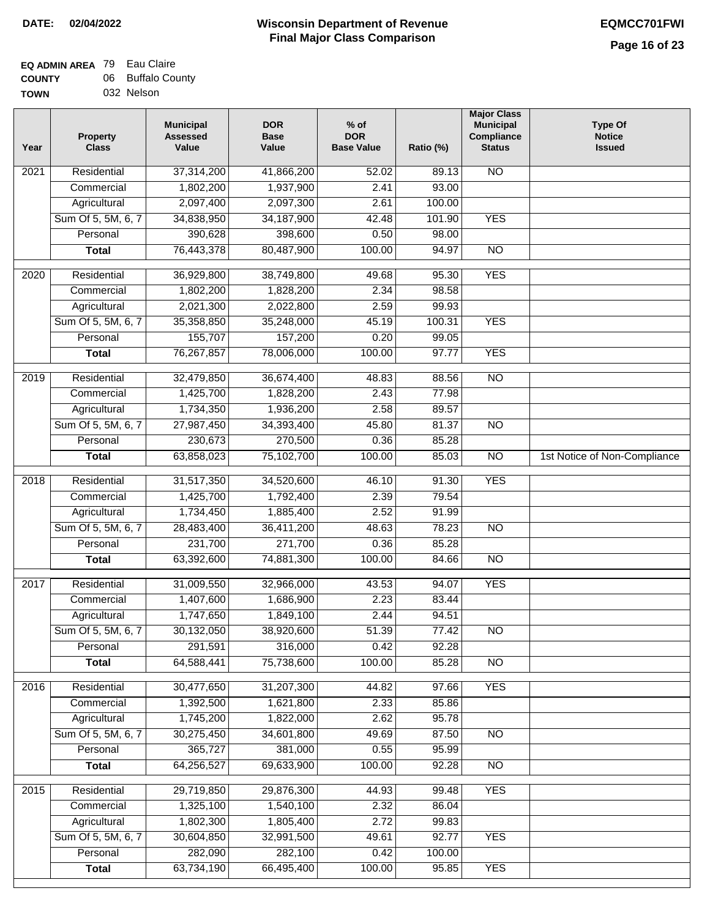| /Ν | 032 Nelson |
|----|------------|
|    |            |

| Year | <b>Property</b><br><b>Class</b> | <b>Municipal</b><br><b>Assessed</b><br>Value | <b>DOR</b><br><b>Base</b><br>Value | $%$ of<br><b>DOR</b><br><b>Base Value</b> | Ratio (%)      | <b>Major Class</b><br><b>Municipal</b><br>Compliance<br><b>Status</b> | <b>Type Of</b><br><b>Notice</b><br><b>Issued</b> |
|------|---------------------------------|----------------------------------------------|------------------------------------|-------------------------------------------|----------------|-----------------------------------------------------------------------|--------------------------------------------------|
| 2021 | Residential                     | 37,314,200                                   | 41,866,200                         | 52.02                                     | 89.13          | <b>NO</b>                                                             |                                                  |
|      | Commercial                      | 1,802,200                                    | 1,937,900                          | 2.41                                      | 93.00          |                                                                       |                                                  |
|      | Agricultural                    | 2,097,400                                    | 2,097,300                          | 2.61                                      | 100.00         |                                                                       |                                                  |
|      | Sum Of 5, 5M, 6, 7              | 34,838,950                                   | 34, 187, 900                       | 42.48                                     | 101.90         | <b>YES</b>                                                            |                                                  |
|      | Personal                        | 390,628                                      | 398,600                            | 0.50                                      | 98.00          |                                                                       |                                                  |
|      | <b>Total</b>                    | 76,443,378                                   | 80,487,900                         | 100.00                                    | 94.97          | $\overline{NO}$                                                       |                                                  |
| 2020 | Residential                     | 36,929,800                                   | 38,749,800                         | 49.68                                     | 95.30          | <b>YES</b>                                                            |                                                  |
|      | Commercial                      | 1,802,200                                    | 1,828,200                          | 2.34                                      | 98.58          |                                                                       |                                                  |
|      | Agricultural                    | 2,021,300                                    | 2,022,800                          | 2.59                                      | 99.93          |                                                                       |                                                  |
|      | Sum Of 5, 5M, 6, 7              | 35,358,850                                   | 35,248,000                         | 45.19                                     | 100.31         | <b>YES</b>                                                            |                                                  |
|      | Personal                        | 155,707                                      | 157,200                            | 0.20                                      | 99.05          |                                                                       |                                                  |
|      | <b>Total</b>                    | 76,267,857                                   | 78,006,000                         | 100.00                                    | 97.77          | <b>YES</b>                                                            |                                                  |
| 2019 | Residential                     | 32,479,850                                   | 36,674,400                         | 48.83                                     | 88.56          | $\overline{10}$                                                       |                                                  |
|      | Commercial                      | 1,425,700                                    | 1,828,200                          | 2.43                                      | 77.98          |                                                                       |                                                  |
|      | Agricultural                    | 1,734,350                                    | 1,936,200                          | 2.58                                      | 89.57          |                                                                       |                                                  |
|      | Sum Of 5, 5M, 6, 7              | 27,987,450                                   | 34,393,400                         | 45.80                                     | 81.37          | $\overline{NO}$                                                       |                                                  |
|      | Personal                        | 230,673                                      | 270,500                            | 0.36                                      | 85.28          |                                                                       |                                                  |
|      | <b>Total</b>                    | 63,858,023                                   | 75,102,700                         | 100.00                                    | 85.03          | $\overline{NO}$                                                       | 1st Notice of Non-Compliance                     |
|      | Residential                     |                                              |                                    |                                           |                | <b>YES</b>                                                            |                                                  |
| 2018 | Commercial                      | 31,517,350<br>1,425,700                      | 34,520,600<br>1,792,400            | 46.10<br>2.39                             | 91.30<br>79.54 |                                                                       |                                                  |
|      | Agricultural                    | 1,734,450                                    | 1,885,400                          | 2.52                                      | 91.99          |                                                                       |                                                  |
|      | Sum Of 5, 5M, 6, 7              | 28,483,400                                   | 36,411,200                         | 48.63                                     | 78.23          | $\overline{10}$                                                       |                                                  |
|      | Personal                        | 231,700                                      | 271,700                            | 0.36                                      | 85.28          |                                                                       |                                                  |
|      | <b>Total</b>                    | 63,392,600                                   | 74,881,300                         | 100.00                                    | 84.66          | <b>NO</b>                                                             |                                                  |
|      |                                 |                                              |                                    |                                           |                |                                                                       |                                                  |
| 2017 | Residential                     | 31,009,550                                   | 32,966,000                         | 43.53                                     | 94.07          | <b>YES</b>                                                            |                                                  |
|      | Commercial                      | 1,407,600                                    | 1,686,900                          | 2.23                                      | 83.44          |                                                                       |                                                  |
|      | Agricultural                    | 1,747,650                                    | 1,849,100                          | 2.44                                      | 94.51          |                                                                       |                                                  |
|      | Sum Of 5, 5M, 6, 7              | 30,132,050                                   | 38,920,600                         | 51.39                                     | 77.42          | <b>NO</b>                                                             |                                                  |
|      | Personal                        | 291,591                                      | 316,000                            | 0.42                                      | 92.28          |                                                                       |                                                  |
|      | <b>Total</b>                    | 64,588,441                                   | 75,738,600                         | 100.00                                    | 85.28          | <b>NO</b>                                                             |                                                  |
| 2016 | Residential                     | 30,477,650                                   | 31,207,300                         | 44.82                                     | 97.66          | <b>YES</b>                                                            |                                                  |
|      | Commercial                      | 1,392,500                                    | 1,621,800                          | 2.33                                      | 85.86          |                                                                       |                                                  |
|      | Agricultural                    | 1,745,200                                    | 1,822,000                          | 2.62                                      | 95.78          |                                                                       |                                                  |
|      | Sum Of 5, 5M, 6, 7              | 30,275,450                                   | 34,601,800                         | 49.69                                     | 87.50          | N <sub>O</sub>                                                        |                                                  |
|      | Personal                        | 365,727                                      | 381,000                            | 0.55                                      | 95.99          |                                                                       |                                                  |
|      | <b>Total</b>                    | 64,256,527                                   | 69,633,900                         | 100.00                                    | 92.28          | N <sub>O</sub>                                                        |                                                  |
| 2015 | Residential                     | 29,719,850                                   | 29,876,300                         | 44.93                                     | 99.48          | <b>YES</b>                                                            |                                                  |
|      | Commercial                      | 1,325,100                                    | 1,540,100                          | 2.32                                      | 86.04          |                                                                       |                                                  |
|      | Agricultural                    | 1,802,300                                    | 1,805,400                          | 2.72                                      | 99.83          |                                                                       |                                                  |
|      | Sum Of 5, 5M, 6, 7              | 30,604,850                                   | 32,991,500                         | 49.61                                     | 92.77          | <b>YES</b>                                                            |                                                  |
|      | Personal                        | 282,090                                      | 282,100                            | 0.42                                      | 100.00         |                                                                       |                                                  |
|      | <b>Total</b>                    | 63,734,190                                   | 66,495,400                         | 100.00                                    | 95.85          | <b>YES</b>                                                            |                                                  |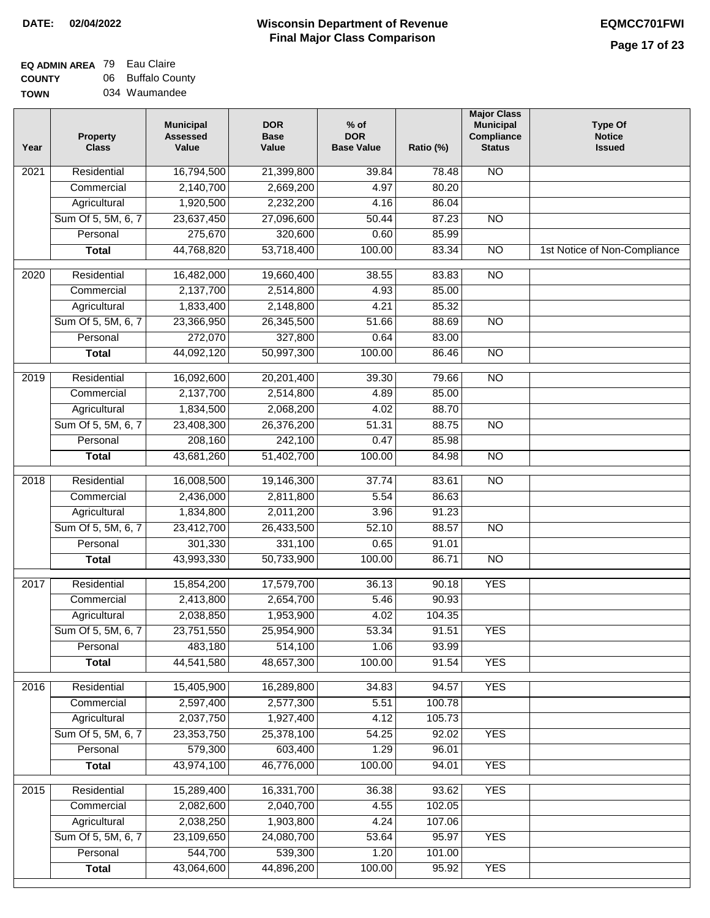# **Wisconsin Department of Revenue DATE: 02/04/2022 EQMCC701FWI Final Major Class Comparison**

| <b>EQ ADMIN AREA</b> 79 Eau Claire |                   |
|------------------------------------|-------------------|
| <b>COUNTY</b>                      | 06 Buffalo County |
|                                    |                   |

**TOWN** 034 Waumandee

| Year | <b>Property</b><br><b>Class</b> | <b>Municipal</b><br><b>Assessed</b><br>Value | <b>DOR</b><br><b>Base</b><br>Value | $%$ of<br><b>DOR</b><br><b>Base Value</b> | Ratio (%) | <b>Major Class</b><br><b>Municipal</b><br>Compliance<br><b>Status</b> | <b>Type Of</b><br><b>Notice</b><br><b>Issued</b> |
|------|---------------------------------|----------------------------------------------|------------------------------------|-------------------------------------------|-----------|-----------------------------------------------------------------------|--------------------------------------------------|
| 2021 | Residential                     | 16,794,500                                   | 21,399,800                         | 39.84                                     | 78.48     | <b>NO</b>                                                             |                                                  |
|      | Commercial                      | 2,140,700                                    | 2,669,200                          | 4.97                                      | 80.20     |                                                                       |                                                  |
|      | Agricultural                    | 1,920,500                                    | 2,232,200                          | 4.16                                      | 86.04     |                                                                       |                                                  |
|      | Sum Of 5, 5M, 6, 7              | 23,637,450                                   | 27,096,600                         | 50.44                                     | 87.23     | $\overline{NO}$                                                       |                                                  |
|      | Personal                        | 275,670                                      | 320,600                            | 0.60                                      | 85.99     |                                                                       |                                                  |
|      | <b>Total</b>                    | 44,768,820                                   | 53,718,400                         | 100.00                                    | 83.34     | $\overline{NO}$                                                       | 1st Notice of Non-Compliance                     |
| 2020 | Residential                     | 16,482,000                                   | 19,660,400                         | 38.55                                     | 83.83     | $\overline{NO}$                                                       |                                                  |
|      | Commercial                      | 2,137,700                                    | 2,514,800                          | 4.93                                      | 85.00     |                                                                       |                                                  |
|      | Agricultural                    | 1,833,400                                    | 2,148,800                          | 4.21                                      | 85.32     |                                                                       |                                                  |
|      | Sum Of 5, 5M, 6, 7              | 23,366,950                                   | 26,345,500                         | 51.66                                     | 88.69     | $\overline{NO}$                                                       |                                                  |
|      | Personal                        | 272,070                                      | 327,800                            | 0.64                                      | 83.00     |                                                                       |                                                  |
|      | <b>Total</b>                    | 44,092,120                                   | 50,997,300                         | 100.00                                    | 86.46     | $\overline{NO}$                                                       |                                                  |
| 2019 | Residential                     | 16,092,600                                   | 20,201,400                         | 39.30                                     | 79.66     | $\overline{3}$                                                        |                                                  |
|      | Commercial                      | 2,137,700                                    | 2,514,800                          | 4.89                                      | 85.00     |                                                                       |                                                  |
|      | Agricultural                    | 1,834,500                                    | 2,068,200                          | 4.02                                      | 88.70     |                                                                       |                                                  |
|      | Sum Of 5, 5M, 6, 7              | 23,408,300                                   | 26,376,200                         | 51.31                                     | 88.75     | $\overline{NO}$                                                       |                                                  |
|      | Personal                        | 208,160                                      | 242,100                            | 0.47                                      | 85.98     |                                                                       |                                                  |
|      | <b>Total</b>                    | 43,681,260                                   | 51,402,700                         | 100.00                                    | 84.98     | $\overline{NO}$                                                       |                                                  |
| 2018 | Residential                     | 16,008,500                                   | 19,146,300                         | 37.74                                     | 83.61     | $\overline{10}$                                                       |                                                  |
|      | Commercial                      | 2,436,000                                    | 2,811,800                          | 5.54                                      | 86.63     |                                                                       |                                                  |
|      | Agricultural                    | 1,834,800                                    | 2,011,200                          | 3.96                                      | 91.23     |                                                                       |                                                  |
|      | Sum Of 5, 5M, 6, 7              | 23,412,700                                   | 26,433,500                         | 52.10                                     | 88.57     | $\overline{3}$                                                        |                                                  |
|      | Personal                        | 301,330                                      | 331,100                            | 0.65                                      | 91.01     |                                                                       |                                                  |
|      | <b>Total</b>                    | 43,993,330                                   | 50,733,900                         | 100.00                                    | 86.71     | <b>NO</b>                                                             |                                                  |
| 2017 | Residential                     | 15,854,200                                   | 17,579,700                         | 36.13                                     | 90.18     | <b>YES</b>                                                            |                                                  |
|      | Commercial                      | 2,413,800                                    | 2,654,700                          | 5.46                                      | 90.93     |                                                                       |                                                  |
|      | Agricultural                    | 2,038,850                                    | 1,953,900                          | 4.02                                      | 104.35    |                                                                       |                                                  |
|      | Sum Of 5, 5M, 6, 7              | 23,751,550                                   | 25,954,900                         | 53.34                                     | 91.51     | <b>YES</b>                                                            |                                                  |
|      | Personal                        | 483,180                                      | 514,100                            | 1.06                                      | 93.99     |                                                                       |                                                  |
|      | <b>Total</b>                    | 44,541,580                                   | 48,657,300                         | 100.00                                    | 91.54     | <b>YES</b>                                                            |                                                  |
| 2016 | Residential                     | 15,405,900                                   | 16,289,800                         | 34.83                                     | 94.57     | <b>YES</b>                                                            |                                                  |
|      | Commercial                      | 2,597,400                                    | 2,577,300                          | 5.51                                      | 100.78    |                                                                       |                                                  |
|      | Agricultural                    | 2,037,750                                    | 1,927,400                          | 4.12                                      | 105.73    |                                                                       |                                                  |
|      | Sum Of 5, 5M, 6, 7              | 23,353,750                                   | 25,378,100                         | 54.25                                     | 92.02     | <b>YES</b>                                                            |                                                  |
|      | Personal                        | 579,300                                      | 603,400                            | 1.29                                      | 96.01     |                                                                       |                                                  |
|      | <b>Total</b>                    | 43,974,100                                   | 46,776,000                         | 100.00                                    | 94.01     | <b>YES</b>                                                            |                                                  |
| 2015 | Residential                     | 15,289,400                                   | 16,331,700                         | 36.38                                     | 93.62     | <b>YES</b>                                                            |                                                  |
|      | Commercial                      | 2,082,600                                    | 2,040,700                          | 4.55                                      | 102.05    |                                                                       |                                                  |
|      | Agricultural                    | 2,038,250                                    | 1,903,800                          | 4.24                                      | 107.06    |                                                                       |                                                  |
|      | Sum Of 5, 5M, 6, 7              | 23,109,650                                   | 24,080,700                         | 53.64                                     | 95.97     | <b>YES</b>                                                            |                                                  |
|      | Personal                        | 544,700                                      | 539,300                            | 1.20                                      | 101.00    |                                                                       |                                                  |
|      | <b>Total</b>                    | 43,064,600                                   | 44,896,200                         | 100.00                                    | 95.92     | <b>YES</b>                                                            |                                                  |
|      |                                 |                                              |                                    |                                           |           |                                                                       |                                                  |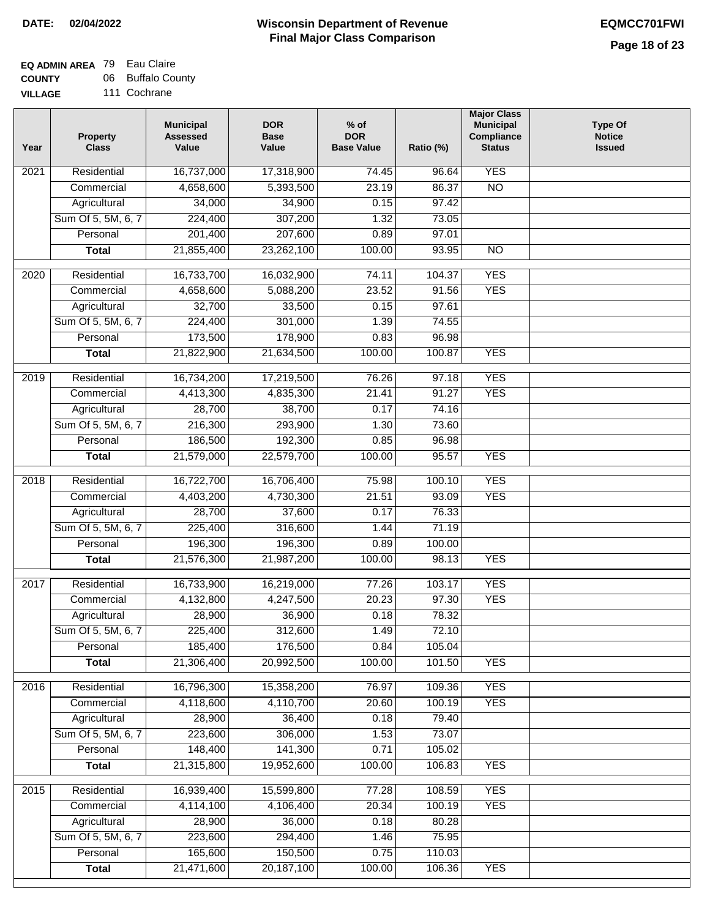#### **EQ ADMIN AREA** 79 Eau Claire **COUNTY** 06 Buffalo County

**VILLAGE** 111 Cochrane

| Year | <b>Property</b><br><b>Class</b> | <b>Municipal</b><br><b>Assessed</b><br>Value | <b>DOR</b><br><b>Base</b><br>Value | $%$ of<br><b>DOR</b><br><b>Base Value</b> | Ratio (%) | <b>Major Class</b><br><b>Municipal</b><br>Compliance<br><b>Status</b> | <b>Type Of</b><br><b>Notice</b><br><b>Issued</b> |
|------|---------------------------------|----------------------------------------------|------------------------------------|-------------------------------------------|-----------|-----------------------------------------------------------------------|--------------------------------------------------|
| 2021 | Residential                     | 16,737,000                                   | 17,318,900                         | 74.45                                     | 96.64     | <b>YES</b>                                                            |                                                  |
|      | Commercial                      | 4,658,600                                    | 5,393,500                          | 23.19                                     | 86.37     | $\overline{NO}$                                                       |                                                  |
|      | Agricultural                    | 34,000                                       | 34,900                             | 0.15                                      | 97.42     |                                                                       |                                                  |
|      | Sum Of 5, 5M, 6, 7              | 224,400                                      | 307,200                            | 1.32                                      | 73.05     |                                                                       |                                                  |
|      | Personal                        | 201,400                                      | 207,600                            | 0.89                                      | 97.01     |                                                                       |                                                  |
|      | <b>Total</b>                    | 21,855,400                                   | 23,262,100                         | 100.00                                    | 93.95     | $\overline{NO}$                                                       |                                                  |
| 2020 | Residential                     | 16,733,700                                   | 16,032,900                         | 74.11                                     | 104.37    | <b>YES</b>                                                            |                                                  |
|      | Commercial                      | 4,658,600                                    | 5,088,200                          | 23.52                                     | 91.56     | <b>YES</b>                                                            |                                                  |
|      | Agricultural                    | 32,700                                       | 33,500                             | 0.15                                      | 97.61     |                                                                       |                                                  |
|      | Sum Of 5, 5M, 6, 7              | 224,400                                      | 301,000                            | 1.39                                      | 74.55     |                                                                       |                                                  |
|      | Personal                        | 173,500                                      | 178,900                            | 0.83                                      | 96.98     |                                                                       |                                                  |
|      | <b>Total</b>                    | 21,822,900                                   | 21,634,500                         | 100.00                                    | 100.87    | <b>YES</b>                                                            |                                                  |
|      |                                 |                                              |                                    |                                           |           |                                                                       |                                                  |
| 2019 | Residential                     | 16,734,200                                   | 17,219,500                         | 76.26                                     | 97.18     | <b>YES</b>                                                            |                                                  |
|      | Commercial                      | 4,413,300                                    | 4,835,300                          | 21.41                                     | 91.27     | <b>YES</b>                                                            |                                                  |
|      | Agricultural                    | 28,700                                       | 38,700                             | 0.17                                      | 74.16     |                                                                       |                                                  |
|      | Sum Of 5, 5M, 6, 7              | 216,300                                      | 293,900                            | 1.30                                      | 73.60     |                                                                       |                                                  |
|      | Personal                        | 186,500                                      | 192,300                            | 0.85                                      | 96.98     |                                                                       |                                                  |
|      | <b>Total</b>                    | 21,579,000                                   | 22,579,700                         | 100.00                                    | 95.57     | <b>YES</b>                                                            |                                                  |
| 2018 | Residential                     | 16,722,700                                   | 16,706,400                         | 75.98                                     | 100.10    | <b>YES</b>                                                            |                                                  |
|      | Commercial                      | 4,403,200                                    | 4,730,300                          | 21.51                                     | 93.09     | <b>YES</b>                                                            |                                                  |
|      | Agricultural                    | 28,700                                       | 37,600                             | 0.17                                      | 76.33     |                                                                       |                                                  |
|      | Sum Of 5, 5M, 6, 7              | 225,400                                      | 316,600                            | 1.44                                      | 71.19     |                                                                       |                                                  |
|      | Personal                        | 196,300                                      | 196,300                            | 0.89                                      | 100.00    |                                                                       |                                                  |
|      | <b>Total</b>                    | 21,576,300                                   | 21,987,200                         | 100.00                                    | 98.13     | <b>YES</b>                                                            |                                                  |
| 2017 | Residential                     | 16,733,900                                   | 16,219,000                         | 77.26                                     | 103.17    | <b>YES</b>                                                            |                                                  |
|      | Commercial                      | 4,132,800                                    | 4,247,500                          | 20.23                                     | 97.30     | <b>YES</b>                                                            |                                                  |
|      | Agricultural                    | 28,900                                       | 36,900                             | 0.18                                      | 78.32     |                                                                       |                                                  |
|      | Sum Of 5, 5M, 6, 7              | 225,400                                      | 312,600                            | 1.49                                      | 72.10     |                                                                       |                                                  |
|      | Personal                        | 185,400                                      | 176,500                            | 0.84                                      | 105.04    |                                                                       |                                                  |
|      | <b>Total</b>                    | 21,306,400                                   | 20,992,500                         | 100.00                                    | 101.50    | <b>YES</b>                                                            |                                                  |
| 2016 | Residential                     | 16,796,300                                   | 15,358,200                         | 76.97                                     | 109.36    | <b>YES</b>                                                            |                                                  |
|      | Commercial                      | 4,118,600                                    | 4,110,700                          | 20.60                                     | 100.19    | <b>YES</b>                                                            |                                                  |
|      | Agricultural                    | 28,900                                       | 36,400                             | 0.18                                      | 79.40     |                                                                       |                                                  |
|      | Sum Of 5, 5M, 6, 7              | 223,600                                      | 306,000                            | 1.53                                      | 73.07     |                                                                       |                                                  |
|      | Personal                        | 148,400                                      | 141,300                            | 0.71                                      | 105.02    |                                                                       |                                                  |
|      | <b>Total</b>                    | 21,315,800                                   | 19,952,600                         | 100.00                                    | 106.83    | <b>YES</b>                                                            |                                                  |
|      |                                 |                                              |                                    |                                           |           |                                                                       |                                                  |
| 2015 | Residential                     | 16,939,400                                   | 15,599,800                         | 77.28                                     | 108.59    | <b>YES</b>                                                            |                                                  |
|      | Commercial                      | 4,114,100                                    | 4,106,400                          | 20.34                                     | 100.19    | <b>YES</b>                                                            |                                                  |
|      | Agricultural                    | 28,900                                       | 36,000                             | 0.18                                      | 80.28     |                                                                       |                                                  |
|      | Sum Of 5, 5M, 6, 7              | 223,600                                      | 294,400                            | 1.46                                      | 75.95     |                                                                       |                                                  |
|      | Personal                        | 165,600                                      | 150,500                            | 0.75                                      | 110.03    |                                                                       |                                                  |
|      | <b>Total</b>                    | 21,471,600                                   | 20, 187, 100                       | 100.00                                    | 106.36    | <b>YES</b>                                                            |                                                  |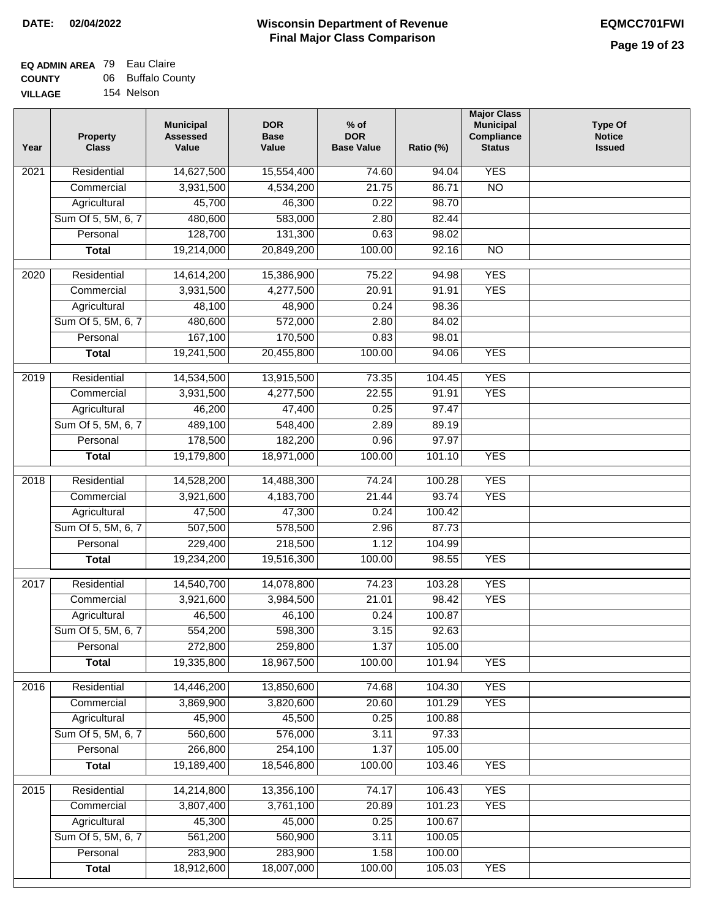# **EQ ADMIN AREA** 79 Eau Claire **COUNTY** 06 Buffalo County

**VILLAGE** 154 Nelson

| Year | <b>Property</b><br><b>Class</b> | <b>Municipal</b><br><b>Assessed</b><br>Value | <b>DOR</b><br><b>Base</b><br>Value | $%$ of<br><b>DOR</b><br><b>Base Value</b> | Ratio (%)        | <b>Major Class</b><br><b>Municipal</b><br>Compliance<br><b>Status</b> | <b>Type Of</b><br><b>Notice</b><br><b>Issued</b> |
|------|---------------------------------|----------------------------------------------|------------------------------------|-------------------------------------------|------------------|-----------------------------------------------------------------------|--------------------------------------------------|
| 2021 | Residential                     | 14,627,500                                   | 15,554,400                         | 74.60                                     | 94.04            | <b>YES</b>                                                            |                                                  |
|      | Commercial                      | 3,931,500                                    | 4,534,200                          | 21.75                                     | 86.71            | $\overline{NO}$                                                       |                                                  |
|      | Agricultural                    | 45,700                                       | 46,300                             | 0.22                                      | 98.70            |                                                                       |                                                  |
|      | Sum Of 5, 5M, 6, 7              | 480,600                                      | 583,000                            | 2.80                                      | 82.44            |                                                                       |                                                  |
|      | Personal                        | 128,700                                      | 131,300                            | 0.63                                      | 98.02            |                                                                       |                                                  |
|      | <b>Total</b>                    | 19,214,000                                   | 20,849,200                         | 100.00                                    | 92.16            | $\overline{NO}$                                                       |                                                  |
| 2020 | Residential                     | 14,614,200                                   | 15,386,900                         | 75.22                                     | 94.98            | <b>YES</b>                                                            |                                                  |
|      | Commercial                      | 3,931,500                                    | 4,277,500                          | 20.91                                     | 91.91            | <b>YES</b>                                                            |                                                  |
|      | Agricultural                    | 48,100                                       | 48,900                             | 0.24                                      | 98.36            |                                                                       |                                                  |
|      | Sum Of 5, 5M, 6, 7              | 480,600                                      | 572,000                            | 2.80                                      | 84.02            |                                                                       |                                                  |
|      | Personal                        | 167,100                                      | 170,500                            | 0.83                                      | 98.01            |                                                                       |                                                  |
|      | <b>Total</b>                    | 19,241,500                                   | 20,455,800                         | 100.00                                    | 94.06            | <b>YES</b>                                                            |                                                  |
| 2019 | Residential                     | 14,534,500                                   | 13,915,500                         | 73.35                                     | 104.45           | <b>YES</b>                                                            |                                                  |
|      | Commercial                      | 3,931,500                                    | 4,277,500                          | 22.55                                     | 91.91            | <b>YES</b>                                                            |                                                  |
|      | Agricultural                    | 46,200                                       | 47,400                             | 0.25                                      | 97.47            |                                                                       |                                                  |
|      | Sum Of 5, 5M, 6, 7              | 489,100                                      | 548,400                            | 2.89                                      | 89.19            |                                                                       |                                                  |
|      | Personal                        | 178,500                                      | 182,200                            | 0.96                                      | 97.97            |                                                                       |                                                  |
|      | <b>Total</b>                    | 19,179,800                                   | 18,971,000                         | 100.00                                    | 101.10           | <b>YES</b>                                                            |                                                  |
| 2018 | Residential                     | 14,528,200                                   | 14,488,300                         | 74.24                                     | 100.28           | <b>YES</b>                                                            |                                                  |
|      | Commercial                      | 3,921,600                                    | 4,183,700                          | 21.44                                     | 93.74            | <b>YES</b>                                                            |                                                  |
|      | Agricultural                    | 47,500                                       | 47,300                             | 0.24                                      | 100.42           |                                                                       |                                                  |
|      | Sum Of 5, 5M, 6, 7              | 507,500                                      | 578,500                            | 2.96                                      | 87.73            |                                                                       |                                                  |
|      | Personal                        | 229,400                                      | 218,500                            | 1.12                                      | 104.99           |                                                                       |                                                  |
|      | <b>Total</b>                    | 19,234,200                                   | 19,516,300                         | 100.00                                    | 98.55            | <b>YES</b>                                                            |                                                  |
| 2017 | Residential                     | 14,540,700                                   | 14,078,800                         | 74.23                                     | 103.28           | <b>YES</b>                                                            |                                                  |
|      | Commercial                      | 3,921,600                                    | 3,984,500                          | 21.01                                     | 98.42            | <b>YES</b>                                                            |                                                  |
|      | Agricultural                    | 46,500                                       | 46,100                             | 0.24                                      | 100.87           |                                                                       |                                                  |
|      | Sum Of 5, 5M, 6, 7              | 554,200                                      | 598,300                            | 3.15                                      | 92.63            |                                                                       |                                                  |
|      | Personal                        | 272,800                                      | 259,800                            | 1.37                                      | 105.00           |                                                                       |                                                  |
|      | <b>Total</b>                    | 19,335,800                                   | 18,967,500                         | 100.00                                    | 101.94           | <b>YES</b>                                                            |                                                  |
| 2016 | Residential                     | 14,446,200                                   | 13,850,600                         | 74.68                                     | 104.30           | <b>YES</b>                                                            |                                                  |
|      | Commercial                      | 3,869,900                                    | 3,820,600                          | 20.60                                     | 101.29           | <b>YES</b>                                                            |                                                  |
|      | Agricultural                    | 45,900                                       | 45,500                             | 0.25                                      | 100.88           |                                                                       |                                                  |
|      | Sum Of 5, 5M, 6, 7              | 560,600                                      | 576,000                            | 3.11                                      | 97.33            |                                                                       |                                                  |
|      | Personal                        | 266,800                                      | 254,100                            | 1.37                                      | 105.00           |                                                                       |                                                  |
|      | <b>Total</b>                    | 19,189,400                                   | 18,546,800                         | 100.00                                    | 103.46           | <b>YES</b>                                                            |                                                  |
|      |                                 |                                              |                                    |                                           |                  |                                                                       |                                                  |
| 2015 | Residential                     | 14,214,800                                   | 13,356,100                         | 74.17                                     | 106.43           | <b>YES</b>                                                            |                                                  |
|      | Commercial                      | 3,807,400                                    | 3,761,100                          | 20.89                                     | 101.23           | <b>YES</b>                                                            |                                                  |
|      | Agricultural                    | 45,300                                       | 45,000                             | 0.25                                      | 100.67           |                                                                       |                                                  |
|      | Sum Of 5, 5M, 6, 7              | 561,200                                      | 560,900                            | 3.11                                      | 100.05           |                                                                       |                                                  |
|      | Personal<br><b>Total</b>        | 283,900<br>18,912,600                        | 283,900<br>18,007,000              | 1.58<br>100.00                            | 100.00<br>105.03 | <b>YES</b>                                                            |                                                  |
|      |                                 |                                              |                                    |                                           |                  |                                                                       |                                                  |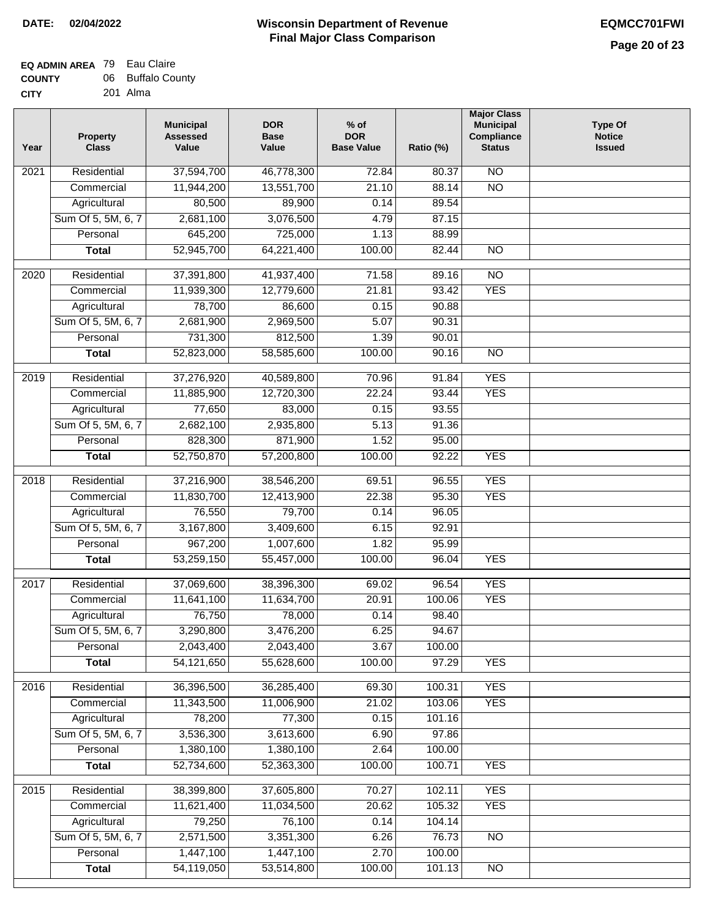| - - - - - - - |          |
|---------------|----------|
| <b>CITY</b>   | 201 Alma |

| Year | <b>Property</b><br><b>Class</b> | <b>Municipal</b><br><b>Assessed</b><br>Value | <b>DOR</b><br><b>Base</b><br>Value | $%$ of<br><b>DOR</b><br><b>Base Value</b> | Ratio (%) | <b>Major Class</b><br><b>Municipal</b><br>Compliance<br><b>Status</b> | <b>Type Of</b><br><b>Notice</b><br><b>Issued</b> |
|------|---------------------------------|----------------------------------------------|------------------------------------|-------------------------------------------|-----------|-----------------------------------------------------------------------|--------------------------------------------------|
| 2021 | Residential                     | 37,594,700                                   | 46,778,300                         | 72.84                                     | 80.37     | $\overline{NO}$                                                       |                                                  |
|      | Commercial                      | 11,944,200                                   | 13,551,700                         | 21.10                                     | 88.14     | $\overline{NO}$                                                       |                                                  |
|      | Agricultural                    | 80,500                                       | 89,900                             | 0.14                                      | 89.54     |                                                                       |                                                  |
|      | Sum Of 5, 5M, 6, 7              | 2,681,100                                    | 3,076,500                          | 4.79                                      | 87.15     |                                                                       |                                                  |
|      | Personal                        | 645,200                                      | 725,000                            | 1.13                                      | 88.99     |                                                                       |                                                  |
|      | <b>Total</b>                    | 52,945,700                                   | 64,221,400                         | 100.00                                    | 82.44     | $\overline{NO}$                                                       |                                                  |
| 2020 | Residential                     | 37,391,800                                   | 41,937,400                         | 71.58                                     | 89.16     | $\overline{3}$                                                        |                                                  |
|      | Commercial                      | 11,939,300                                   | 12,779,600                         | 21.81                                     | 93.42     | <b>YES</b>                                                            |                                                  |
|      | Agricultural                    | 78,700                                       | 86,600                             | 0.15                                      | 90.88     |                                                                       |                                                  |
|      | Sum Of 5, 5M, 6, 7              | 2,681,900                                    | 2,969,500                          | 5.07                                      | 90.31     |                                                                       |                                                  |
|      | Personal                        | 731,300                                      | 812,500                            | 1.39                                      | 90.01     |                                                                       |                                                  |
|      | <b>Total</b>                    | 52,823,000                                   | 58,585,600                         | 100.00                                    | 90.16     | $\overline{NO}$                                                       |                                                  |
|      |                                 |                                              |                                    |                                           |           |                                                                       |                                                  |
| 2019 | Residential                     | 37,276,920                                   | 40,589,800                         | 70.96                                     | 91.84     | <b>YES</b>                                                            |                                                  |
|      | Commercial                      | 11,885,900                                   | 12,720,300                         | 22.24                                     | 93.44     | <b>YES</b>                                                            |                                                  |
|      | Agricultural                    | 77,650                                       | 83,000                             | 0.15                                      | 93.55     |                                                                       |                                                  |
|      | Sum Of 5, 5M, 6, 7              | 2,682,100                                    | 2,935,800                          | 5.13                                      | 91.36     |                                                                       |                                                  |
|      | Personal                        | 828,300                                      | 871,900                            | 1.52                                      | 95.00     |                                                                       |                                                  |
|      | <b>Total</b>                    | 52,750,870                                   | 57,200,800                         | 100.00                                    | 92.22     | <b>YES</b>                                                            |                                                  |
| 2018 | Residential                     | 37,216,900                                   | 38,546,200                         | 69.51                                     | 96.55     | <b>YES</b>                                                            |                                                  |
|      | Commercial                      | 11,830,700                                   | 12,413,900                         | 22.38                                     | 95.30     | <b>YES</b>                                                            |                                                  |
|      | Agricultural                    | 76,550                                       | 79,700                             | 0.14                                      | 96.05     |                                                                       |                                                  |
|      | Sum Of 5, 5M, 6, 7              | 3,167,800                                    | 3,409,600                          | 6.15                                      | 92.91     |                                                                       |                                                  |
|      | Personal                        | 967,200                                      | 1,007,600                          | 1.82                                      | 95.99     |                                                                       |                                                  |
|      | <b>Total</b>                    | 53,259,150                                   | 55,457,000                         | 100.00                                    | 96.04     | <b>YES</b>                                                            |                                                  |
| 2017 | Residential                     | 37,069,600                                   | 38,396,300                         | 69.02                                     | 96.54     | <b>YES</b>                                                            |                                                  |
|      | Commercial                      | 11,641,100                                   | 11,634,700                         | 20.91                                     | 100.06    | <b>YES</b>                                                            |                                                  |
|      | Agricultural                    | 76,750                                       | 78,000                             | 0.14                                      | 98.40     |                                                                       |                                                  |
|      | Sum Of 5, 5M, 6, 7              | 3,290,800                                    | 3,476,200                          | 6.25                                      | 94.67     |                                                                       |                                                  |
|      | Personal                        | 2,043,400                                    | 2,043,400                          | 3.67                                      | 100.00    |                                                                       |                                                  |
|      | <b>Total</b>                    | 54,121,650                                   | 55,628,600                         | 100.00                                    | 97.29     | <b>YES</b>                                                            |                                                  |
|      |                                 |                                              |                                    |                                           |           |                                                                       |                                                  |
| 2016 | Residential                     | 36,396,500                                   | 36,285,400                         | 69.30                                     | 100.31    | <b>YES</b>                                                            |                                                  |
|      | Commercial                      | 11,343,500                                   | 11,006,900                         | 21.02                                     | 103.06    | <b>YES</b>                                                            |                                                  |
|      | Agricultural                    | 78,200                                       | 77,300                             | 0.15                                      | 101.16    |                                                                       |                                                  |
|      | Sum Of 5, 5M, 6, 7              | 3,536,300                                    | 3,613,600                          | 6.90                                      | 97.86     |                                                                       |                                                  |
|      | Personal                        | 1,380,100                                    | 1,380,100                          | 2.64                                      | 100.00    |                                                                       |                                                  |
|      | <b>Total</b>                    | 52,734,600                                   | 52,363,300                         | 100.00                                    | 100.71    | <b>YES</b>                                                            |                                                  |
| 2015 | Residential                     | 38,399,800                                   | 37,605,800                         | 70.27                                     | 102.11    | <b>YES</b>                                                            |                                                  |
|      | Commercial                      | 11,621,400                                   | 11,034,500                         | 20.62                                     | 105.32    | <b>YES</b>                                                            |                                                  |
|      | Agricultural                    | 79,250                                       | 76,100                             | 0.14                                      | 104.14    |                                                                       |                                                  |
|      | Sum Of 5, 5M, 6, 7              | 2,571,500                                    | 3,351,300                          | 6.26                                      | 76.73     | <b>NO</b>                                                             |                                                  |
|      | Personal                        | 1,447,100                                    | 1,447,100                          | 2.70                                      | 100.00    |                                                                       |                                                  |
|      | <b>Total</b>                    | 54,119,050                                   | 53,514,800                         | 100.00                                    | 101.13    | N <sub>O</sub>                                                        |                                                  |
|      |                                 |                                              |                                    |                                           |           |                                                                       |                                                  |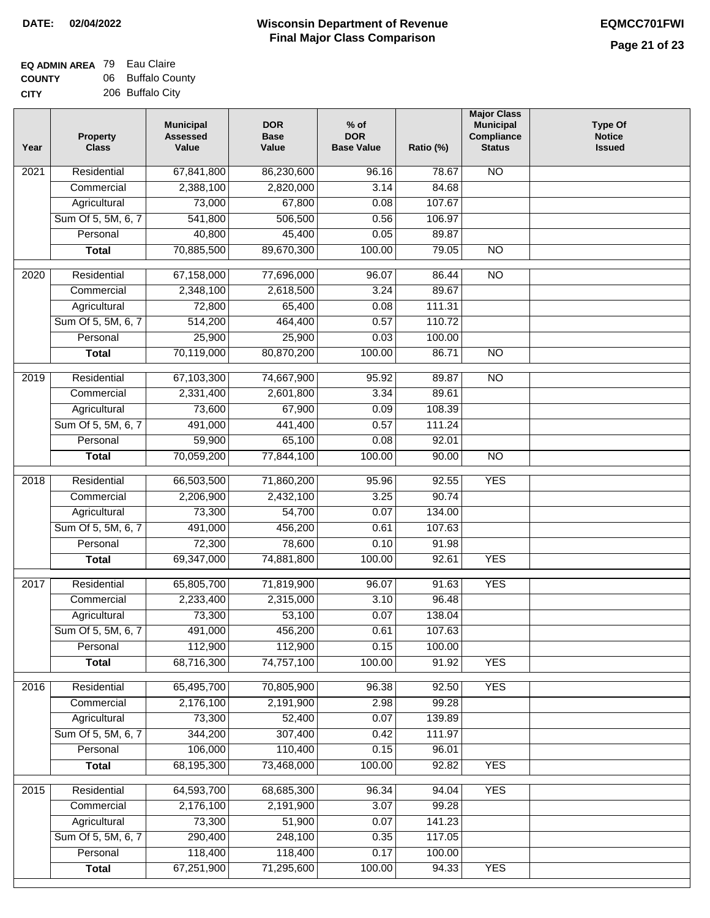| 206 Buffalo City |  |
|------------------|--|
|                  |  |

| Year | <b>Property</b><br><b>Class</b> | <b>Municipal</b><br><b>Assessed</b><br>Value | <b>DOR</b><br><b>Base</b><br>Value | % of<br><b>DOR</b><br><b>Base Value</b> | Ratio (%) | <b>Major Class</b><br><b>Municipal</b><br>Compliance<br><b>Status</b> | <b>Type Of</b><br><b>Notice</b><br><b>Issued</b> |
|------|---------------------------------|----------------------------------------------|------------------------------------|-----------------------------------------|-----------|-----------------------------------------------------------------------|--------------------------------------------------|
| 2021 | Residential                     | 67,841,800                                   | 86,230,600                         | 96.16                                   | 78.67     | N <sub>O</sub>                                                        |                                                  |
|      | Commercial                      | 2,388,100                                    | 2,820,000                          | 3.14                                    | 84.68     |                                                                       |                                                  |
|      | Agricultural                    | 73,000                                       | 67,800                             | 0.08                                    | 107.67    |                                                                       |                                                  |
|      | Sum Of 5, 5M, 6, 7              | 541,800                                      | 506,500                            | 0.56                                    | 106.97    |                                                                       |                                                  |
|      | Personal                        | 40,800                                       | 45,400                             | 0.05                                    | 89.87     |                                                                       |                                                  |
|      | <b>Total</b>                    | 70,885,500                                   | 89,670,300                         | 100.00                                  | 79.05     | $\overline{NO}$                                                       |                                                  |
| 2020 | Residential                     | 67,158,000                                   | 77,696,000                         | 96.07                                   | 86.44     | $\overline{NO}$                                                       |                                                  |
|      | Commercial                      | 2,348,100                                    | 2,618,500                          | 3.24                                    | 89.67     |                                                                       |                                                  |
|      | Agricultural                    | 72,800                                       | 65,400                             | 0.08                                    | 111.31    |                                                                       |                                                  |
|      | Sum Of 5, 5M, 6, 7              | 514,200                                      | 464,400                            | 0.57                                    | 110.72    |                                                                       |                                                  |
|      | Personal                        | 25,900                                       | 25,900                             | 0.03                                    | 100.00    |                                                                       |                                                  |
|      | <b>Total</b>                    | 70,119,000                                   | 80,870,200                         | 100.00                                  | 86.71     | $\overline{NO}$                                                       |                                                  |
| 2019 | Residential                     | 67,103,300                                   | 74,667,900                         | 95.92                                   | 89.87     | $\overline{NO}$                                                       |                                                  |
|      | Commercial                      | 2,331,400                                    | 2,601,800                          | 3.34                                    | 89.61     |                                                                       |                                                  |
|      | Agricultural                    | 73,600                                       | 67,900                             | 0.09                                    | 108.39    |                                                                       |                                                  |
|      | Sum Of 5, 5M, 6, 7              | 491,000                                      | 441,400                            | 0.57                                    | 111.24    |                                                                       |                                                  |
|      | Personal                        | 59,900                                       | 65,100                             | 0.08                                    | 92.01     |                                                                       |                                                  |
|      | <b>Total</b>                    | 70,059,200                                   | 77,844,100                         | 100.00                                  | 90.00     | $\overline{NO}$                                                       |                                                  |
| 2018 | Residential                     | 66,503,500                                   | 71,860,200                         | 95.96                                   | 92.55     | <b>YES</b>                                                            |                                                  |
|      | Commercial                      | 2,206,900                                    | 2,432,100                          | 3.25                                    | 90.74     |                                                                       |                                                  |
|      | Agricultural                    | 73,300                                       | 54,700                             | 0.07                                    | 134.00    |                                                                       |                                                  |
|      | Sum Of 5, 5M, 6, 7              | 491,000                                      | 456,200                            | 0.61                                    | 107.63    |                                                                       |                                                  |
|      | Personal                        | 72,300                                       | 78,600                             | 0.10                                    | 91.98     |                                                                       |                                                  |
|      | <b>Total</b>                    | 69,347,000                                   | 74,881,800                         | 100.00                                  | 92.61     | <b>YES</b>                                                            |                                                  |
| 2017 | Residential                     |                                              |                                    |                                         | 91.63     | <b>YES</b>                                                            |                                                  |
|      | Commercial                      | 65,805,700                                   | 71,819,900<br>2,315,000            | 96.07<br>3.10                           | 96.48     |                                                                       |                                                  |
|      | Agricultural                    | 2,233,400<br>73,300                          | 53,100                             | 0.07                                    | 138.04    |                                                                       |                                                  |
|      | Sum Of 5, 5M, 6, 7              | 491,000                                      | 456,200                            | 0.61                                    | 107.63    |                                                                       |                                                  |
|      | Personal                        | 112,900                                      | 112,900                            | 0.15                                    | 100.00    |                                                                       |                                                  |
|      | <b>Total</b>                    | 68,716,300                                   | 74,757,100                         | 100.00                                  | 91.92     | <b>YES</b>                                                            |                                                  |
|      |                                 |                                              |                                    |                                         |           |                                                                       |                                                  |
| 2016 | Residential                     | 65,495,700                                   | 70,805,900                         | 96.38                                   | 92.50     | <b>YES</b>                                                            |                                                  |
|      | Commercial                      | 2,176,100                                    | 2,191,900                          | 2.98                                    | 99.28     |                                                                       |                                                  |
|      | Agricultural                    | 73,300                                       | 52,400                             | 0.07                                    | 139.89    |                                                                       |                                                  |
|      | Sum Of 5, 5M, 6, 7              | 344,200                                      | 307,400                            | 0.42                                    | 111.97    |                                                                       |                                                  |
|      | Personal                        | 106,000                                      | 110,400                            | 0.15                                    | 96.01     |                                                                       |                                                  |
|      | <b>Total</b>                    | 68,195,300                                   | 73,468,000                         | 100.00                                  | 92.82     | <b>YES</b>                                                            |                                                  |
| 2015 | Residential                     | 64,593,700                                   | 68,685,300                         | 96.34                                   | 94.04     | <b>YES</b>                                                            |                                                  |
|      | Commercial                      | 2,176,100                                    | 2,191,900                          | 3.07                                    | 99.28     |                                                                       |                                                  |
|      | Agricultural                    | 73,300                                       | 51,900                             | 0.07                                    | 141.23    |                                                                       |                                                  |
|      | Sum Of 5, 5M, 6, 7              | 290,400                                      | 248,100                            | 0.35                                    | 117.05    |                                                                       |                                                  |
|      | Personal                        | 118,400                                      | 118,400                            | 0.17                                    | 100.00    |                                                                       |                                                  |
|      | <b>Total</b>                    | 67,251,900                                   | 71,295,600                         | 100.00                                  | 94.33     | <b>YES</b>                                                            |                                                  |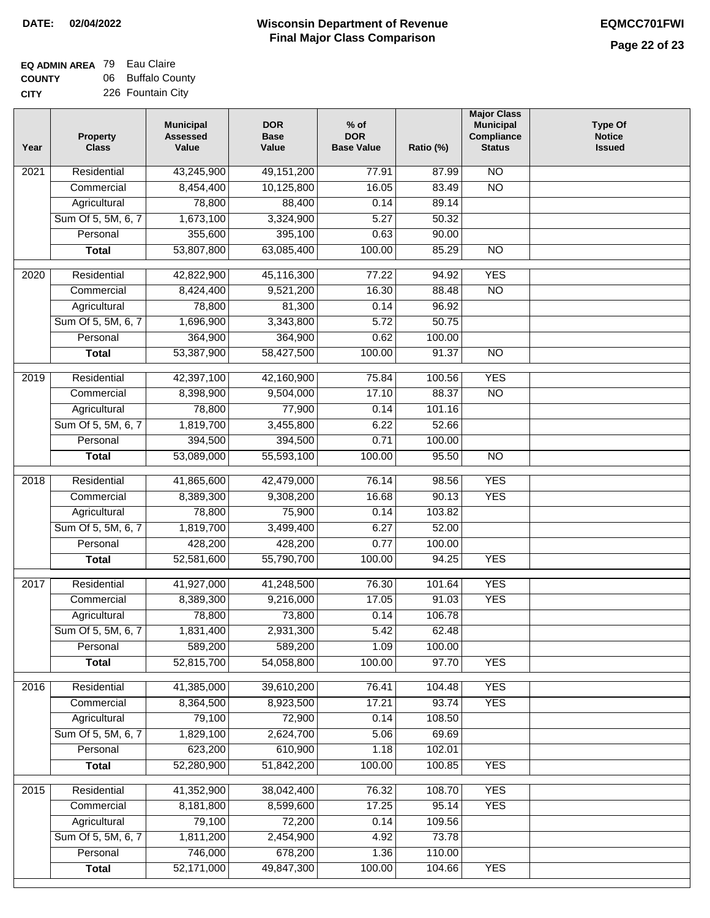## **EQ ADMIN AREA** 79 Eau Claire **COUNTY** 06 Buffalo County

**CITY** 226 Fountain City

| Year | <b>Property</b><br><b>Class</b> | <b>Municipal</b><br><b>Assessed</b><br>Value | <b>DOR</b><br><b>Base</b><br>Value | % of<br><b>DOR</b><br><b>Base Value</b> | Ratio (%) | <b>Major Class</b><br><b>Municipal</b><br>Compliance<br><b>Status</b> | <b>Type Of</b><br><b>Notice</b><br><b>Issued</b> |
|------|---------------------------------|----------------------------------------------|------------------------------------|-----------------------------------------|-----------|-----------------------------------------------------------------------|--------------------------------------------------|
| 2021 | Residential                     | 43,245,900                                   | 49, 151, 200                       | 77.91                                   | 87.99     | <b>NO</b>                                                             |                                                  |
|      | Commercial                      | 8,454,400                                    | 10,125,800                         | 16.05                                   | 83.49     | $\overline{NO}$                                                       |                                                  |
|      | Agricultural                    | 78,800                                       | 88,400                             | 0.14                                    | 89.14     |                                                                       |                                                  |
|      | Sum Of 5, 5M, 6, 7              | 1,673,100                                    | 3,324,900                          | 5.27                                    | 50.32     |                                                                       |                                                  |
|      | Personal                        | 355,600                                      | 395,100                            | 0.63                                    | 90.00     |                                                                       |                                                  |
|      | <b>Total</b>                    | 53,807,800                                   | 63,085,400                         | 100.00                                  | 85.29     | $\overline{NO}$                                                       |                                                  |
| 2020 | Residential                     | 42,822,900                                   | 45,116,300                         | 77.22                                   | 94.92     | <b>YES</b>                                                            |                                                  |
|      | Commercial                      | 8,424,400                                    | 9,521,200                          | 16.30                                   | 88.48     | $\overline{NO}$                                                       |                                                  |
|      | Agricultural                    | 78,800                                       | 81,300                             | 0.14                                    | 96.92     |                                                                       |                                                  |
|      | Sum Of 5, 5M, 6, 7              | 1,696,900                                    | 3,343,800                          | 5.72                                    | 50.75     |                                                                       |                                                  |
|      | Personal                        | 364,900                                      | 364,900                            | 0.62                                    | 100.00    |                                                                       |                                                  |
|      | <b>Total</b>                    | 53,387,900                                   | 58,427,500                         | 100.00                                  | 91.37     | $\overline{NO}$                                                       |                                                  |
| 2019 | Residential                     | 42,397,100                                   | 42,160,900                         | 75.84                                   | 100.56    | <b>YES</b>                                                            |                                                  |
|      | Commercial                      | 8,398,900                                    | 9,504,000                          | 17.10                                   | 88.37     | $\overline{NO}$                                                       |                                                  |
|      | Agricultural                    | 78,800                                       | 77,900                             | 0.14                                    | 101.16    |                                                                       |                                                  |
|      | Sum Of 5, 5M, 6, 7              | 1,819,700                                    | 3,455,800                          | 6.22                                    | 52.66     |                                                                       |                                                  |
|      | Personal                        | 394,500                                      | 394,500                            | 0.71                                    | 100.00    |                                                                       |                                                  |
|      | <b>Total</b>                    | 53,089,000                                   | 55,593,100                         | 100.00                                  | 95.50     | $\overline{NO}$                                                       |                                                  |
|      |                                 |                                              |                                    |                                         |           |                                                                       |                                                  |
| 2018 | Residential                     | 41,865,600                                   | 42,479,000                         | 76.14                                   | 98.56     | <b>YES</b>                                                            |                                                  |
|      | Commercial                      | 8,389,300                                    | 9,308,200                          | 16.68                                   | 90.13     | <b>YES</b>                                                            |                                                  |
|      | Agricultural                    | 78,800                                       | 75,900                             | 0.14                                    | 103.82    |                                                                       |                                                  |
|      | Sum Of 5, 5M, 6, 7              | 1,819,700                                    | 3,499,400                          | 6.27                                    | 52.00     |                                                                       |                                                  |
|      | Personal                        | 428,200                                      | 428,200                            | 0.77                                    | 100.00    |                                                                       |                                                  |
|      | <b>Total</b>                    | 52,581,600                                   | 55,790,700                         | 100.00                                  | 94.25     | <b>YES</b>                                                            |                                                  |
| 2017 | Residential                     | 41,927,000                                   | 41,248,500                         | 76.30                                   | 101.64    | <b>YES</b>                                                            |                                                  |
|      | Commercial                      | 8,389,300                                    | 9,216,000                          | 17.05                                   | 91.03     | <b>YES</b>                                                            |                                                  |
|      | Agricultural                    | 78,800                                       | 73,800                             | 0.14                                    | 106.78    |                                                                       |                                                  |
|      | Sum Of 5, 5M, 6, 7              | 1,831,400                                    | 2,931,300                          | 5.42                                    | 62.48     |                                                                       |                                                  |
|      | Personal                        | 589,200                                      | 589,200                            | 1.09                                    | 100.00    |                                                                       |                                                  |
|      | <b>Total</b>                    | 52,815,700                                   | 54,058,800                         | 100.00                                  | 97.70     | <b>YES</b>                                                            |                                                  |
| 2016 | Residential                     | 41,385,000                                   | 39,610,200                         | 76.41                                   | 104.48    | <b>YES</b>                                                            |                                                  |
|      | Commercial                      | 8,364,500                                    | 8,923,500                          | 17.21                                   | 93.74     | <b>YES</b>                                                            |                                                  |
|      | Agricultural                    | 79,100                                       | 72,900                             | 0.14                                    | 108.50    |                                                                       |                                                  |
|      | Sum Of 5, 5M, 6, 7              | 1,829,100                                    | 2,624,700                          | 5.06                                    | 69.69     |                                                                       |                                                  |
|      | Personal                        | 623,200                                      | 610,900                            | 1.18                                    | 102.01    |                                                                       |                                                  |
|      | <b>Total</b>                    | 52,280,900                                   | 51,842,200                         | 100.00                                  | 100.85    | <b>YES</b>                                                            |                                                  |
| 2015 | Residential                     | 41,352,900                                   | 38,042,400                         | 76.32                                   | 108.70    | <b>YES</b>                                                            |                                                  |
|      | Commercial                      | 8,181,800                                    | 8,599,600                          | 17.25                                   | 95.14     | <b>YES</b>                                                            |                                                  |
|      | Agricultural                    | 79,100                                       | 72,200                             | 0.14                                    | 109.56    |                                                                       |                                                  |
|      | Sum Of 5, 5M, 6, 7              | 1,811,200                                    | 2,454,900                          | 4.92                                    | 73.78     |                                                                       |                                                  |
|      | Personal                        | 746,000                                      | 678,200                            | 1.36                                    | 110.00    |                                                                       |                                                  |
|      | <b>Total</b>                    | 52,171,000                                   | 49,847,300                         | 100.00                                  | 104.66    | <b>YES</b>                                                            |                                                  |
|      |                                 |                                              |                                    |                                         |           |                                                                       |                                                  |